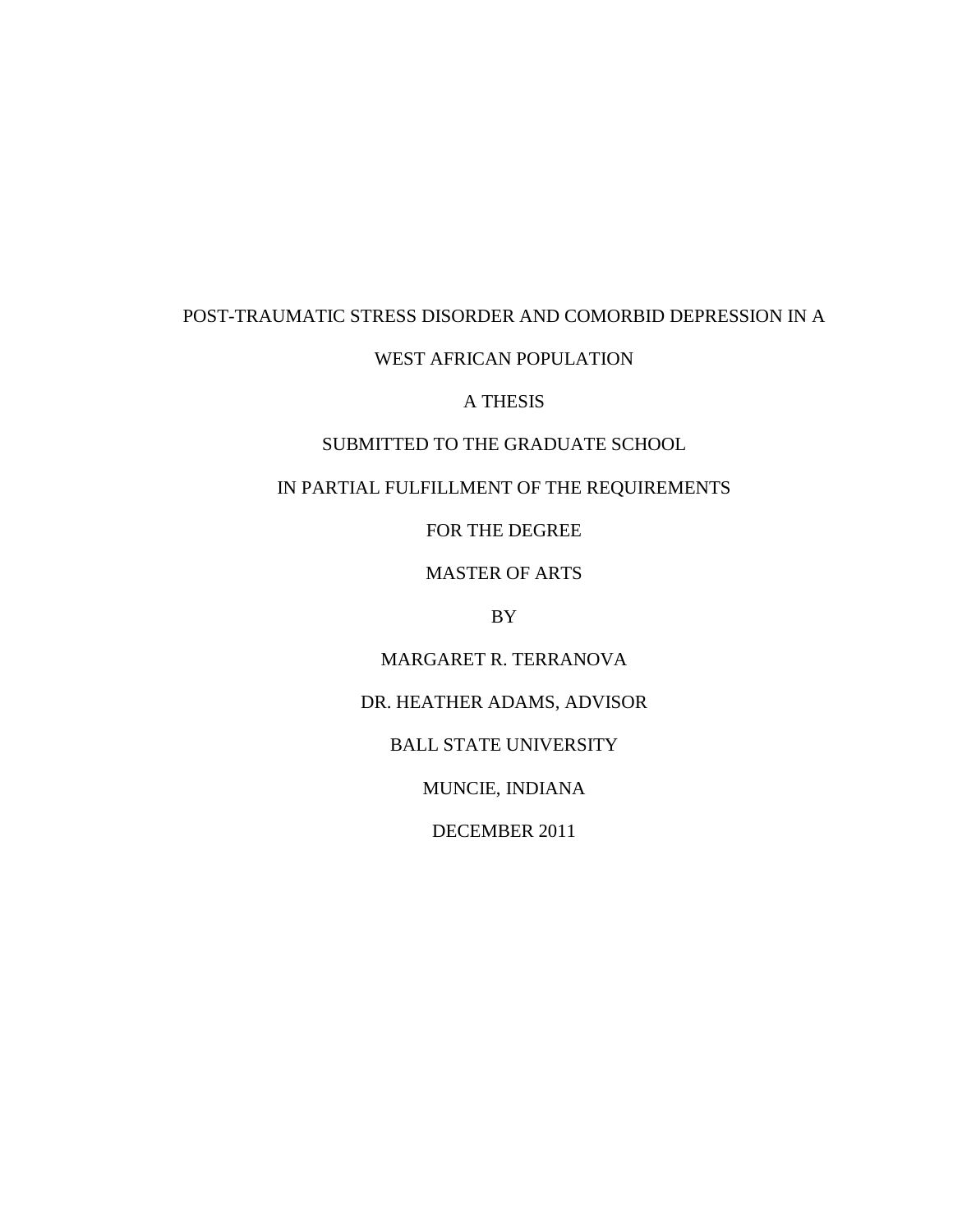# POST-TRAUMATIC STRESS DISORDER AND COMORBID DEPRESSION IN A

# WEST AFRICAN POPULATION

# A THESIS

# SUBMITTED TO THE GRADUATE SCHOOL

# IN PARTIAL FULFILLMENT OF THE REQUIREMENTS

FOR THE DEGREE

# MASTER OF ARTS

BY

MARGARET R. TERRANOVA

DR. HEATHER ADAMS, ADVISOR

BALL STATE UNIVERSITY

MUNCIE, INDIANA

DECEMBER 2011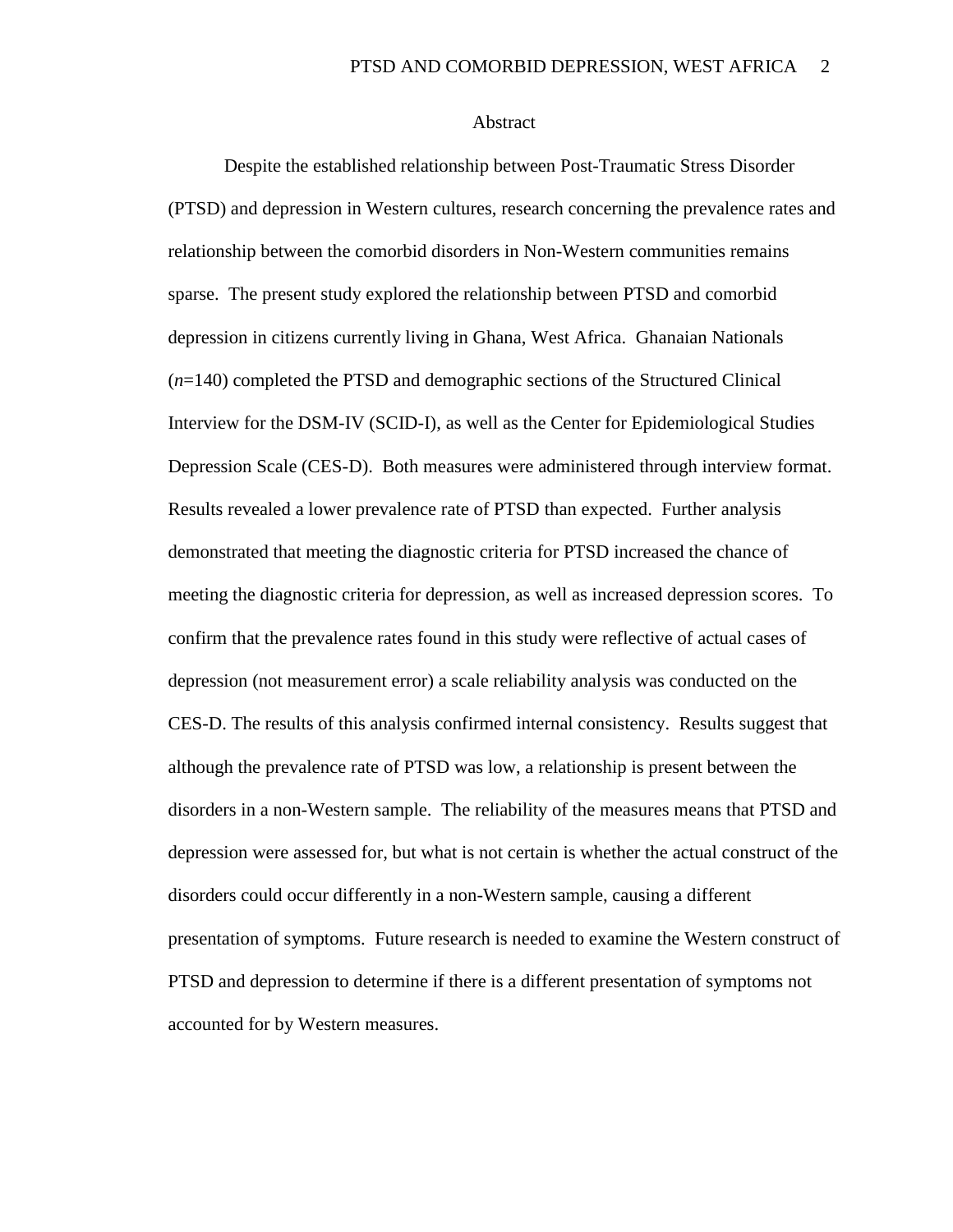#### Abstract

Despite the established relationship between Post-Traumatic Stress Disorder (PTSD) and depression in Western cultures, research concerning the prevalence rates and relationship between the comorbid disorders in Non-Western communities remains sparse. The present study explored the relationship between PTSD and comorbid depression in citizens currently living in Ghana, West Africa. Ghanaian Nationals (*n*=140) completed the PTSD and demographic sections of the Structured Clinical Interview for the DSM-IV (SCID-I), as well as the Center for Epidemiological Studies Depression Scale (CES-D). Both measures were administered through interview format. Results revealed a lower prevalence rate of PTSD than expected. Further analysis demonstrated that meeting the diagnostic criteria for PTSD increased the chance of meeting the diagnostic criteria for depression, as well as increased depression scores. To confirm that the prevalence rates found in this study were reflective of actual cases of depression (not measurement error) a scale reliability analysis was conducted on the CES-D. The results of this analysis confirmed internal consistency. Results suggest that although the prevalence rate of PTSD was low, a relationship is present between the disorders in a non-Western sample. The reliability of the measures means that PTSD and depression were assessed for, but what is not certain is whether the actual construct of the disorders could occur differently in a non-Western sample, causing a different presentation of symptoms. Future research is needed to examine the Western construct of PTSD and depression to determine if there is a different presentation of symptoms not accounted for by Western measures.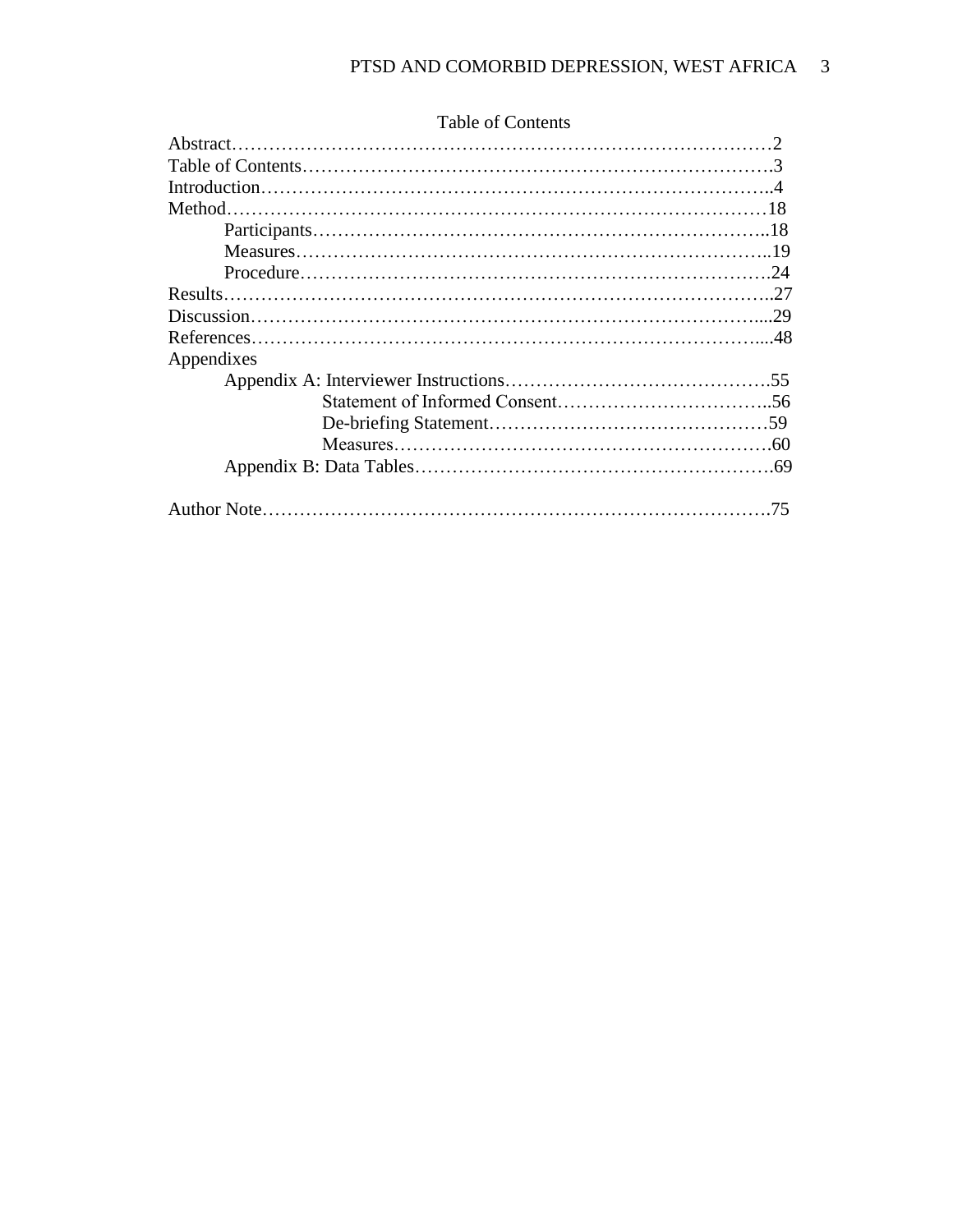| Method.    |    |
|------------|----|
|            |    |
|            |    |
|            | 24 |
|            |    |
|            |    |
|            |    |
| Appendixes |    |
|            |    |
|            |    |
|            |    |
|            |    |
|            |    |
|            | 75 |

# Table of Contents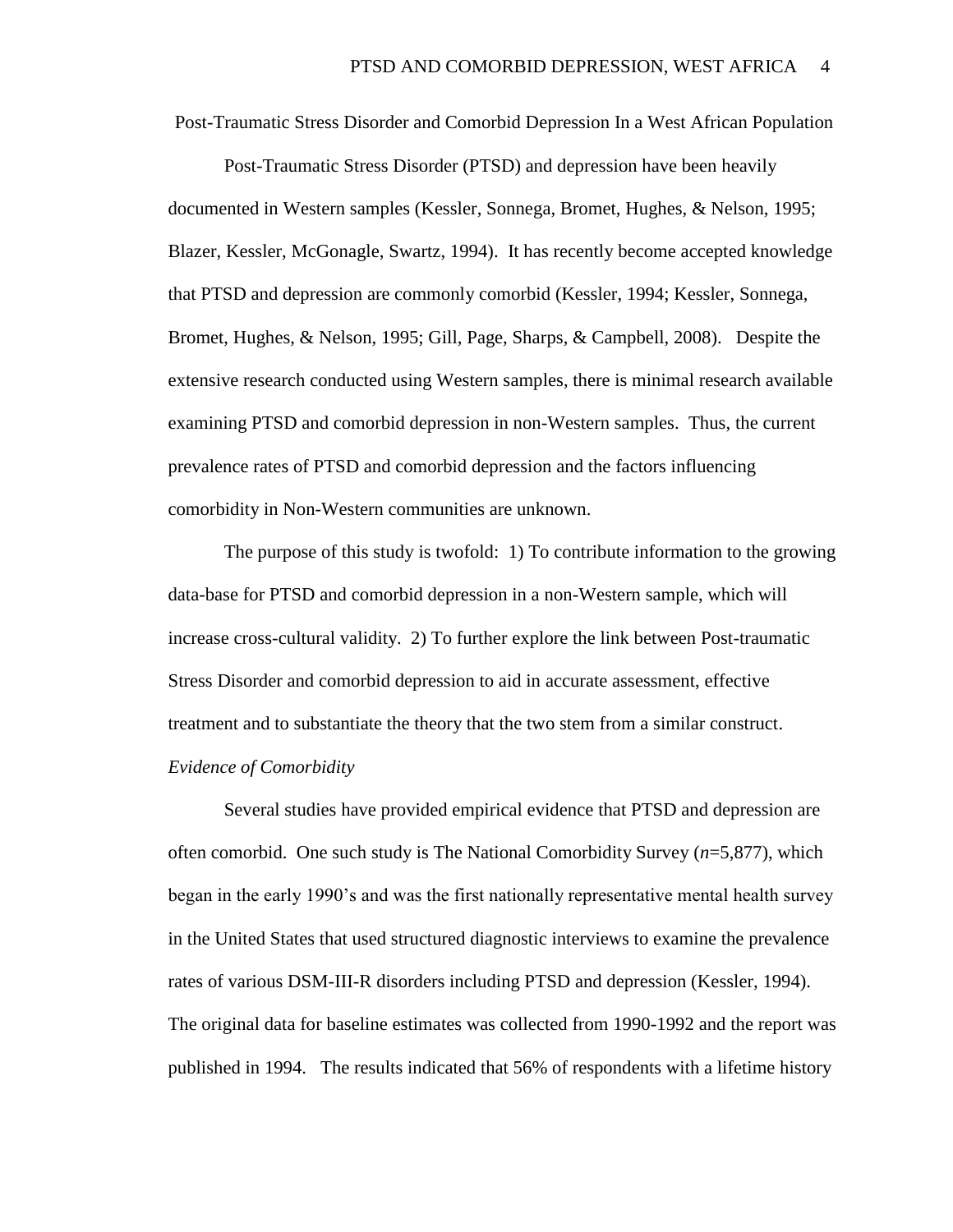Post-Traumatic Stress Disorder and Comorbid Depression In a West African Population

Post-Traumatic Stress Disorder (PTSD) and depression have been heavily documented in Western samples (Kessler, Sonnega, Bromet, Hughes, & Nelson, 1995; Blazer, Kessler, McGonagle, Swartz, 1994). It has recently become accepted knowledge that PTSD and depression are commonly comorbid (Kessler, 1994; Kessler, Sonnega, Bromet, Hughes, & Nelson, 1995; Gill, Page, Sharps, & Campbell, 2008). Despite the extensive research conducted using Western samples, there is minimal research available examining PTSD and comorbid depression in non-Western samples. Thus, the current prevalence rates of PTSD and comorbid depression and the factors influencing comorbidity in Non-Western communities are unknown.

The purpose of this study is twofold: 1) To contribute information to the growing data-base for PTSD and comorbid depression in a non-Western sample, which will increase cross-cultural validity. 2) To further explore the link between Post-traumatic Stress Disorder and comorbid depression to aid in accurate assessment, effective treatment and to substantiate the theory that the two stem from a similar construct. *Evidence of Comorbidity*

Several studies have provided empirical evidence that PTSD and depression are often comorbid. One such study is The National Comorbidity Survey (*n*=5,877), which began in the early 1990's and was the first nationally representative mental health survey in the United States that used structured diagnostic interviews to examine the prevalence rates of various DSM-III-R disorders including PTSD and depression (Kessler, 1994). The original data for baseline estimates was collected from 1990-1992 and the report was published in 1994. The results indicated that 56% of respondents with a lifetime history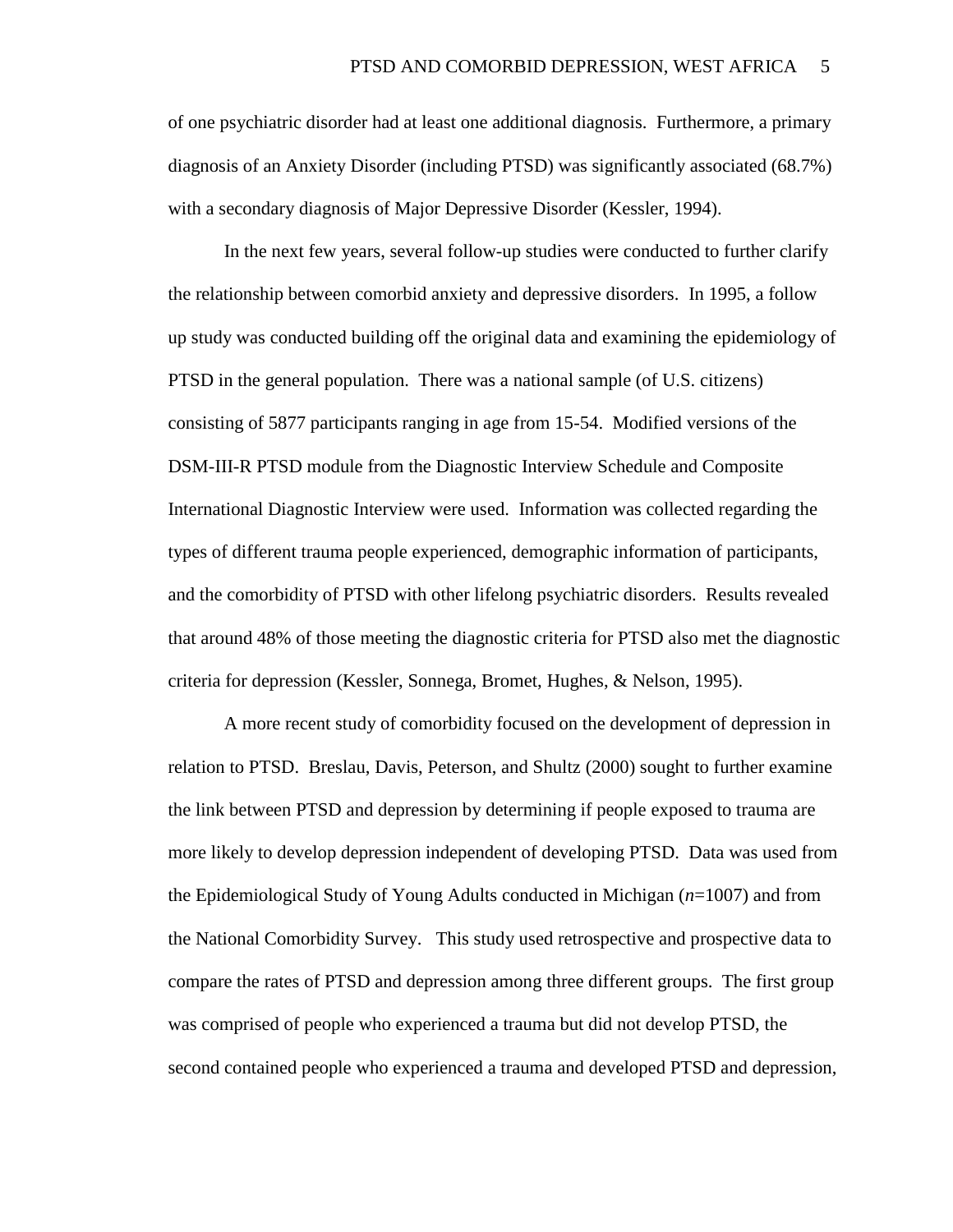of one psychiatric disorder had at least one additional diagnosis. Furthermore, a primary diagnosis of an Anxiety Disorder (including PTSD) was significantly associated (68.7%) with a secondary diagnosis of Major Depressive Disorder (Kessler, 1994).

In the next few years, several follow-up studies were conducted to further clarify the relationship between comorbid anxiety and depressive disorders. In 1995, a follow up study was conducted building off the original data and examining the epidemiology of PTSD in the general population. There was a national sample (of U.S. citizens) consisting of 5877 participants ranging in age from 15-54. Modified versions of the DSM-III-R PTSD module from the Diagnostic Interview Schedule and Composite International Diagnostic Interview were used. Information was collected regarding the types of different trauma people experienced, demographic information of participants, and the comorbidity of PTSD with other lifelong psychiatric disorders. Results revealed that around 48% of those meeting the diagnostic criteria for PTSD also met the diagnostic criteria for depression (Kessler, Sonnega, Bromet, Hughes, & Nelson, 1995).

A more recent study of comorbidity focused on the development of depression in relation to PTSD. Breslau, Davis, Peterson, and Shultz (2000) sought to further examine the link between PTSD and depression by determining if people exposed to trauma are more likely to develop depression independent of developing PTSD. Data was used from the Epidemiological Study of Young Adults conducted in Michigan (*n*=1007) and from the National Comorbidity Survey. This study used retrospective and prospective data to compare the rates of PTSD and depression among three different groups. The first group was comprised of people who experienced a trauma but did not develop PTSD, the second contained people who experienced a trauma and developed PTSD and depression,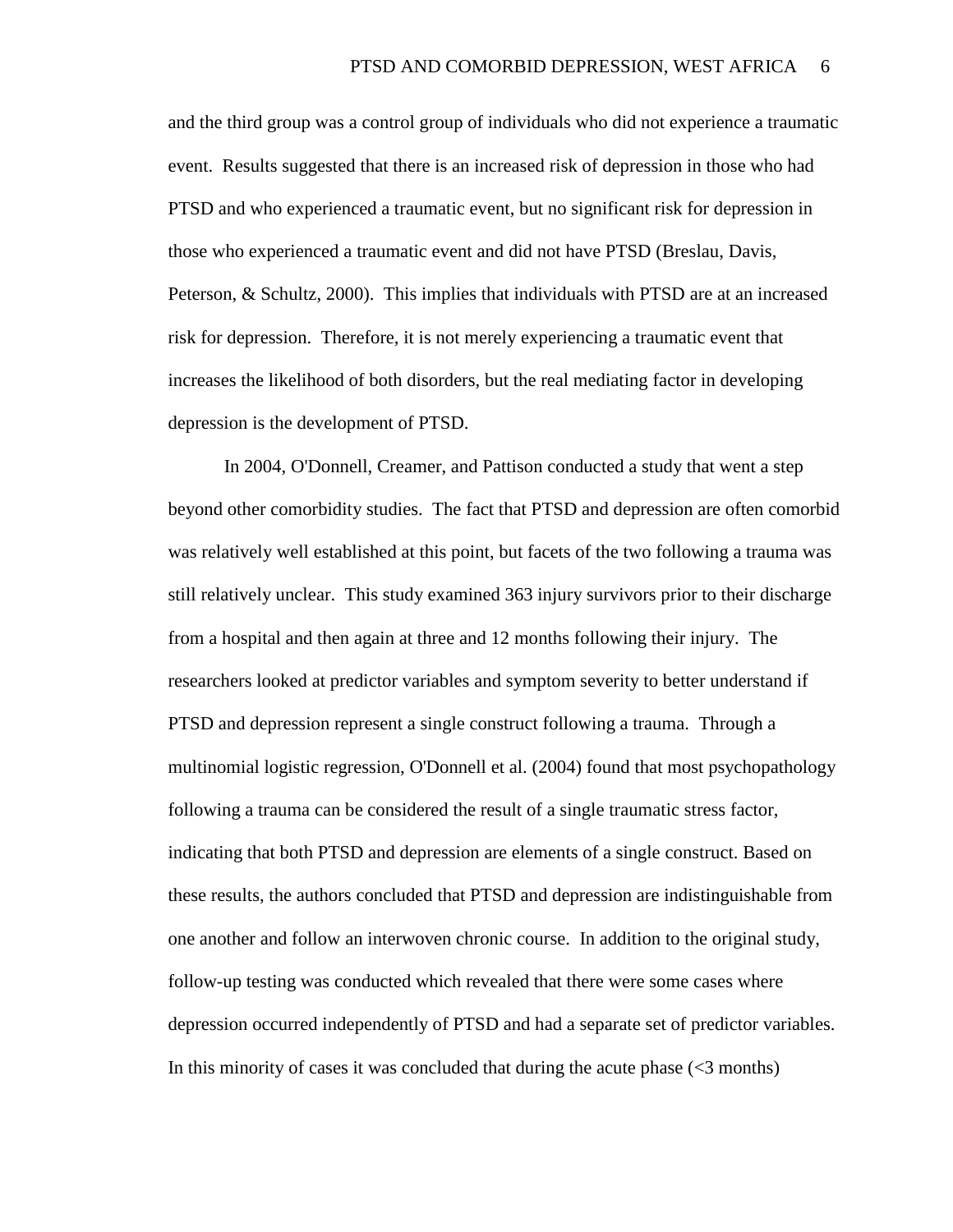and the third group was a control group of individuals who did not experience a traumatic event. Results suggested that there is an increased risk of depression in those who had PTSD and who experienced a traumatic event, but no significant risk for depression in those who experienced a traumatic event and did not have PTSD (Breslau, Davis, Peterson, & Schultz, 2000). This implies that individuals with PTSD are at an increased risk for depression. Therefore, it is not merely experiencing a traumatic event that increases the likelihood of both disorders, but the real mediating factor in developing depression is the development of PTSD.

In 2004, O'Donnell, Creamer, and Pattison conducted a study that went a step beyond other comorbidity studies. The fact that PTSD and depression are often comorbid was relatively well established at this point, but facets of the two following a trauma was still relatively unclear. This study examined 363 injury survivors prior to their discharge from a hospital and then again at three and 12 months following their injury. The researchers looked at predictor variables and symptom severity to better understand if PTSD and depression represent a single construct following a trauma. Through a multinomial logistic regression, O'Donnell et al. (2004) found that most psychopathology following a trauma can be considered the result of a single traumatic stress factor, indicating that both PTSD and depression are elements of a single construct. Based on these results, the authors concluded that PTSD and depression are indistinguishable from one another and follow an interwoven chronic course. In addition to the original study, follow-up testing was conducted which revealed that there were some cases where depression occurred independently of PTSD and had a separate set of predictor variables. In this minority of cases it was concluded that during the acute phase  $\langle$  <3 months)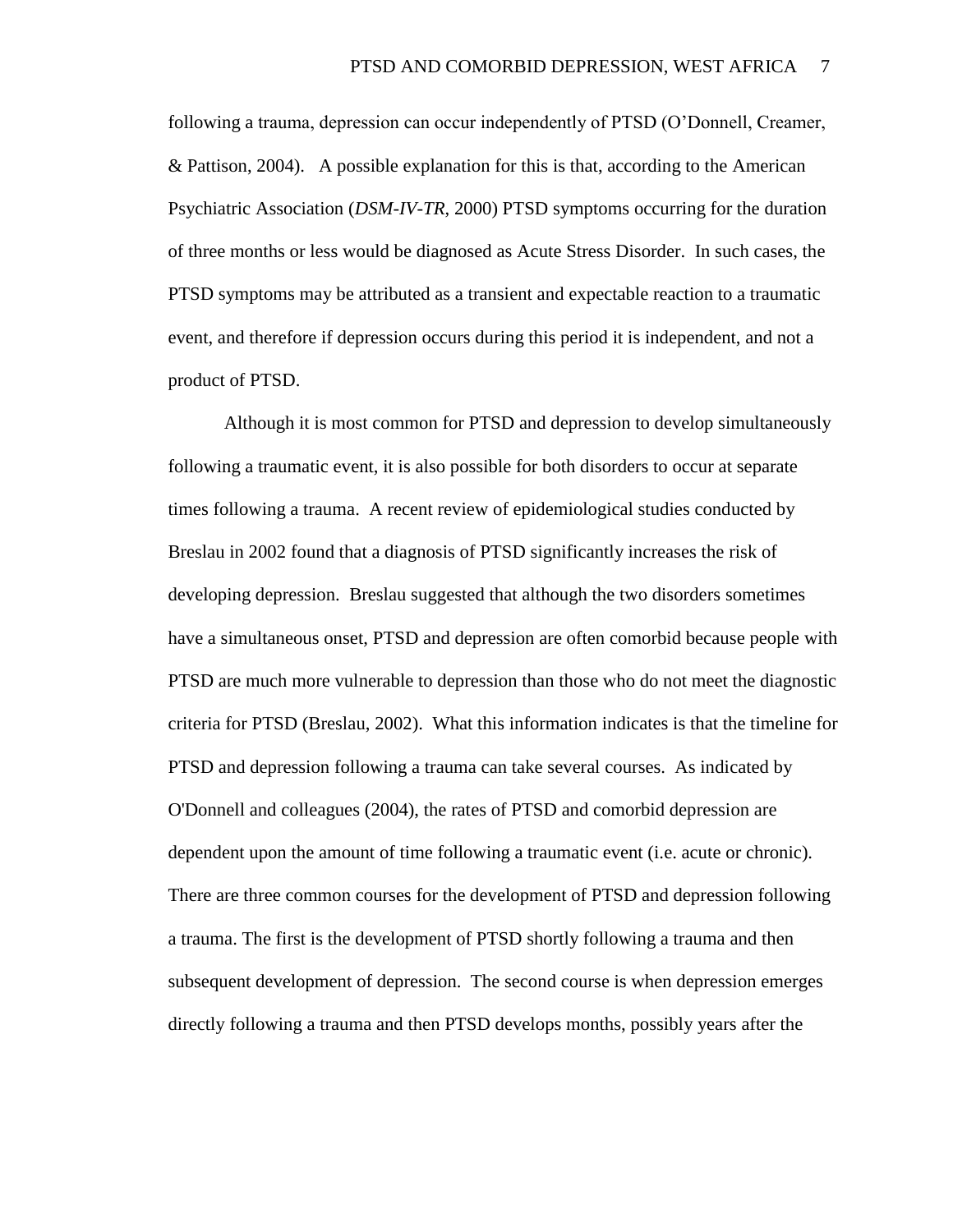following a trauma, depression can occur independently of PTSD (O'Donnell, Creamer, & Pattison, 2004). A possible explanation for this is that, according to the American Psychiatric Association (*DSM-IV-TR*, 2000) PTSD symptoms occurring for the duration of three months or less would be diagnosed as Acute Stress Disorder. In such cases, the PTSD symptoms may be attributed as a transient and expectable reaction to a traumatic event, and therefore if depression occurs during this period it is independent, and not a product of PTSD.

Although it is most common for PTSD and depression to develop simultaneously following a traumatic event, it is also possible for both disorders to occur at separate times following a trauma. A recent review of epidemiological studies conducted by Breslau in 2002 found that a diagnosis of PTSD significantly increases the risk of developing depression. Breslau suggested that although the two disorders sometimes have a simultaneous onset, PTSD and depression are often comorbid because people with PTSD are much more vulnerable to depression than those who do not meet the diagnostic criteria for PTSD (Breslau, 2002). What this information indicates is that the timeline for PTSD and depression following a trauma can take several courses. As indicated by O'Donnell and colleagues (2004), the rates of PTSD and comorbid depression are dependent upon the amount of time following a traumatic event (i.e. acute or chronic). There are three common courses for the development of PTSD and depression following a trauma. The first is the development of PTSD shortly following a trauma and then subsequent development of depression. The second course is when depression emerges directly following a trauma and then PTSD develops months, possibly years after the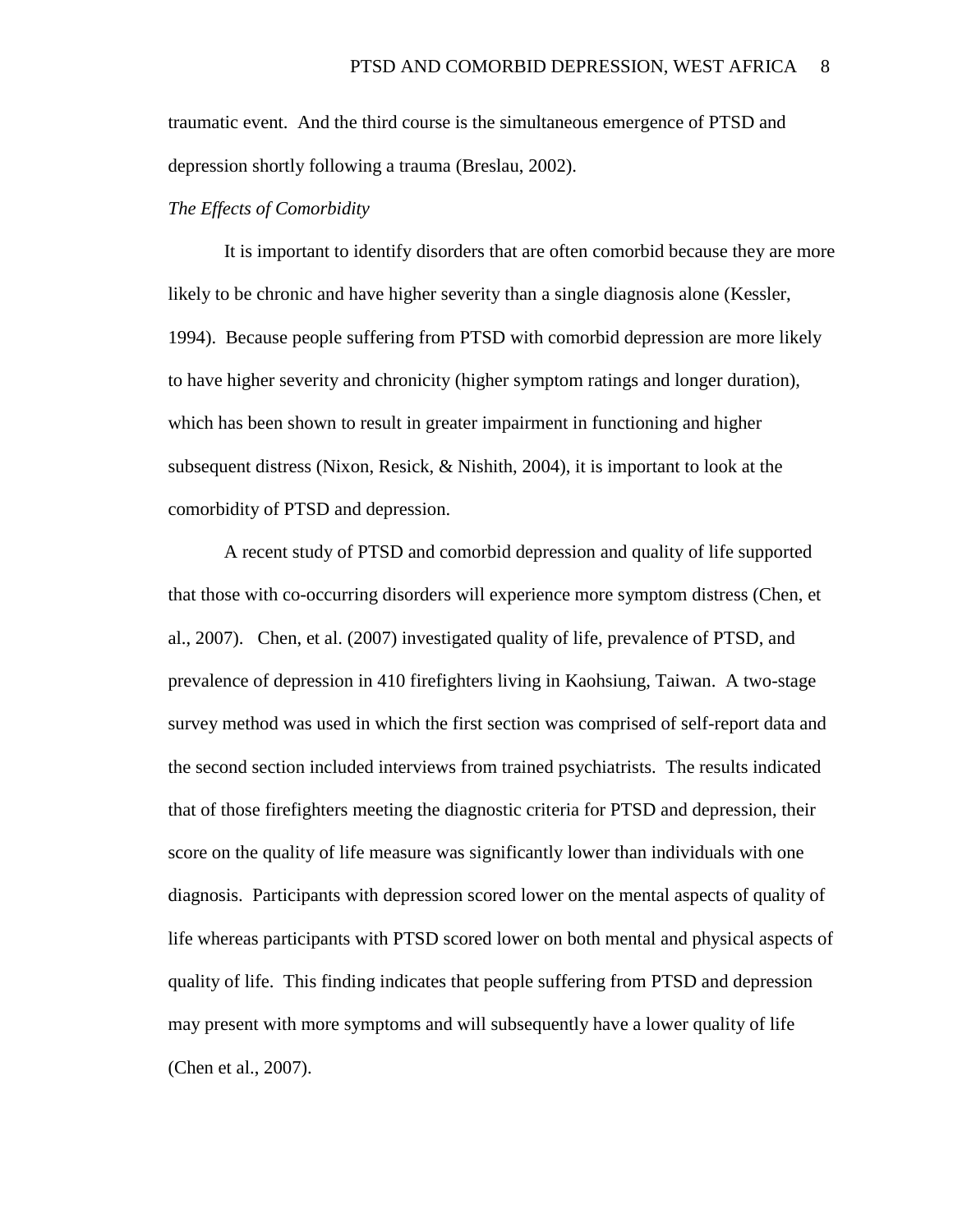traumatic event. And the third course is the simultaneous emergence of PTSD and depression shortly following a trauma (Breslau, 2002).

# *The Effects of Comorbidity*

It is important to identify disorders that are often comorbid because they are more likely to be chronic and have higher severity than a single diagnosis alone (Kessler, 1994). Because people suffering from PTSD with comorbid depression are more likely to have higher severity and chronicity (higher symptom ratings and longer duration), which has been shown to result in greater impairment in functioning and higher subsequent distress (Nixon, Resick, & Nishith, 2004), it is important to look at the comorbidity of PTSD and depression.

A recent study of PTSD and comorbid depression and quality of life supported that those with co-occurring disorders will experience more symptom distress (Chen, et al., 2007). Chen, et al. (2007) investigated quality of life, prevalence of PTSD, and prevalence of depression in 410 firefighters living in Kaohsiung, Taiwan. A two-stage survey method was used in which the first section was comprised of self-report data and the second section included interviews from trained psychiatrists. The results indicated that of those firefighters meeting the diagnostic criteria for PTSD and depression, their score on the quality of life measure was significantly lower than individuals with one diagnosis. Participants with depression scored lower on the mental aspects of quality of life whereas participants with PTSD scored lower on both mental and physical aspects of quality of life. This finding indicates that people suffering from PTSD and depression may present with more symptoms and will subsequently have a lower quality of life (Chen et al., 2007).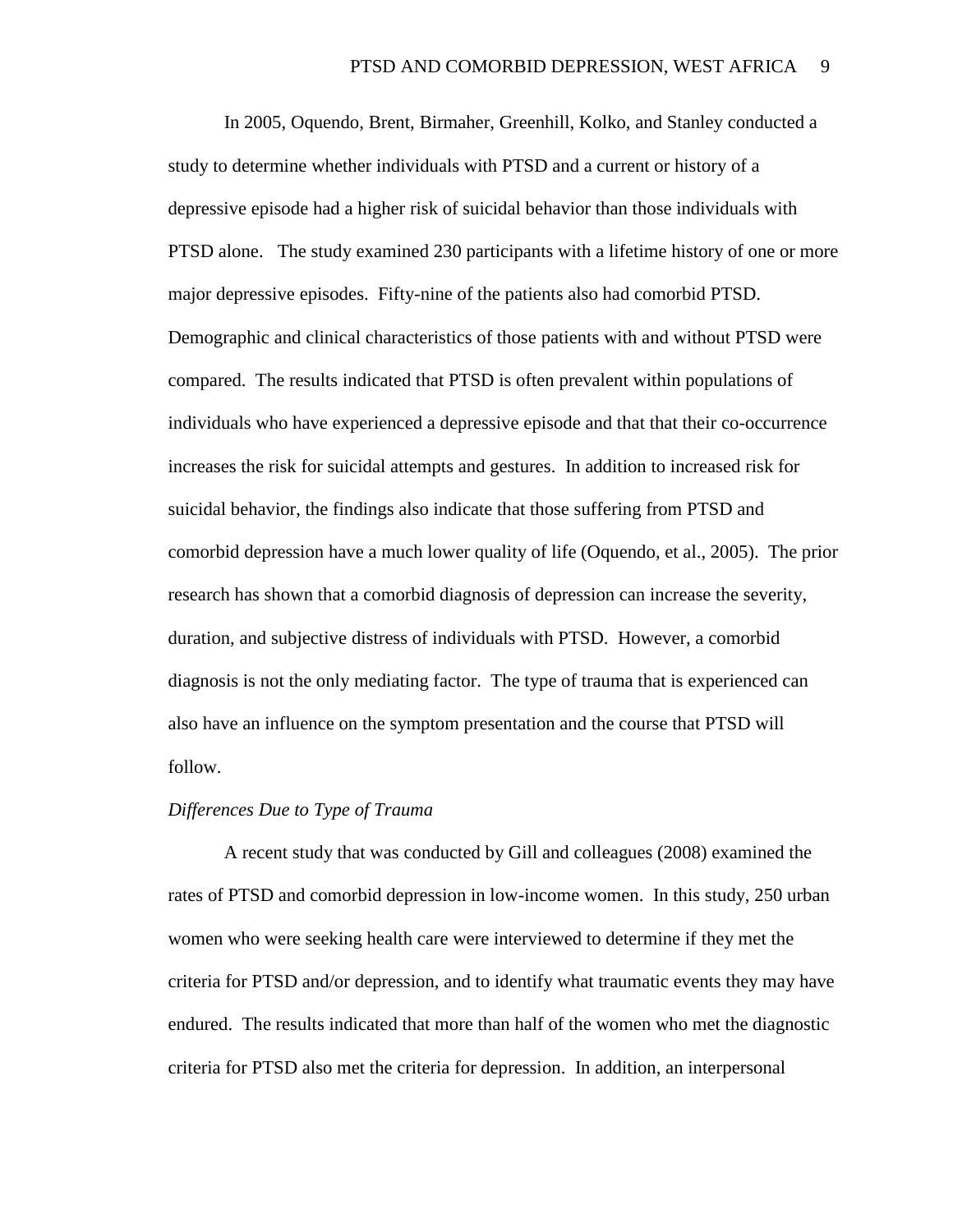In 2005, Oquendo, Brent, Birmaher, Greenhill, Kolko, and Stanley conducted a study to determine whether individuals with PTSD and a current or history of a depressive episode had a higher risk of suicidal behavior than those individuals with PTSD alone. The study examined 230 participants with a lifetime history of one or more major depressive episodes. Fifty-nine of the patients also had comorbid PTSD. Demographic and clinical characteristics of those patients with and without PTSD were compared. The results indicated that PTSD is often prevalent within populations of individuals who have experienced a depressive episode and that that their co-occurrence increases the risk for suicidal attempts and gestures. In addition to increased risk for suicidal behavior, the findings also indicate that those suffering from PTSD and comorbid depression have a much lower quality of life (Oquendo, et al., 2005). The prior research has shown that a comorbid diagnosis of depression can increase the severity, duration, and subjective distress of individuals with PTSD. However, a comorbid diagnosis is not the only mediating factor. The type of trauma that is experienced can also have an influence on the symptom presentation and the course that PTSD will follow.

#### *Differences Due to Type of Trauma*

A recent study that was conducted by Gill and colleagues (2008) examined the rates of PTSD and comorbid depression in low-income women. In this study, 250 urban women who were seeking health care were interviewed to determine if they met the criteria for PTSD and/or depression, and to identify what traumatic events they may have endured. The results indicated that more than half of the women who met the diagnostic criteria for PTSD also met the criteria for depression. In addition, an interpersonal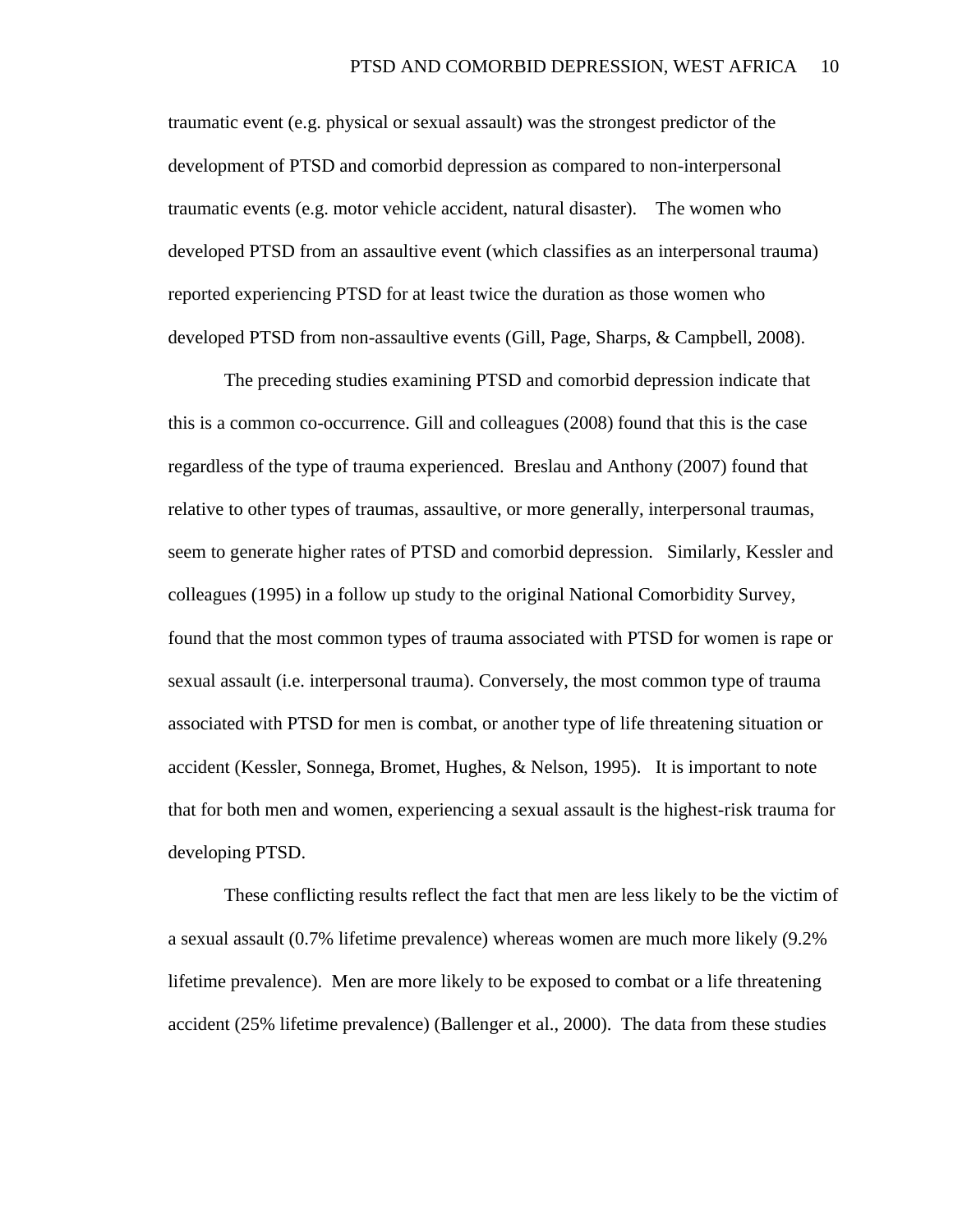traumatic event (e.g. physical or sexual assault) was the strongest predictor of the development of PTSD and comorbid depression as compared to non-interpersonal traumatic events (e.g. motor vehicle accident, natural disaster). The women who developed PTSD from an assaultive event (which classifies as an interpersonal trauma) reported experiencing PTSD for at least twice the duration as those women who developed PTSD from non-assaultive events (Gill, Page, Sharps, & Campbell, 2008).

The preceding studies examining PTSD and comorbid depression indicate that this is a common co-occurrence. Gill and colleagues (2008) found that this is the case regardless of the type of trauma experienced. Breslau and Anthony (2007) found that relative to other types of traumas, assaultive, or more generally, interpersonal traumas, seem to generate higher rates of PTSD and comorbid depression. Similarly, Kessler and colleagues (1995) in a follow up study to the original National Comorbidity Survey, found that the most common types of trauma associated with PTSD for women is rape or sexual assault (i.e. interpersonal trauma). Conversely, the most common type of trauma associated with PTSD for men is combat, or another type of life threatening situation or accident (Kessler, Sonnega, Bromet, Hughes, & Nelson, 1995). It is important to note that for both men and women, experiencing a sexual assault is the highest-risk trauma for developing PTSD.

These conflicting results reflect the fact that men are less likely to be the victim of a sexual assault (0.7% lifetime prevalence) whereas women are much more likely (9.2% lifetime prevalence). Men are more likely to be exposed to combat or a life threatening accident (25% lifetime prevalence) (Ballenger et al., 2000). The data from these studies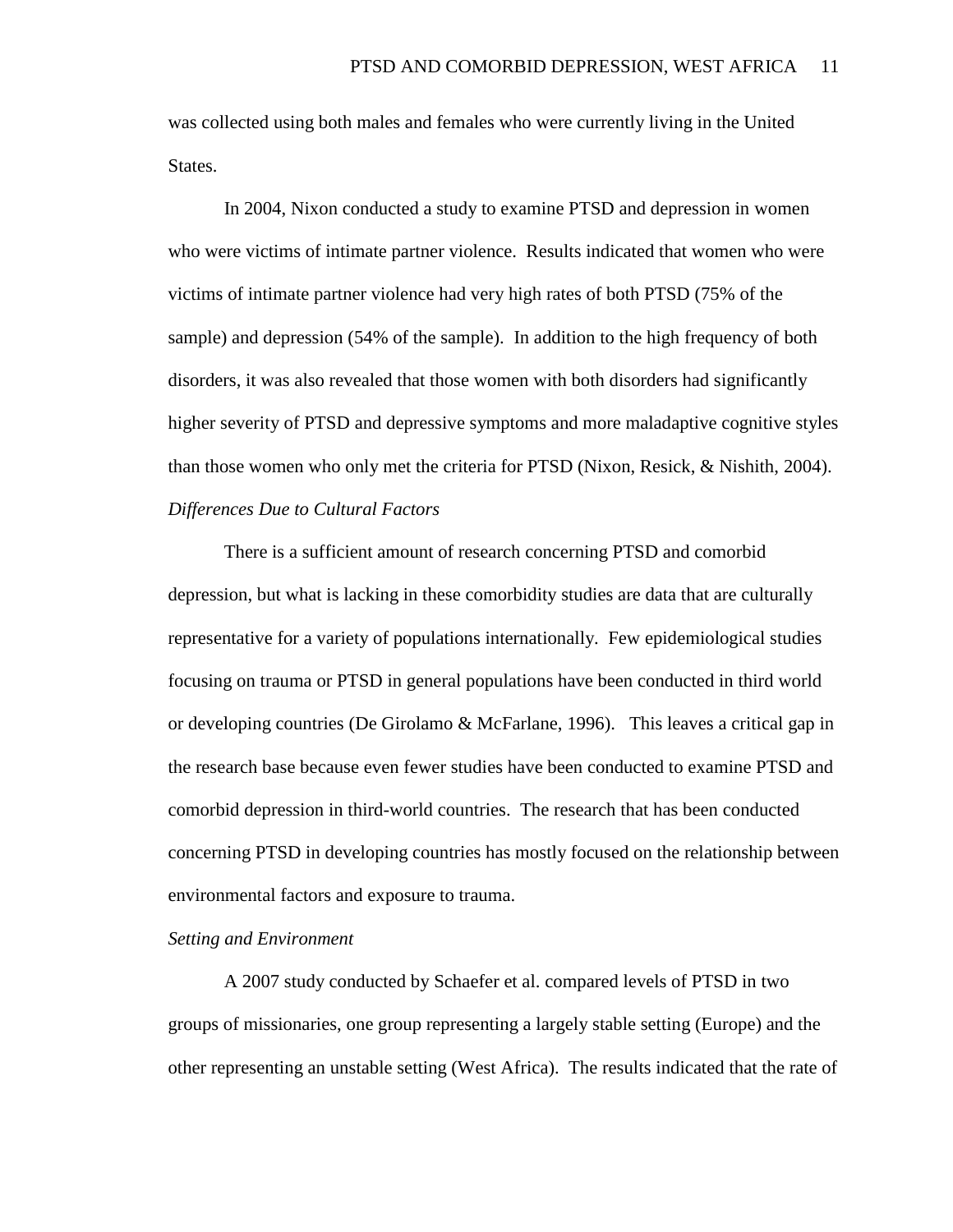was collected using both males and females who were currently living in the United States.

In 2004, Nixon conducted a study to examine PTSD and depression in women who were victims of intimate partner violence. Results indicated that women who were victims of intimate partner violence had very high rates of both PTSD (75% of the sample) and depression (54% of the sample). In addition to the high frequency of both disorders, it was also revealed that those women with both disorders had significantly higher severity of PTSD and depressive symptoms and more maladaptive cognitive styles than those women who only met the criteria for PTSD (Nixon, Resick, & Nishith, 2004). *Differences Due to Cultural Factors*

There is a sufficient amount of research concerning PTSD and comorbid depression, but what is lacking in these comorbidity studies are data that are culturally representative for a variety of populations internationally. Few epidemiological studies focusing on trauma or PTSD in general populations have been conducted in third world or developing countries (De Girolamo & McFarlane, 1996). This leaves a critical gap in the research base because even fewer studies have been conducted to examine PTSD and comorbid depression in third-world countries. The research that has been conducted concerning PTSD in developing countries has mostly focused on the relationship between environmental factors and exposure to trauma.

#### *Setting and Environment*

A 2007 study conducted by Schaefer et al. compared levels of PTSD in two groups of missionaries, one group representing a largely stable setting (Europe) and the other representing an unstable setting (West Africa). The results indicated that the rate of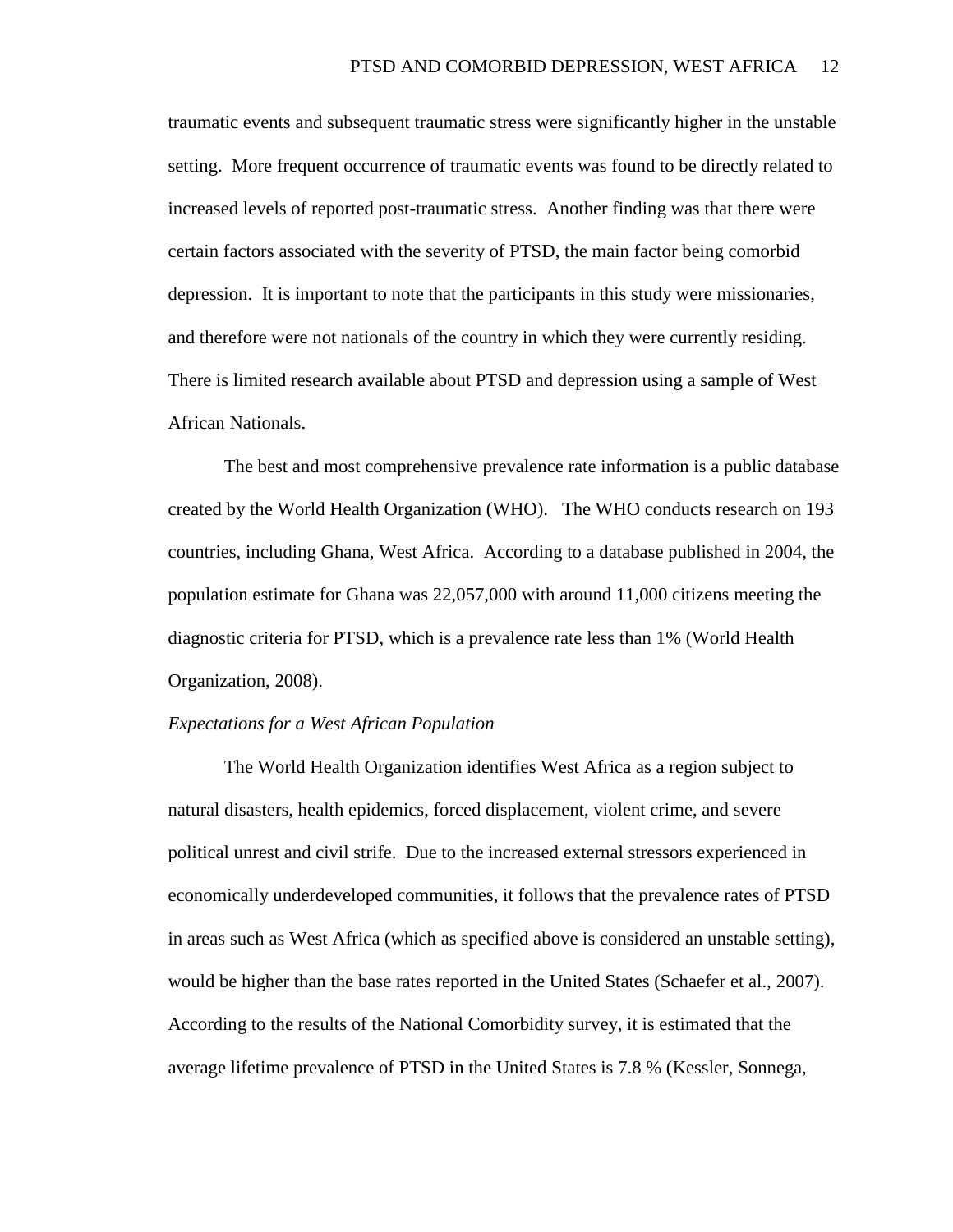traumatic events and subsequent traumatic stress were significantly higher in the unstable setting. More frequent occurrence of traumatic events was found to be directly related to increased levels of reported post-traumatic stress. Another finding was that there were certain factors associated with the severity of PTSD, the main factor being comorbid depression. It is important to note that the participants in this study were missionaries, and therefore were not nationals of the country in which they were currently residing. There is limited research available about PTSD and depression using a sample of West African Nationals.

The best and most comprehensive prevalence rate information is a public database created by the World Health Organization (WHO). The WHO conducts research on 193 countries, including Ghana, West Africa. According to a database published in 2004, the population estimate for Ghana was 22,057,000 with around 11,000 citizens meeting the diagnostic criteria for PTSD, which is a prevalence rate less than 1% (World Health Organization, 2008).

#### *Expectations for a West African Population*

The World Health Organization identifies West Africa as a region subject to natural disasters, health epidemics, forced displacement, violent crime, and severe political unrest and civil strife. Due to the increased external stressors experienced in economically underdeveloped communities, it follows that the prevalence rates of PTSD in areas such as West Africa (which as specified above is considered an unstable setting), would be higher than the base rates reported in the United States (Schaefer et al., 2007). According to the results of the National Comorbidity survey, it is estimated that the average lifetime prevalence of PTSD in the United States is 7.8 % (Kessler, Sonnega,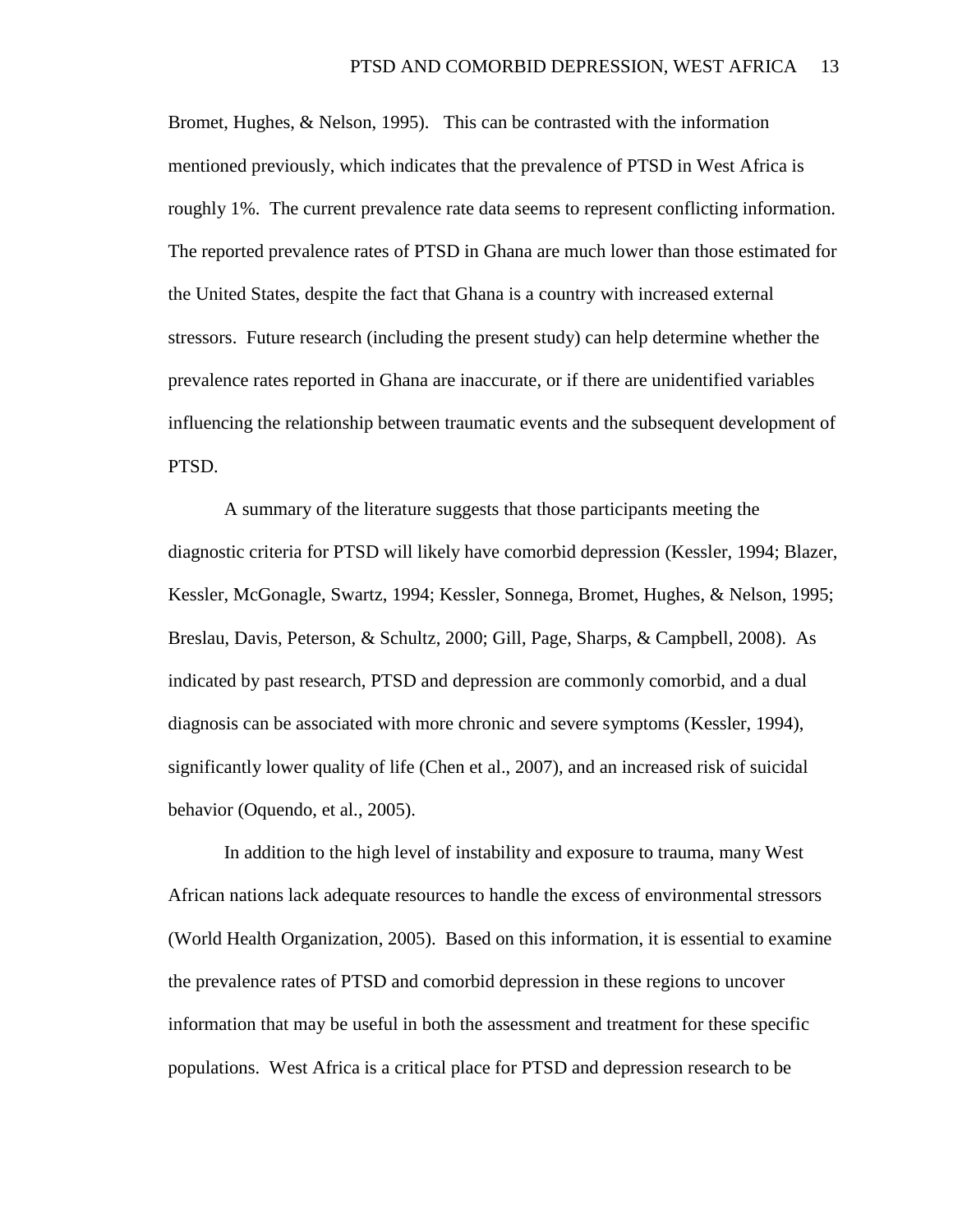Bromet, Hughes, & Nelson, 1995). This can be contrasted with the information mentioned previously, which indicates that the prevalence of PTSD in West Africa is roughly 1%. The current prevalence rate data seems to represent conflicting information. The reported prevalence rates of PTSD in Ghana are much lower than those estimated for the United States, despite the fact that Ghana is a country with increased external stressors. Future research (including the present study) can help determine whether the prevalence rates reported in Ghana are inaccurate, or if there are unidentified variables influencing the relationship between traumatic events and the subsequent development of PTSD.

A summary of the literature suggests that those participants meeting the diagnostic criteria for PTSD will likely have comorbid depression (Kessler, 1994; Blazer, Kessler, McGonagle, Swartz, 1994; Kessler, Sonnega, Bromet, Hughes, & Nelson, 1995; Breslau, Davis, Peterson, & Schultz, 2000; Gill, Page, Sharps, & Campbell, 2008). As indicated by past research, PTSD and depression are commonly comorbid, and a dual diagnosis can be associated with more chronic and severe symptoms (Kessler, 1994), significantly lower quality of life (Chen et al., 2007), and an increased risk of suicidal behavior (Oquendo, et al., 2005).

In addition to the high level of instability and exposure to trauma, many West African nations lack adequate resources to handle the excess of environmental stressors (World Health Organization, 2005). Based on this information, it is essential to examine the prevalence rates of PTSD and comorbid depression in these regions to uncover information that may be useful in both the assessment and treatment for these specific populations. West Africa is a critical place for PTSD and depression research to be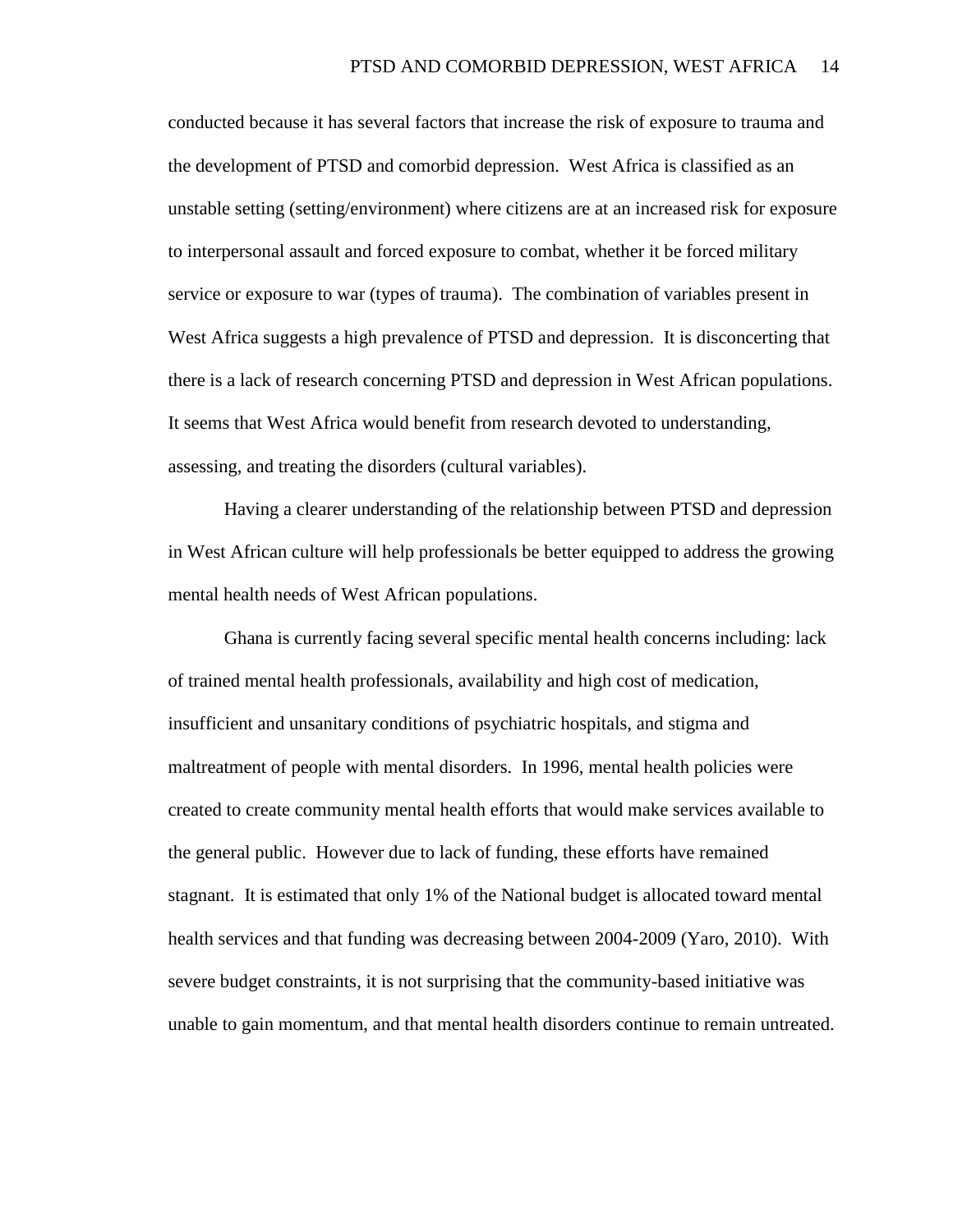conducted because it has several factors that increase the risk of exposure to trauma and the development of PTSD and comorbid depression. West Africa is classified as an unstable setting (setting/environment) where citizens are at an increased risk for exposure to interpersonal assault and forced exposure to combat, whether it be forced military service or exposure to war (types of trauma). The combination of variables present in West Africa suggests a high prevalence of PTSD and depression. It is disconcerting that there is a lack of research concerning PTSD and depression in West African populations. It seems that West Africa would benefit from research devoted to understanding, assessing, and treating the disorders (cultural variables).

Having a clearer understanding of the relationship between PTSD and depression in West African culture will help professionals be better equipped to address the growing mental health needs of West African populations.

Ghana is currently facing several specific mental health concerns including: lack of trained mental health professionals, availability and high cost of medication, insufficient and unsanitary conditions of psychiatric hospitals, and stigma and maltreatment of people with mental disorders. In 1996, mental health policies were created to create community mental health efforts that would make services available to the general public. However due to lack of funding, these efforts have remained stagnant. It is estimated that only 1% of the National budget is allocated toward mental health services and that funding was decreasing between 2004-2009 (Yaro, 2010). With severe budget constraints, it is not surprising that the community-based initiative was unable to gain momentum, and that mental health disorders continue to remain untreated.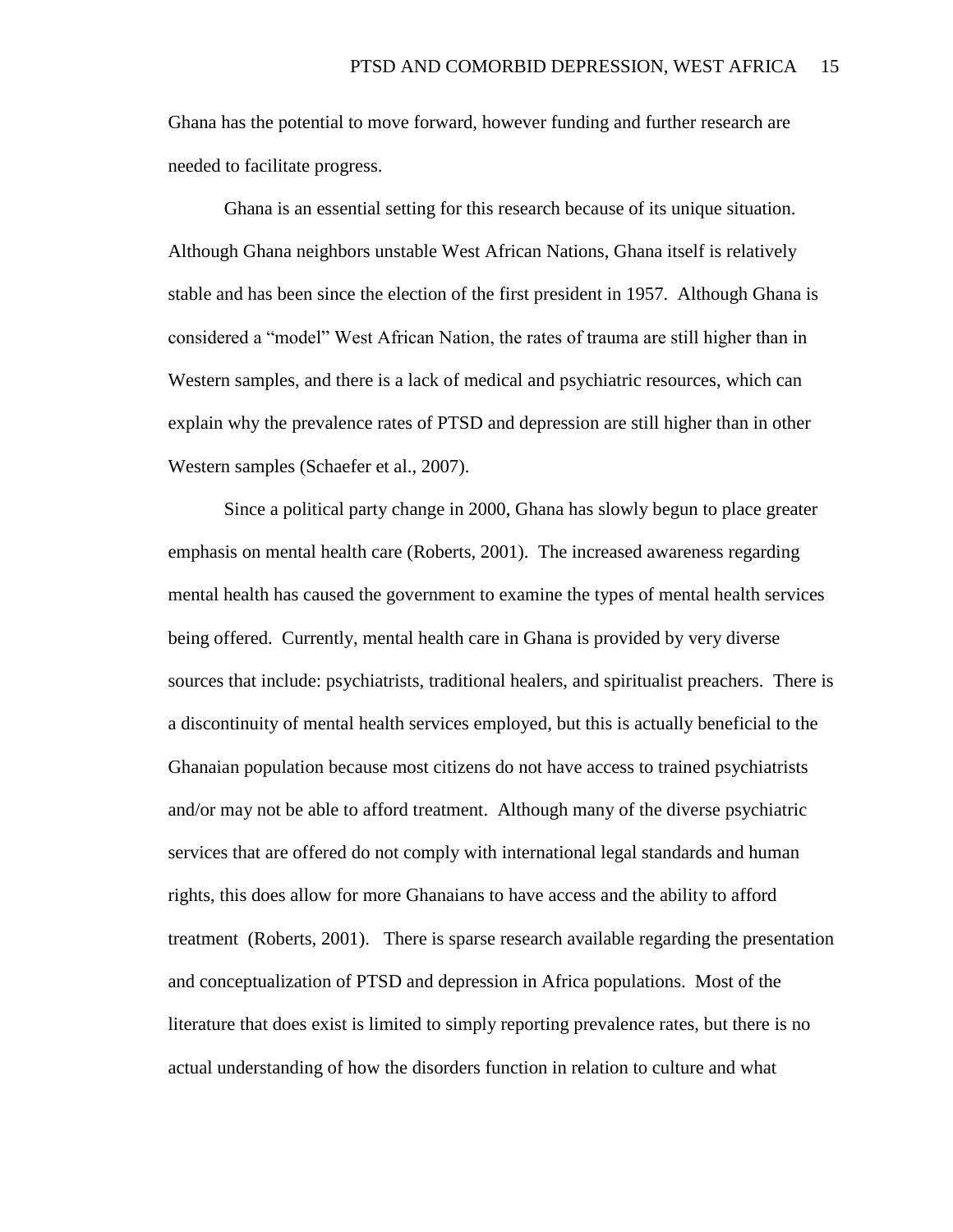Ghana has the potential to move forward, however funding and further research are needed to facilitate progress.

Ghana is an essential setting for this research because of its unique situation. Although Ghana neighbors unstable West African Nations, Ghana itself is relatively stable and has been since the election of the first president in 1957. Although Ghana is considered a "model" West African Nation, the rates of trauma are still higher than in Western samples, and there is a lack of medical and psychiatric resources, which can explain why the prevalence rates of PTSD and depression are still higher than in other Western samples (Schaefer et al., 2007).

Since a political party change in 2000, Ghana has slowly begun to place greater emphasis on mental health care (Roberts, 2001). The increased awareness regarding mental health has caused the government to examine the types of mental health services being offered. Currently, mental health care in Ghana is provided by very diverse sources that include: psychiatrists, traditional healers, and spiritualist preachers. There is a discontinuity of mental health services employed, but this is actually beneficial to the Ghanaian population because most citizens do not have access to trained psychiatrists and/or may not be able to afford treatment. Although many of the diverse psychiatric services that are offered do not comply with international legal standards and human rights, this does allow for more Ghanaians to have access and the ability to afford treatment (Roberts, 2001). There is sparse research available regarding the presentation and conceptualization of PTSD and depression in Africa populations. Most of the literature that does exist is limited to simply reporting prevalence rates, but there is no actual understanding of how the disorders function in relation to culture and what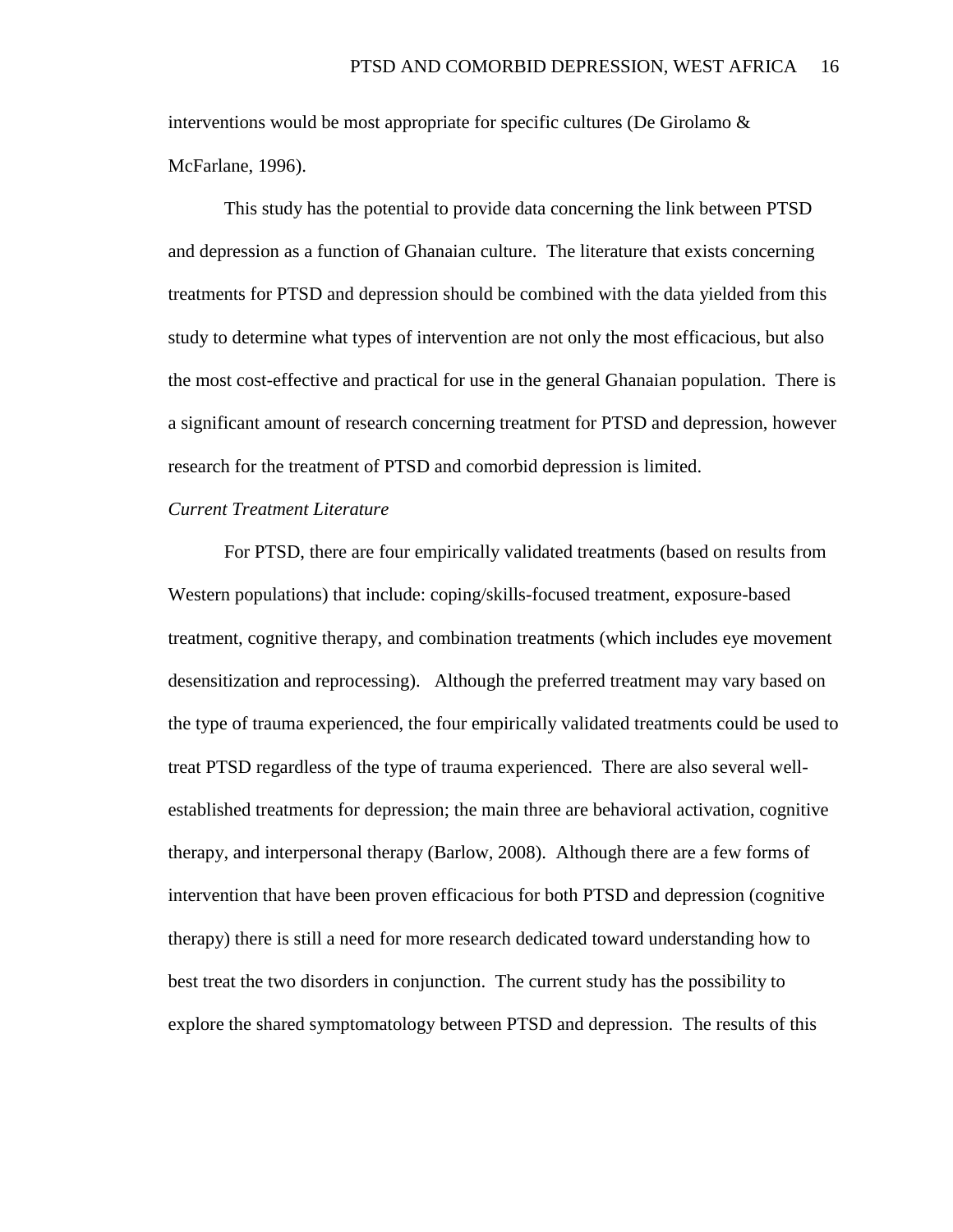interventions would be most appropriate for specific cultures (De Girolamo & McFarlane, 1996).

This study has the potential to provide data concerning the link between PTSD and depression as a function of Ghanaian culture. The literature that exists concerning treatments for PTSD and depression should be combined with the data yielded from this study to determine what types of intervention are not only the most efficacious, but also the most cost-effective and practical for use in the general Ghanaian population. There is a significant amount of research concerning treatment for PTSD and depression, however research for the treatment of PTSD and comorbid depression is limited.

# *Current Treatment Literature*

For PTSD, there are four empirically validated treatments (based on results from Western populations) that include: coping/skills-focused treatment, exposure-based treatment, cognitive therapy, and combination treatments (which includes eye movement desensitization and reprocessing). Although the preferred treatment may vary based on the type of trauma experienced, the four empirically validated treatments could be used to treat PTSD regardless of the type of trauma experienced. There are also several wellestablished treatments for depression; the main three are behavioral activation, cognitive therapy, and interpersonal therapy (Barlow, 2008). Although there are a few forms of intervention that have been proven efficacious for both PTSD and depression (cognitive therapy) there is still a need for more research dedicated toward understanding how to best treat the two disorders in conjunction. The current study has the possibility to explore the shared symptomatology between PTSD and depression. The results of this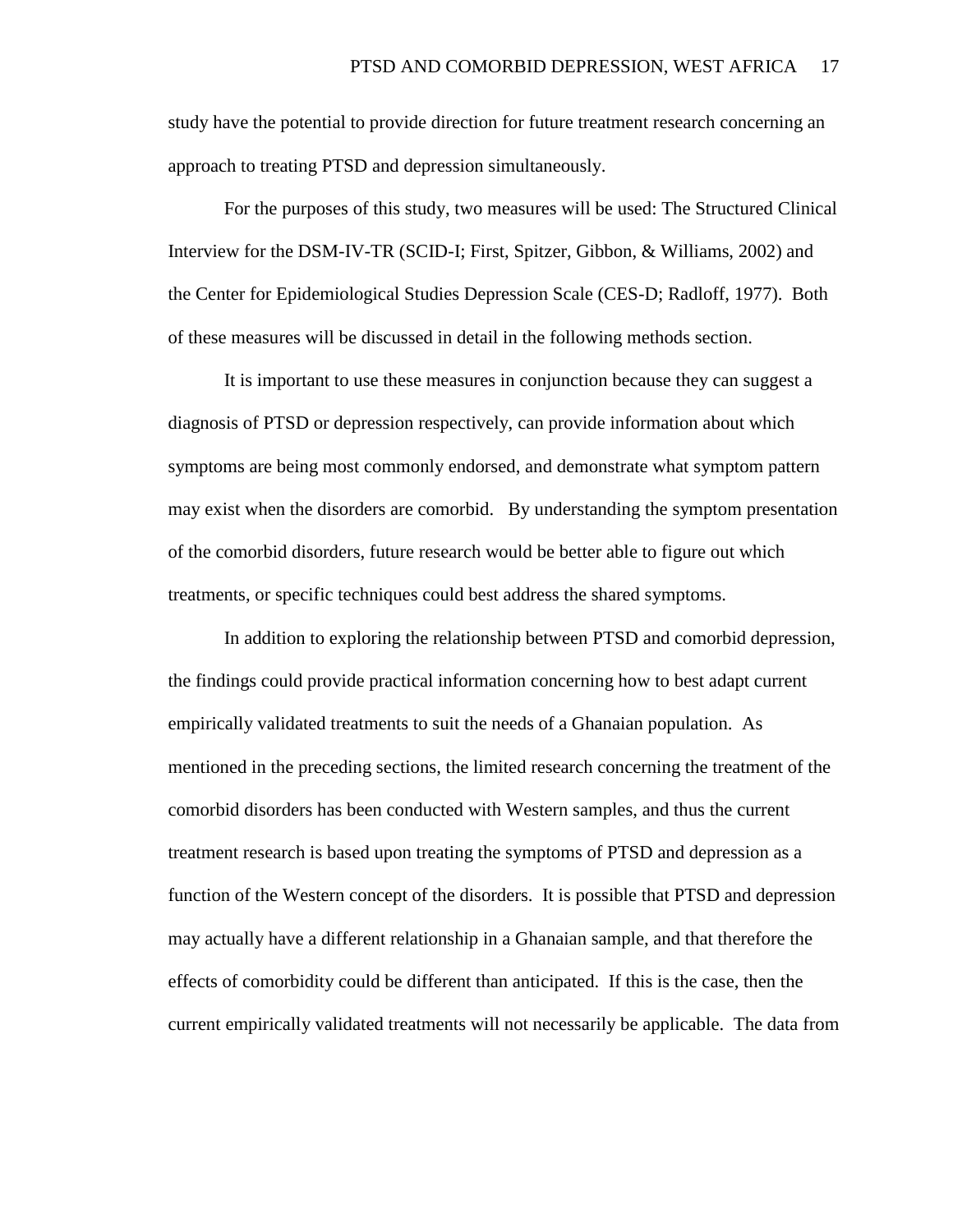study have the potential to provide direction for future treatment research concerning an approach to treating PTSD and depression simultaneously.

For the purposes of this study, two measures will be used: The Structured Clinical Interview for the DSM-IV-TR (SCID-I; First, Spitzer, Gibbon, & Williams, 2002) and the Center for Epidemiological Studies Depression Scale (CES-D; Radloff, 1977). Both of these measures will be discussed in detail in the following methods section.

It is important to use these measures in conjunction because they can suggest a diagnosis of PTSD or depression respectively, can provide information about which symptoms are being most commonly endorsed, and demonstrate what symptom pattern may exist when the disorders are comorbid. By understanding the symptom presentation of the comorbid disorders, future research would be better able to figure out which treatments, or specific techniques could best address the shared symptoms.

In addition to exploring the relationship between PTSD and comorbid depression, the findings could provide practical information concerning how to best adapt current empirically validated treatments to suit the needs of a Ghanaian population. As mentioned in the preceding sections, the limited research concerning the treatment of the comorbid disorders has been conducted with Western samples, and thus the current treatment research is based upon treating the symptoms of PTSD and depression as a function of the Western concept of the disorders. It is possible that PTSD and depression may actually have a different relationship in a Ghanaian sample, and that therefore the effects of comorbidity could be different than anticipated. If this is the case, then the current empirically validated treatments will not necessarily be applicable. The data from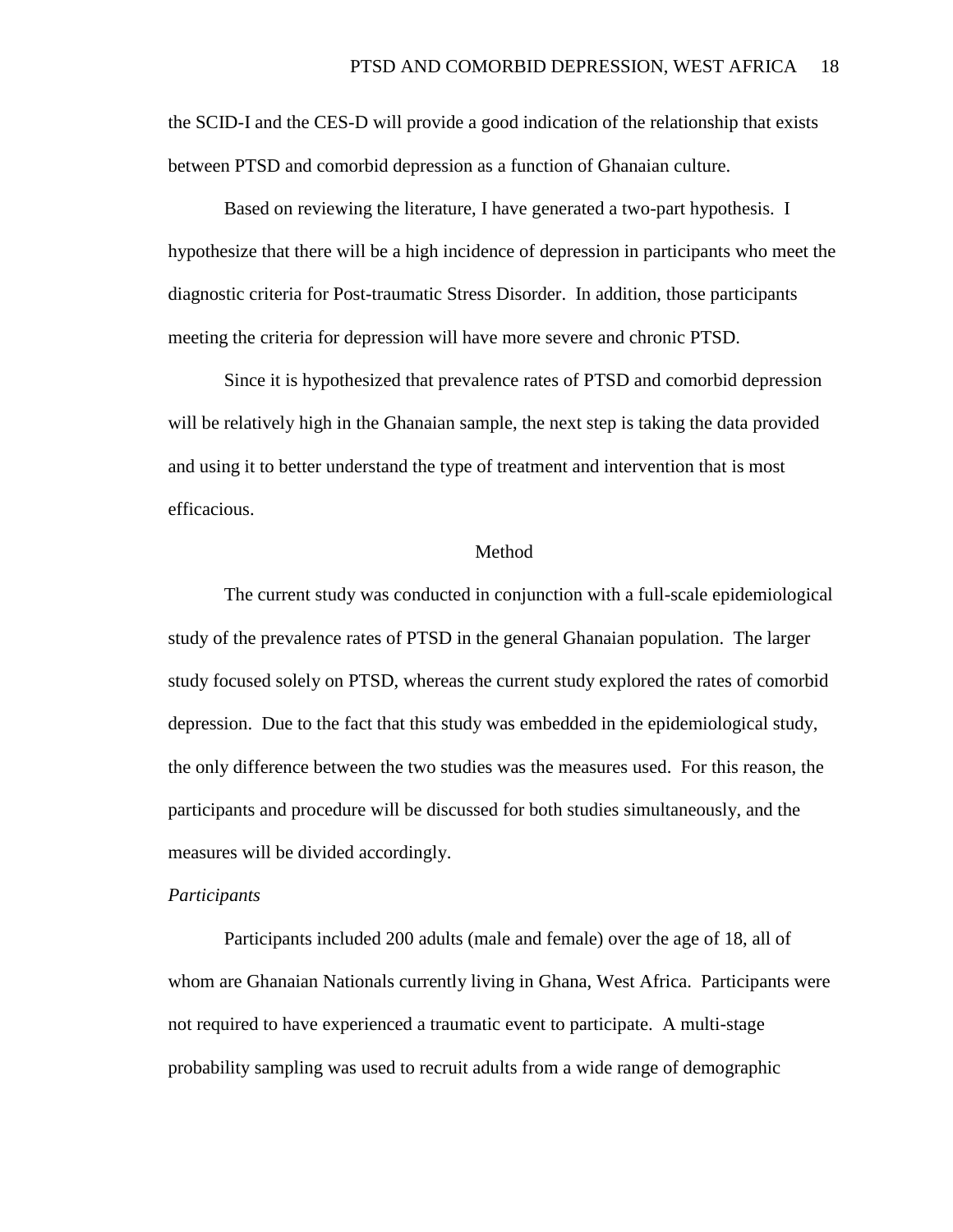the SCID-I and the CES-D will provide a good indication of the relationship that exists between PTSD and comorbid depression as a function of Ghanaian culture.

Based on reviewing the literature, I have generated a two-part hypothesis. I hypothesize that there will be a high incidence of depression in participants who meet the diagnostic criteria for Post-traumatic Stress Disorder. In addition, those participants meeting the criteria for depression will have more severe and chronic PTSD.

Since it is hypothesized that prevalence rates of PTSD and comorbid depression will be relatively high in the Ghanaian sample, the next step is taking the data provided and using it to better understand the type of treatment and intervention that is most efficacious.

#### Method

The current study was conducted in conjunction with a full-scale epidemiological study of the prevalence rates of PTSD in the general Ghanaian population. The larger study focused solely on PTSD, whereas the current study explored the rates of comorbid depression. Due to the fact that this study was embedded in the epidemiological study, the only difference between the two studies was the measures used. For this reason, the participants and procedure will be discussed for both studies simultaneously, and the measures will be divided accordingly.

#### *Participants*

Participants included 200 adults (male and female) over the age of 18, all of whom are Ghanaian Nationals currently living in Ghana, West Africa. Participants were not required to have experienced a traumatic event to participate. A multi-stage probability sampling was used to recruit adults from a wide range of demographic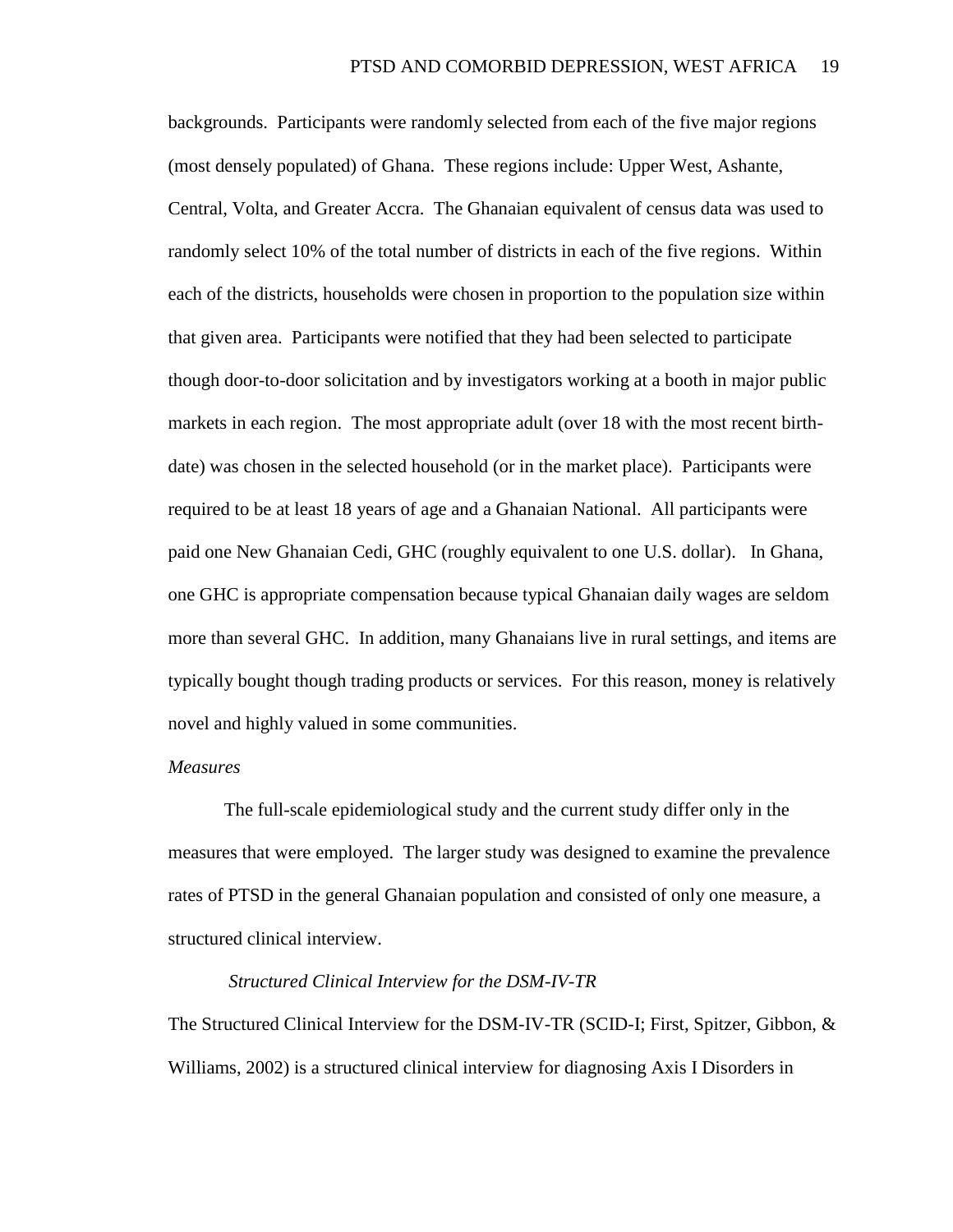backgrounds. Participants were randomly selected from each of the five major regions (most densely populated) of Ghana. These regions include: Upper West, Ashante, Central, Volta, and Greater Accra. The Ghanaian equivalent of census data was used to randomly select 10% of the total number of districts in each of the five regions. Within each of the districts, households were chosen in proportion to the population size within that given area. Participants were notified that they had been selected to participate though door-to-door solicitation and by investigators working at a booth in major public markets in each region. The most appropriate adult (over 18 with the most recent birthdate) was chosen in the selected household (or in the market place). Participants were required to be at least 18 years of age and a Ghanaian National. All participants were paid one New Ghanaian Cedi, GHC (roughly equivalent to one U.S. dollar).In Ghana, one GHC is appropriate compensation because typical Ghanaian daily wages are seldom more than several GHC. In addition, many Ghanaians live in rural settings, and items are typically bought though trading products or services. For this reason, money is relatively novel and highly valued in some communities.

### *Measures*

The full-scale epidemiological study and the current study differ only in the measures that were employed. The larger study was designed to examine the prevalence rates of PTSD in the general Ghanaian population and consisted of only one measure, a structured clinical interview.

#### *Structured Clinical Interview for the DSM-IV-TR*

The Structured Clinical Interview for the DSM-IV-TR (SCID-I; First, Spitzer, Gibbon, & Williams, 2002) is a structured clinical interview for diagnosing Axis I Disorders in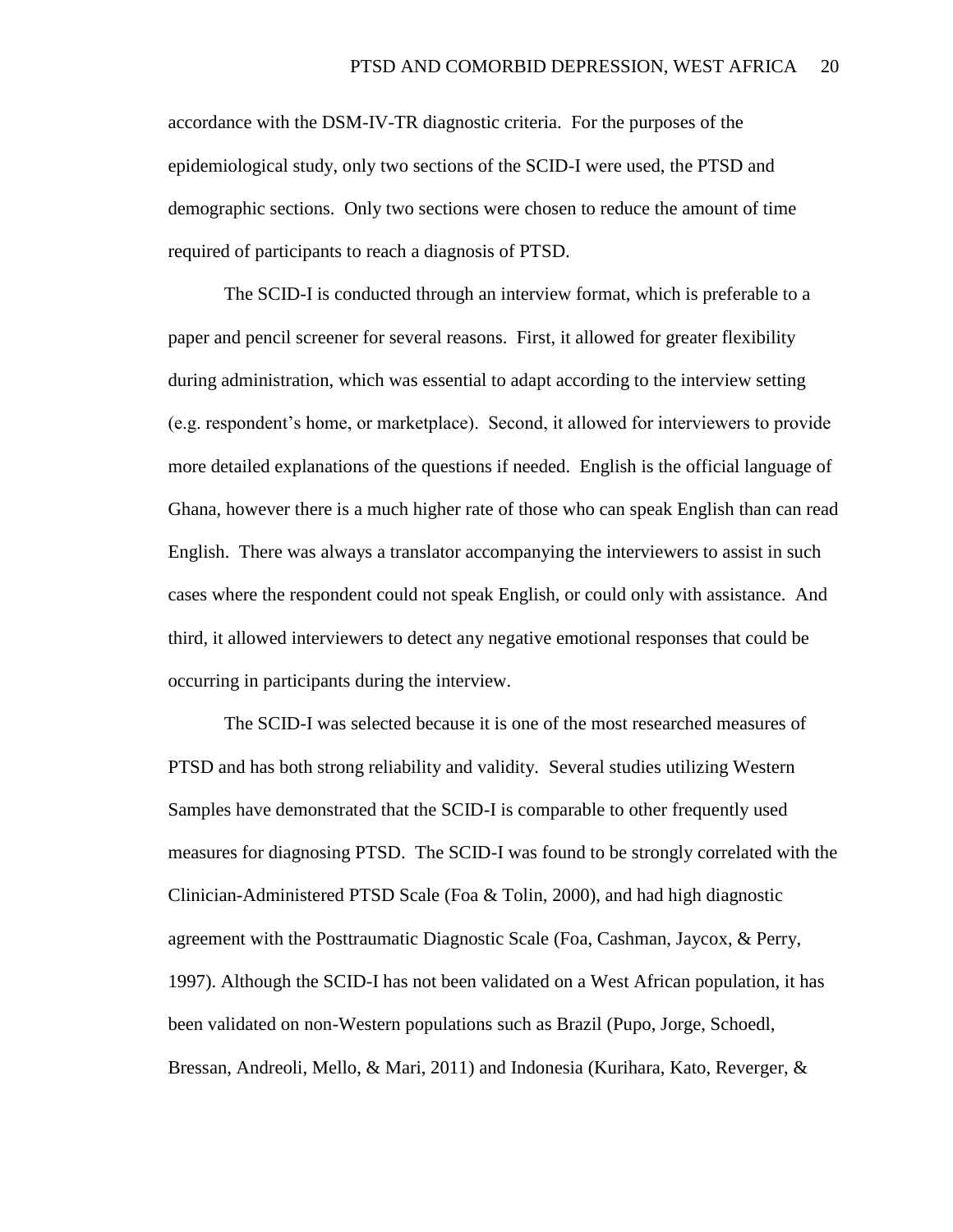accordance with the DSM-IV-TR diagnostic criteria. For the purposes of the epidemiological study, only two sections of the SCID-I were used, the PTSD and demographic sections. Only two sections were chosen to reduce the amount of time required of participants to reach a diagnosis of PTSD.

The SCID-I is conducted through an interview format, which is preferable to a paper and pencil screener for several reasons. First, it allowed for greater flexibility during administration, which was essential to adapt according to the interview setting (e.g. respondent's home, or marketplace). Second, it allowed for interviewers to provide more detailed explanations of the questions if needed. English is the official language of Ghana, however there is a much higher rate of those who can speak English than can read English. There was always a translator accompanying the interviewers to assist in such cases where the respondent could not speak English, or could only with assistance. And third, it allowed interviewers to detect any negative emotional responses that could be occurring in participants during the interview.

The SCID-I was selected because it is one of the most researched measures of PTSD and has both strong reliability and validity. Several studies utilizing Western Samples have demonstrated that the SCID-I is comparable to other frequently used measures for diagnosing PTSD. The SCID-I was found to be strongly correlated with the Clinician-Administered PTSD Scale (Foa & Tolin, 2000), and had high diagnostic agreement with the Posttraumatic Diagnostic Scale (Foa, Cashman, Jaycox, & Perry, 1997). Although the SCID-I has not been validated on a West African population, it has been validated on non-Western populations such as Brazil (Pupo, Jorge, Schoedl, Bressan, Andreoli, Mello, & Mari, 2011) and Indonesia (Kurihara, Kato, Reverger, &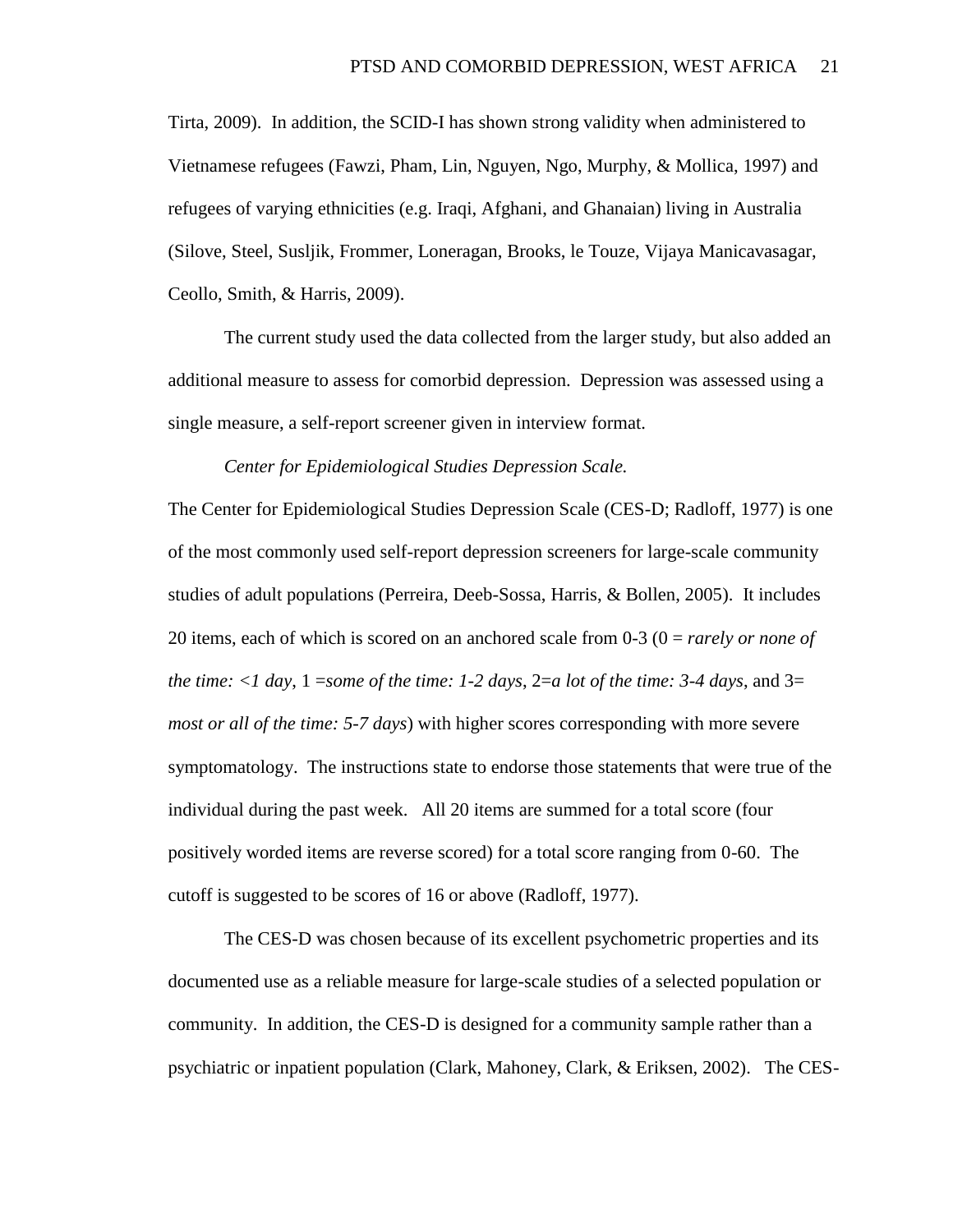Tirta, 2009). In addition, the SCID-I has shown strong validity when administered to Vietnamese refugees (Fawzi, Pham, Lin, Nguyen, Ngo, Murphy, & Mollica, 1997) and refugees of varying ethnicities (e.g. Iraqi, Afghani, and Ghanaian) living in Australia (Silove, Steel, Susljik, Frommer, Loneragan, Brooks, le Touze, Vijaya Manicavasagar, Ceollo, Smith, & Harris, 2009).

The current study used the data collected from the larger study, but also added an additional measure to assess for comorbid depression. Depression was assessed using a single measure, a self-report screener given in interview format.

#### *Center for Epidemiological Studies Depression Scale.*

The Center for Epidemiological Studies Depression Scale (CES-D; Radloff, 1977) is one of the most commonly used self-report depression screeners for large-scale community studies of adult populations (Perreira, Deeb-Sossa, Harris, & Bollen, 2005). It includes 20 items, each of which is scored on an anchored scale from 0-3 (0 = *rarely or none of the time:*  $\langle 1 \rangle$  *day*,  $1 =$ *some of the time:*  $1 - 2 \angle d$ *ays*,  $2 =$ *a lot of the time:*  $3 - 4 \angle d$ *ays*, and  $3 =$ *most or all of the time: 5-7 days*) with higher scores corresponding with more severe symptomatology. The instructions state to endorse those statements that were true of the individual during the past week. All 20 items are summed for a total score (four positively worded items are reverse scored) for a total score ranging from 0-60. The cutoff is suggested to be scores of 16 or above (Radloff, 1977).

The CES-D was chosen because of its excellent psychometric properties and its documented use as a reliable measure for large-scale studies of a selected population or community. In addition, the CES-D is designed for a community sample rather than a psychiatric or inpatient population (Clark, Mahoney, Clark, & Eriksen, 2002). The CES-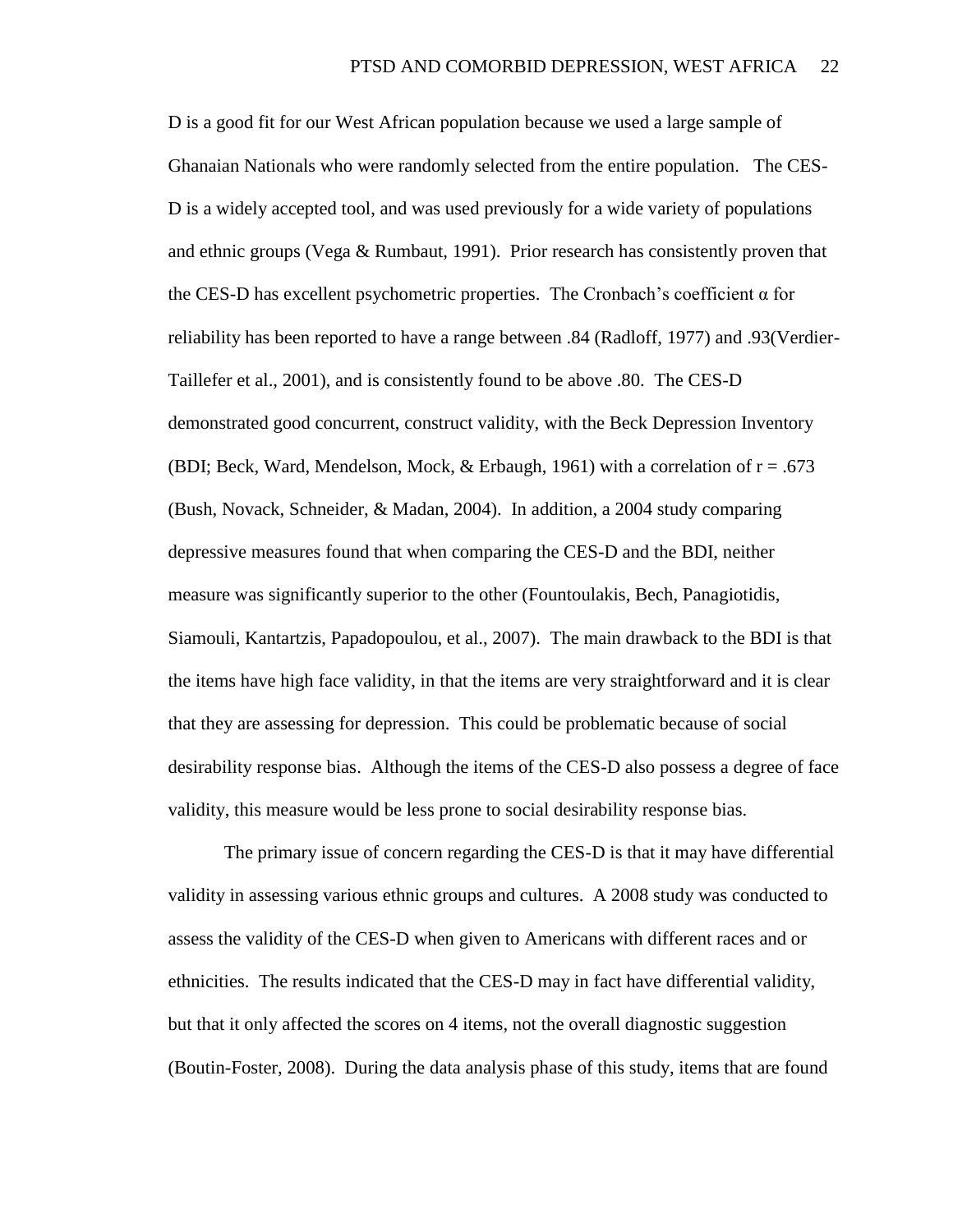D is a good fit for our West African population because we used a large sample of Ghanaian Nationals who were randomly selected from the entire population. The CES-D is a widely accepted tool, and was used previously for a wide variety of populations and ethnic groups (Vega & Rumbaut, 1991). Prior research has consistently proven that the CES-D has excellent psychometric properties. The Cronbach's coefficient  $\alpha$  for reliability has been reported to have a range between .84 (Radloff, 1977) and .93(Verdier-Taillefer et al., 2001), and is consistently found to be above .80. The CES-D demonstrated good concurrent, construct validity, with the Beck Depression Inventory (BDI; Beck, Ward, Mendelson, Mock, & Erbaugh, 1961) with a correlation of  $r = .673$ (Bush, Novack, Schneider, & Madan, 2004). In addition, a 2004 study comparing depressive measures found that when comparing the CES-D and the BDI, neither measure was significantly superior to the other (Fountoulakis, Bech, Panagiotidis, Siamouli, Kantartzis, Papadopoulou, et al., 2007). The main drawback to the BDI is that the items have high face validity, in that the items are very straightforward and it is clear that they are assessing for depression. This could be problematic because of social desirability response bias. Although the items of the CES-D also possess a degree of face validity, this measure would be less prone to social desirability response bias.

The primary issue of concern regarding the CES-D is that it may have differential validity in assessing various ethnic groups and cultures. A 2008 study was conducted to assess the validity of the CES-D when given to Americans with different races and or ethnicities. The results indicated that the CES-D may in fact have differential validity, but that it only affected the scores on 4 items, not the overall diagnostic suggestion (Boutin-Foster, 2008). During the data analysis phase of this study, items that are found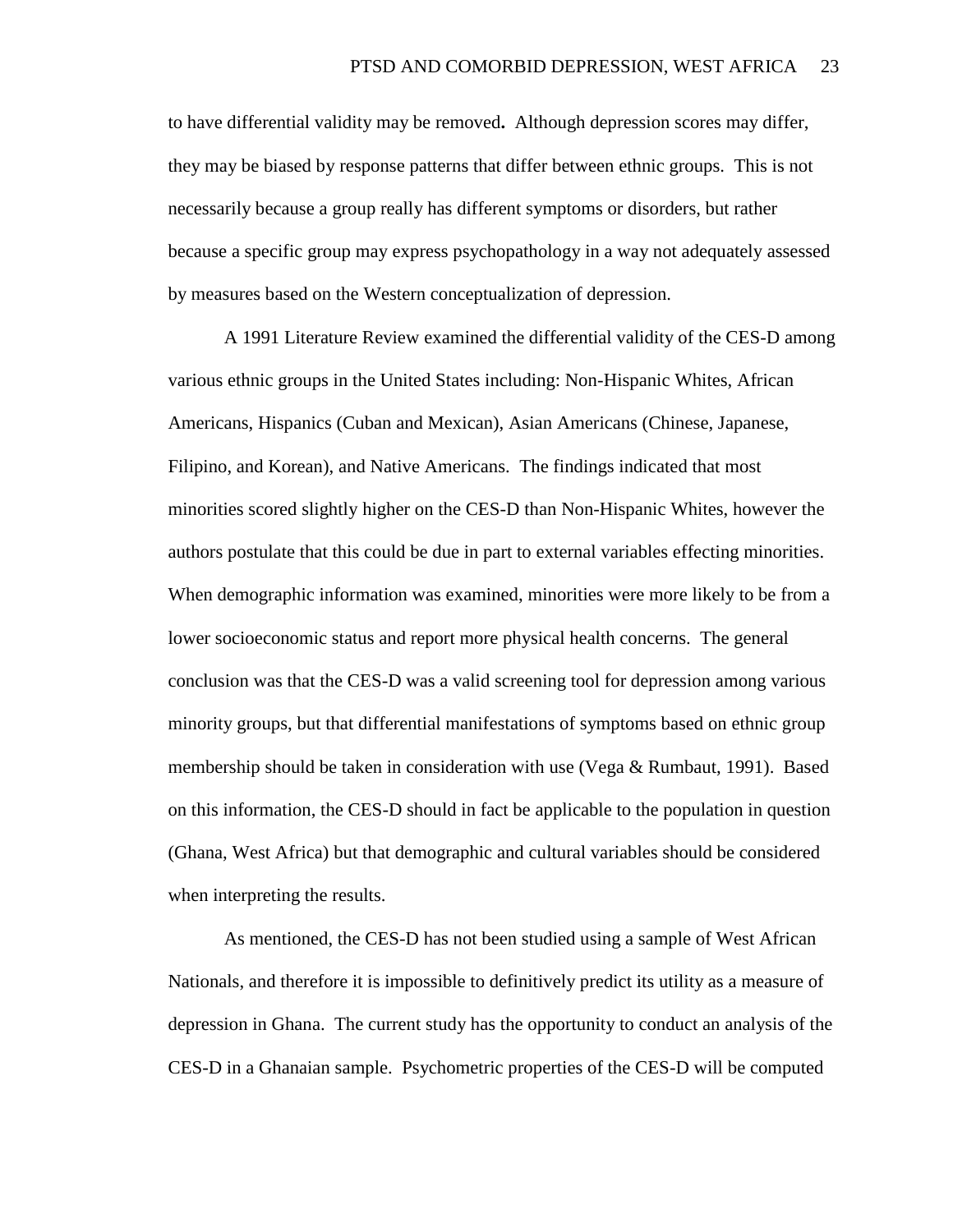to have differential validity may be removed**.** Although depression scores may differ, they may be biased by response patterns that differ between ethnic groups. This is not necessarily because a group really has different symptoms or disorders, but rather because a specific group may express psychopathology in a way not adequately assessed by measures based on the Western conceptualization of depression.

A 1991 Literature Review examined the differential validity of the CES-D among various ethnic groups in the United States including: Non-Hispanic Whites, African Americans, Hispanics (Cuban and Mexican), Asian Americans (Chinese, Japanese, Filipino, and Korean), and Native Americans. The findings indicated that most minorities scored slightly higher on the CES-D than Non-Hispanic Whites, however the authors postulate that this could be due in part to external variables effecting minorities. When demographic information was examined, minorities were more likely to be from a lower socioeconomic status and report more physical health concerns. The general conclusion was that the CES-D was a valid screening tool for depression among various minority groups, but that differential manifestations of symptoms based on ethnic group membership should be taken in consideration with use (Vega  $\&$  Rumbaut, 1991). Based on this information, the CES-D should in fact be applicable to the population in question (Ghana, West Africa) but that demographic and cultural variables should be considered when interpreting the results.

As mentioned, the CES-D has not been studied using a sample of West African Nationals, and therefore it is impossible to definitively predict its utility as a measure of depression in Ghana. The current study has the opportunity to conduct an analysis of the CES-D in a Ghanaian sample. Psychometric properties of the CES-D will be computed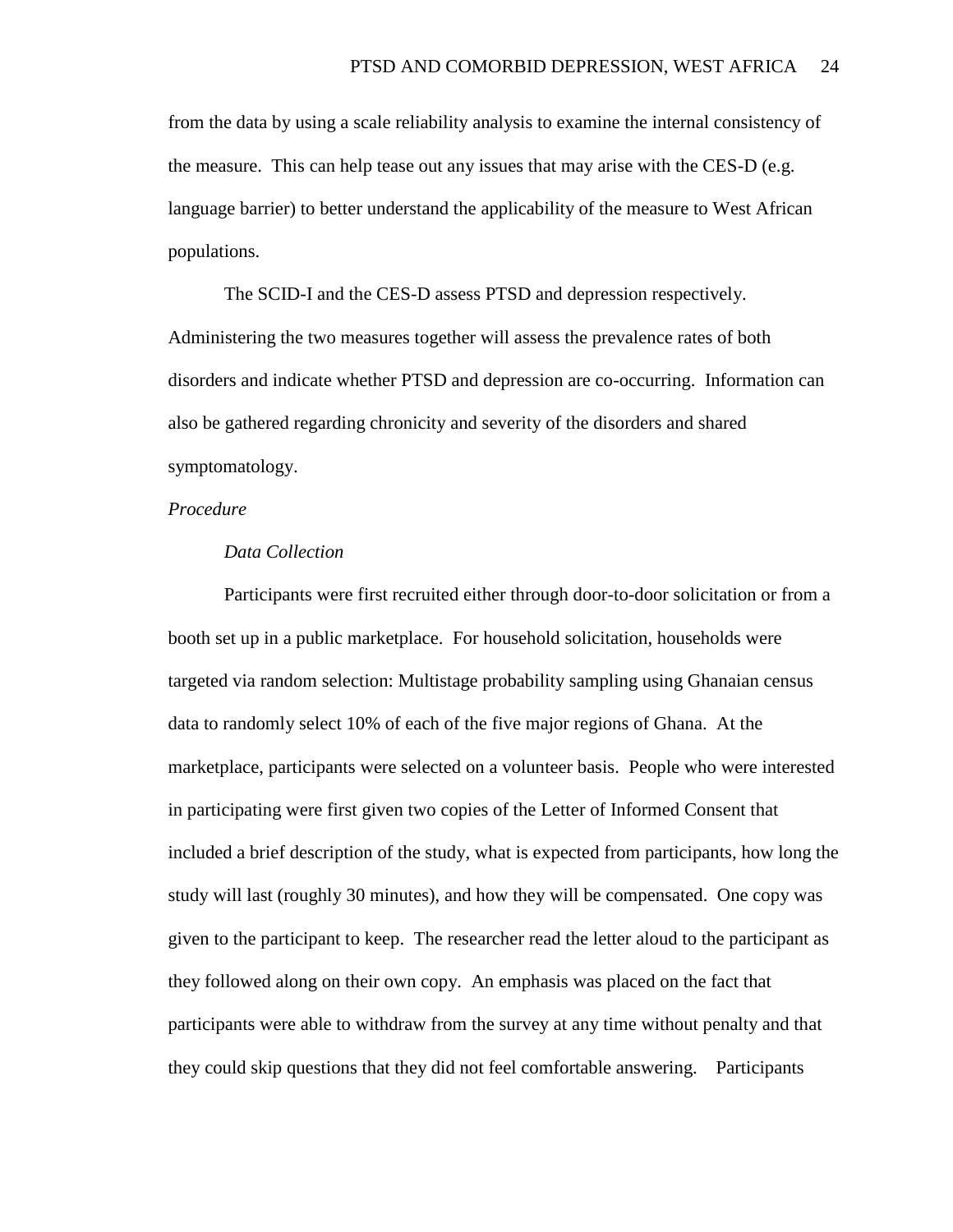from the data by using a scale reliability analysis to examine the internal consistency of the measure. This can help tease out any issues that may arise with the CES-D (e.g. language barrier) to better understand the applicability of the measure to West African populations.

The SCID-I and the CES-D assess PTSD and depression respectively. Administering the two measures together will assess the prevalence rates of both disorders and indicate whether PTSD and depression are co-occurring. Information can also be gathered regarding chronicity and severity of the disorders and shared symptomatology.

### *Procedure*

# *Data Collection*

Participants were first recruited either through door-to-door solicitation or from a booth set up in a public marketplace.For household solicitation, households were targeted via random selection: Multistage probability sampling using Ghanaian census data to randomly select 10% of each of the five major regions of Ghana. At the marketplace, participants were selected on a volunteer basis. People who were interested in participating were first given two copies of the Letter of Informed Consent that included a brief description of the study, what is expected from participants, how long the study will last (roughly 30 minutes), and how they will be compensated. One copy was given to the participant to keep. The researcher read the letter aloud to the participant as they followed along on their own copy. An emphasis was placed on the fact that participants were able to withdraw from the survey at any time without penalty and that they could skip questions that they did not feel comfortable answering. Participants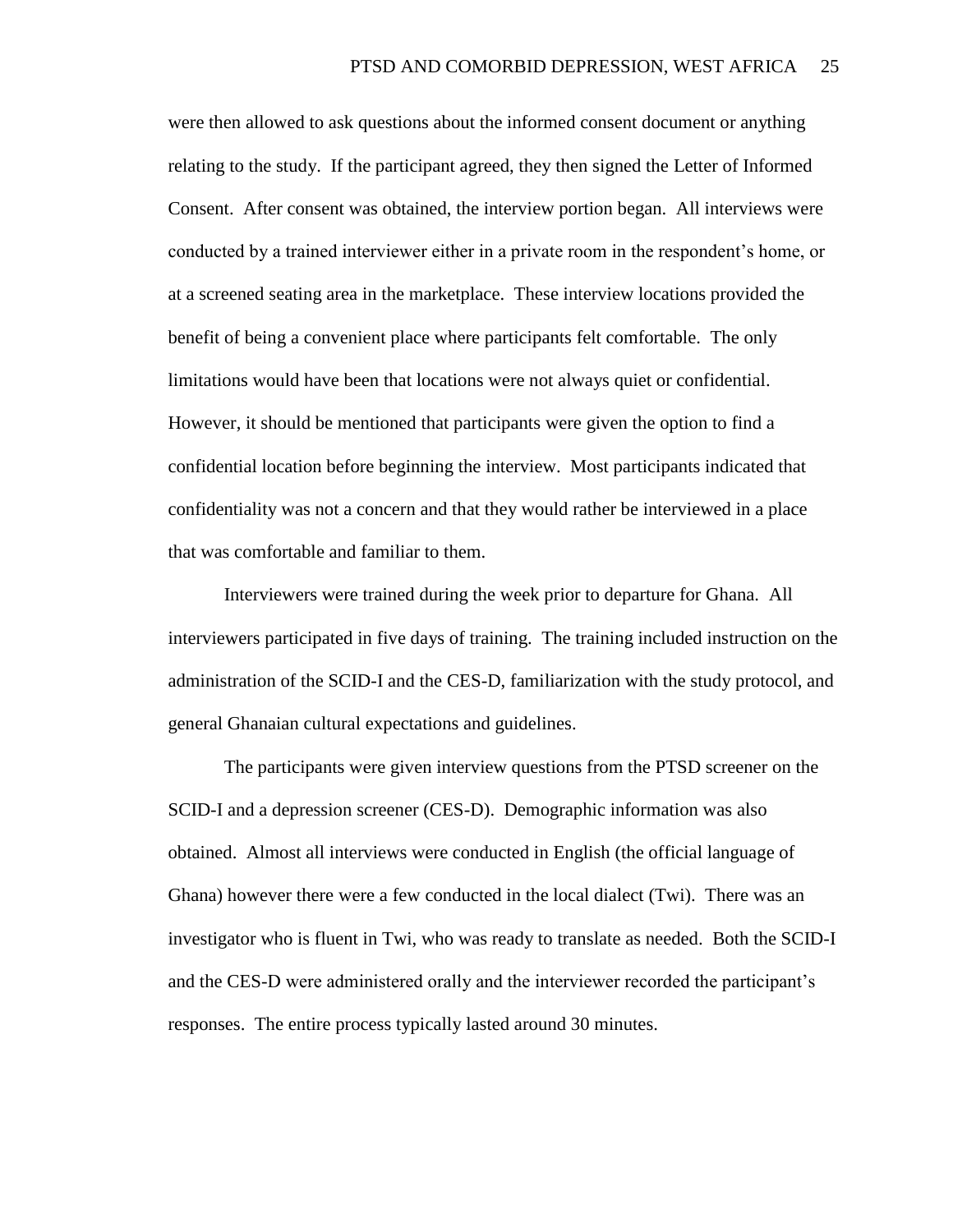were then allowed to ask questions about the informed consent document or anything relating to the study. If the participant agreed, they then signed the Letter of Informed Consent. After consent was obtained, the interview portion began. All interviews were conducted by a trained interviewer either in a private room in the respondent's home, or at a screened seating area in the marketplace. These interview locations provided the benefit of being a convenient place where participants felt comfortable. The only limitations would have been that locations were not always quiet or confidential. However, it should be mentioned that participants were given the option to find a confidential location before beginning the interview. Most participants indicated that confidentiality was not a concern and that they would rather be interviewed in a place that was comfortable and familiar to them.

Interviewers were trained during the week prior to departure for Ghana. All interviewers participated in five days of training. The training included instruction on the administration of the SCID-I and the CES-D, familiarization with the study protocol, and general Ghanaian cultural expectations and guidelines.

The participants were given interview questions from the PTSD screener on the SCID-I and a depression screener (CES-D). Demographic information was also obtained. Almost all interviews were conducted in English (the official language of Ghana) however there were a few conducted in the local dialect (Twi). There was an investigator who is fluent in Twi, who was ready to translate as needed. Both the SCID-I and the CES-D were administered orally and the interviewer recorded the participant's responses. The entire process typically lasted around 30 minutes.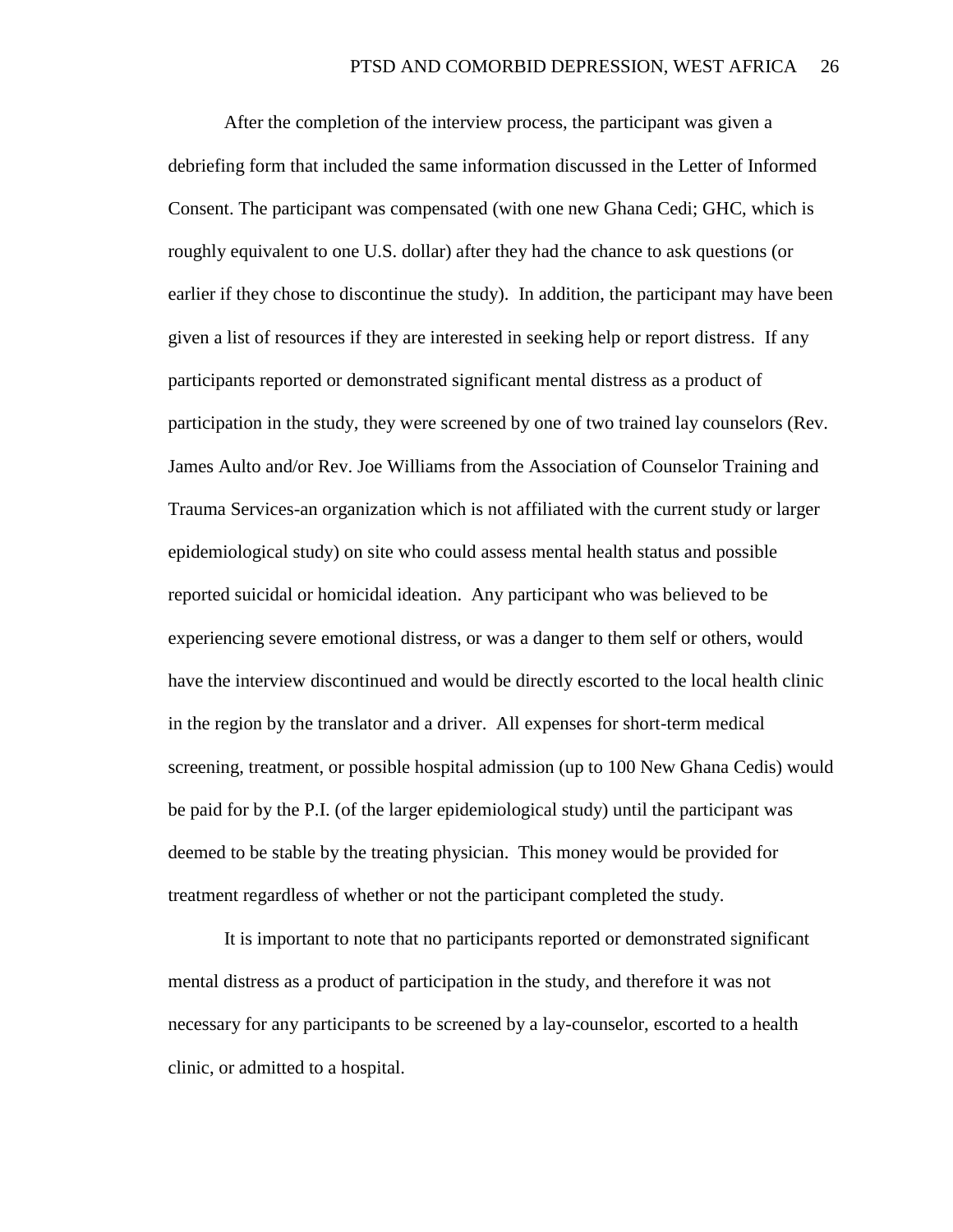After the completion of the interview process, the participant was given a debriefing form that included the same information discussed in the Letter of Informed Consent. The participant was compensated (with one new Ghana Cedi; GHC, which is roughly equivalent to one U.S. dollar) after they had the chance to ask questions (or earlier if they chose to discontinue the study). In addition, the participant may have been given a list of resources if they are interested in seeking help or report distress. If any participants reported or demonstrated significant mental distress as a product of participation in the study, they were screened by one of two trained lay counselors (Rev. James Aulto and/or Rev. Joe Williams from the Association of Counselor Training and Trauma Services-an organization which is not affiliated with the current study or larger epidemiological study) on site who could assess mental health status and possible reported suicidal or homicidal ideation. Any participant who was believed to be experiencing severe emotional distress, or was a danger to them self or others, would have the interview discontinued and would be directly escorted to the local health clinic in the region by the translator and a driver. All expenses for short-term medical screening, treatment, or possible hospital admission (up to 100 New Ghana Cedis) would be paid for by the P.I. (of the larger epidemiological study) until the participant was deemed to be stable by the treating physician. This money would be provided for treatment regardless of whether or not the participant completed the study.

It is important to note that no participants reported or demonstrated significant mental distress as a product of participation in the study, and therefore it was not necessary for any participants to be screened by a lay-counselor, escorted to a health clinic, or admitted to a hospital.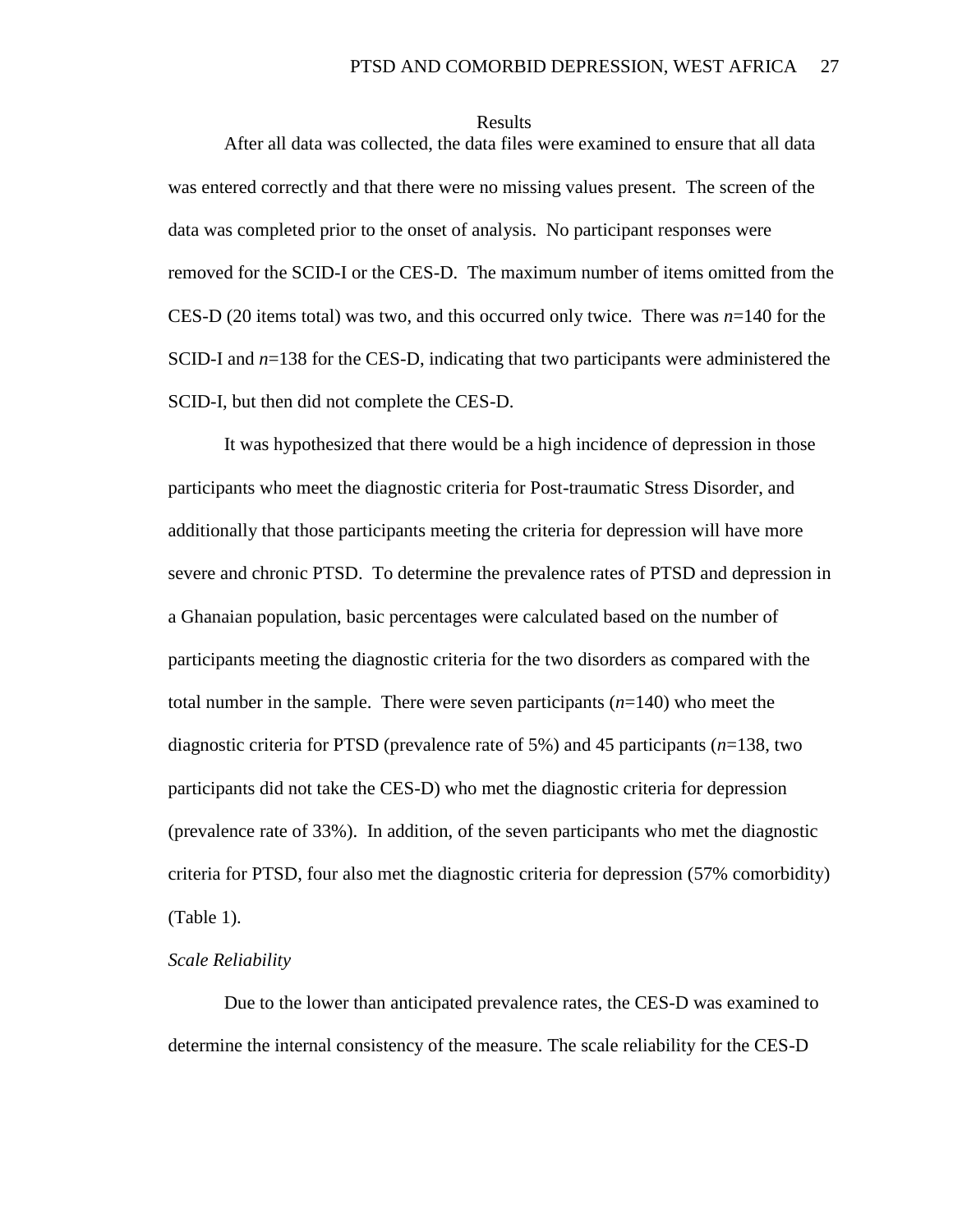#### Results

After all data was collected, the data files were examined to ensure that all data was entered correctly and that there were no missing values present. The screen of the data was completed prior to the onset of analysis. No participant responses were removed for the SCID-I or the CES-D. The maximum number of items omitted from the CES-D (20 items total) was two, and this occurred only twice. There was *n*=140 for the SCID-I and  $n=138$  for the CES-D, indicating that two participants were administered the SCID-I, but then did not complete the CES-D.

It was hypothesized that there would be a high incidence of depression in those participants who meet the diagnostic criteria for Post-traumatic Stress Disorder, and additionally that those participants meeting the criteria for depression will have more severe and chronic PTSD. To determine the prevalence rates of PTSD and depression in a Ghanaian population, basic percentages were calculated based on the number of participants meeting the diagnostic criteria for the two disorders as compared with the total number in the sample. There were seven participants  $(n=140)$  who meet the diagnostic criteria for PTSD (prevalence rate of 5%) and 45 participants (*n*=138, two participants did not take the CES-D) who met the diagnostic criteria for depression (prevalence rate of 33%). In addition, of the seven participants who met the diagnostic criteria for PTSD, four also met the diagnostic criteria for depression (57% comorbidity) (Table 1).

### *Scale Reliability*

Due to the lower than anticipated prevalence rates, the CES-D was examined to determine the internal consistency of the measure. The scale reliability for the CES-D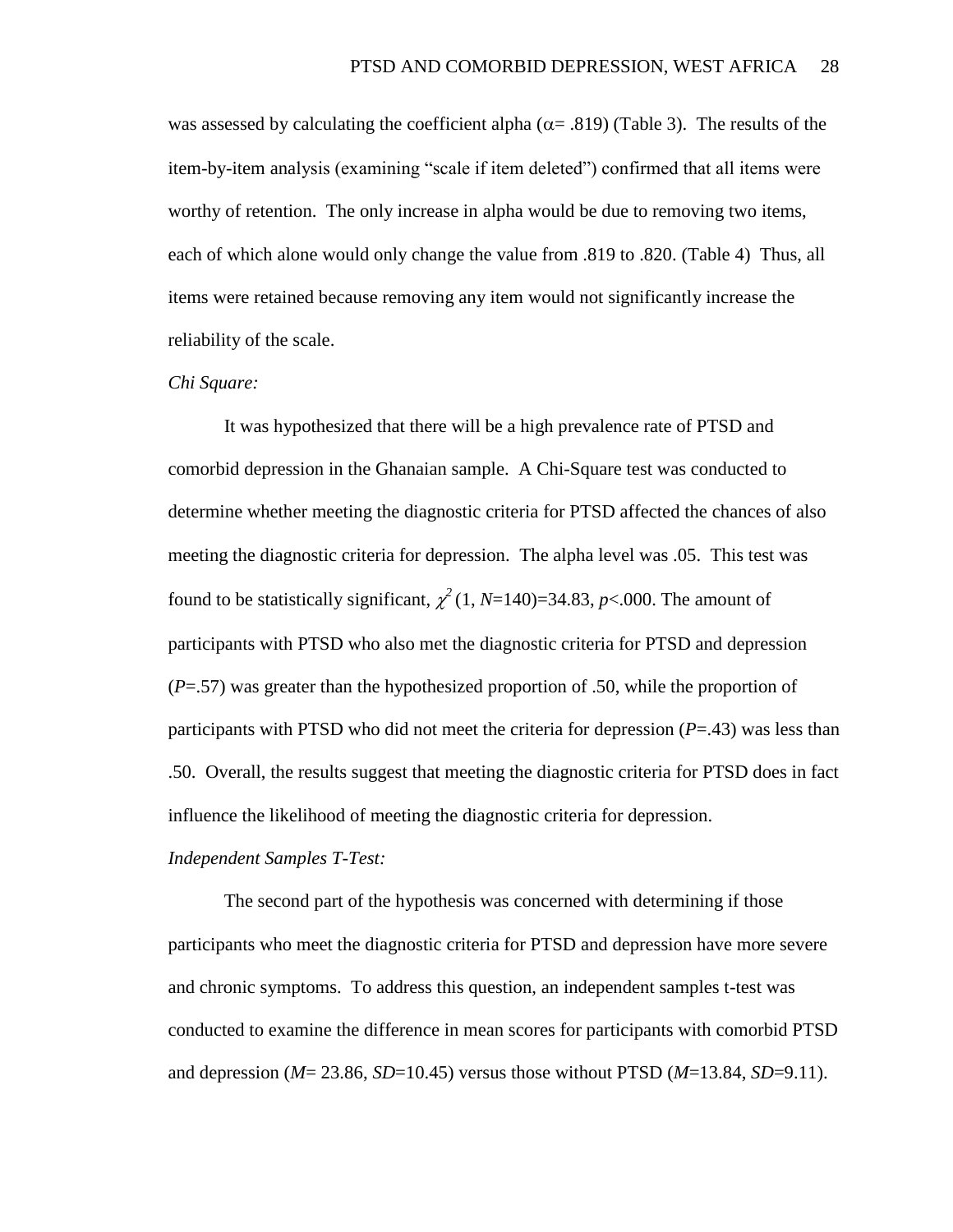was assessed by calculating the coefficient alpha ( $\alpha$ = .819) (Table 3). The results of the item-by-item analysis (examining "scale if item deleted") confirmed that all items were worthy of retention. The only increase in alpha would be due to removing two items, each of which alone would only change the value from .819 to .820. (Table 4) Thus, all items were retained because removing any item would not significantly increase the reliability of the scale.

### *Chi Square:*

It was hypothesized that there will be a high prevalence rate of PTSD and comorbid depression in the Ghanaian sample. A Chi-Square test was conducted to determine whether meeting the diagnostic criteria for PTSD affected the chances of also meeting the diagnostic criteria for depression. The alpha level was .05. This test was found to be statistically significant,  $\chi^2$  (1, *N*=140)=34.83, *p*<.000. The amount of participants with PTSD who also met the diagnostic criteria for PTSD and depression (*P*=.57) was greater than the hypothesized proportion of .50, while the proportion of participants with PTSD who did not meet the criteria for depression (*P*=.43) was less than .50. Overall, the results suggest that meeting the diagnostic criteria for PTSD does in fact influence the likelihood of meeting the diagnostic criteria for depression. *Independent Samples T-Test:* 

The second part of the hypothesis was concerned with determining if those participants who meet the diagnostic criteria for PTSD and depression have more severe and chronic symptoms. To address this question, an independent samples t-test was conducted to examine the difference in mean scores for participants with comorbid PTSD and depression (*M*= 23.86, *SD*=10.45) versus those without PTSD (*M*=13.84, *SD*=9.11).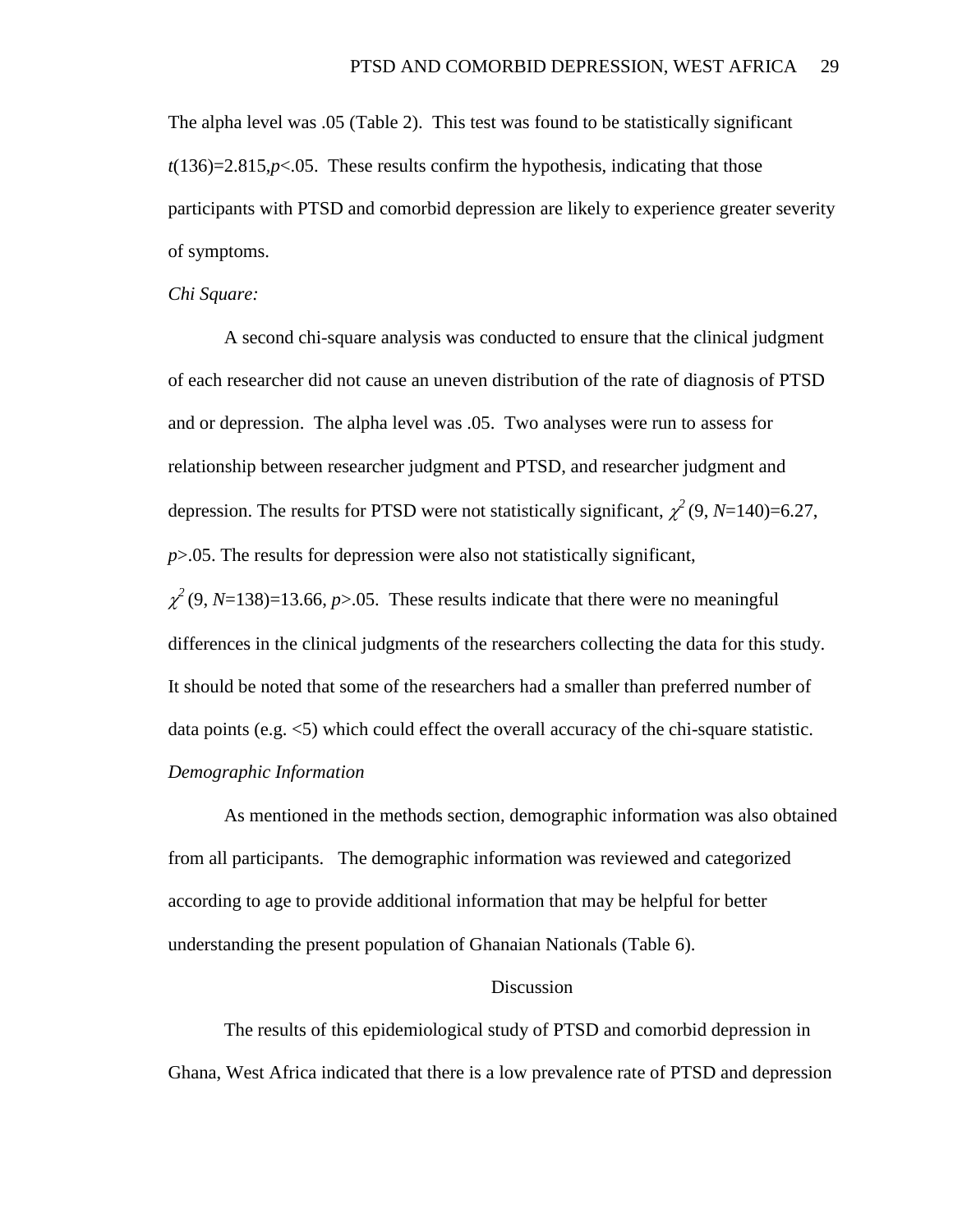The alpha level was .05 (Table 2). This test was found to be statistically significant  $t(136)=2.815, p<0.05$ . These results confirm the hypothesis, indicating that those participants with PTSD and comorbid depression are likely to experience greater severity of symptoms.

### *Chi Square:*

A second chi-square analysis was conducted to ensure that the clinical judgment of each researcher did not cause an uneven distribution of the rate of diagnosis of PTSD and or depression. The alpha level was .05. Two analyses were run to assess for relationship between researcher judgment and PTSD, and researcher judgment and depression. The results for PTSD were not statistically significant,  $\chi^2(9, N=140)=6.27$ , *p*>.05. The results for depression were also not statistically significant,  $\chi^2$  (9, *N*=138)=13.66, *p*>.05. These results indicate that there were no meaningful differences in the clinical judgments of the researchers collecting the data for this study. It should be noted that some of the researchers had a smaller than preferred number of data points (e.g. <5) which could effect the overall accuracy of the chi-square statistic. *Demographic Information*

As mentioned in the methods section, demographic information was also obtained from all participants. The demographic information was reviewed and categorized according to age to provide additional information that may be helpful for better understanding the present population of Ghanaian Nationals (Table 6).

### Discussion

The results of this epidemiological study of PTSD and comorbid depression in Ghana, West Africa indicated that there is a low prevalence rate of PTSD and depression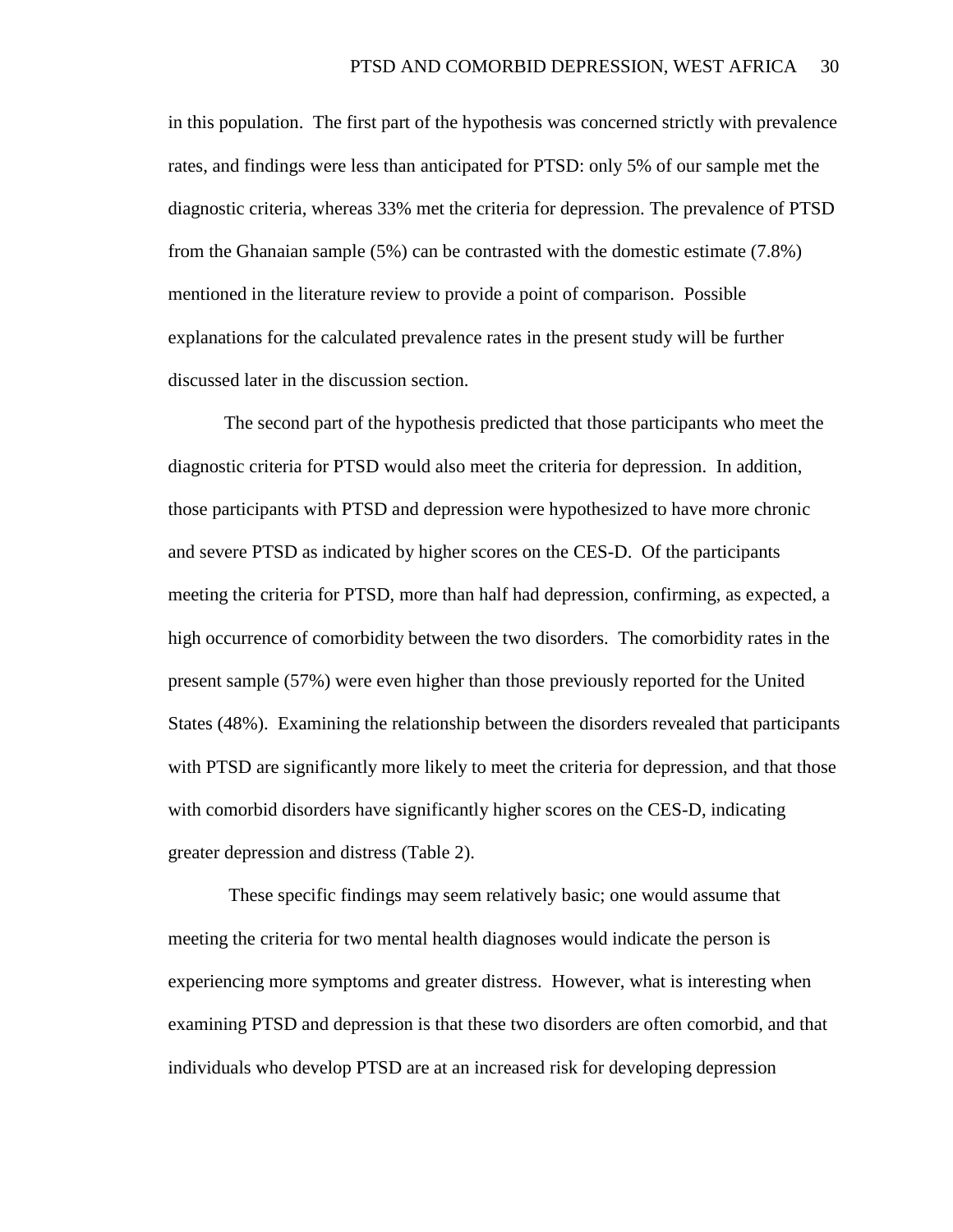in this population. The first part of the hypothesis was concerned strictly with prevalence rates, and findings were less than anticipated for PTSD: only 5% of our sample met the diagnostic criteria, whereas 33% met the criteria for depression. The prevalence of PTSD from the Ghanaian sample (5%) can be contrasted with the domestic estimate (7.8%) mentioned in the literature review to provide a point of comparison. Possible explanations for the calculated prevalence rates in the present study will be further discussed later in the discussion section.

The second part of the hypothesis predicted that those participants who meet the diagnostic criteria for PTSD would also meet the criteria for depression. In addition, those participants with PTSD and depression were hypothesized to have more chronic and severe PTSD as indicated by higher scores on the CES-D. Of the participants meeting the criteria for PTSD, more than half had depression, confirming, as expected, a high occurrence of comorbidity between the two disorders. The comorbidity rates in the present sample (57%) were even higher than those previously reported for the United States (48%). Examining the relationship between the disorders revealed that participants with PTSD are significantly more likely to meet the criteria for depression, and that those with comorbid disorders have significantly higher scores on the CES-D, indicating greater depression and distress (Table 2).

These specific findings may seem relatively basic; one would assume that meeting the criteria for two mental health diagnoses would indicate the person is experiencing more symptoms and greater distress. However, what is interesting when examining PTSD and depression is that these two disorders are often comorbid, and that individuals who develop PTSD are at an increased risk for developing depression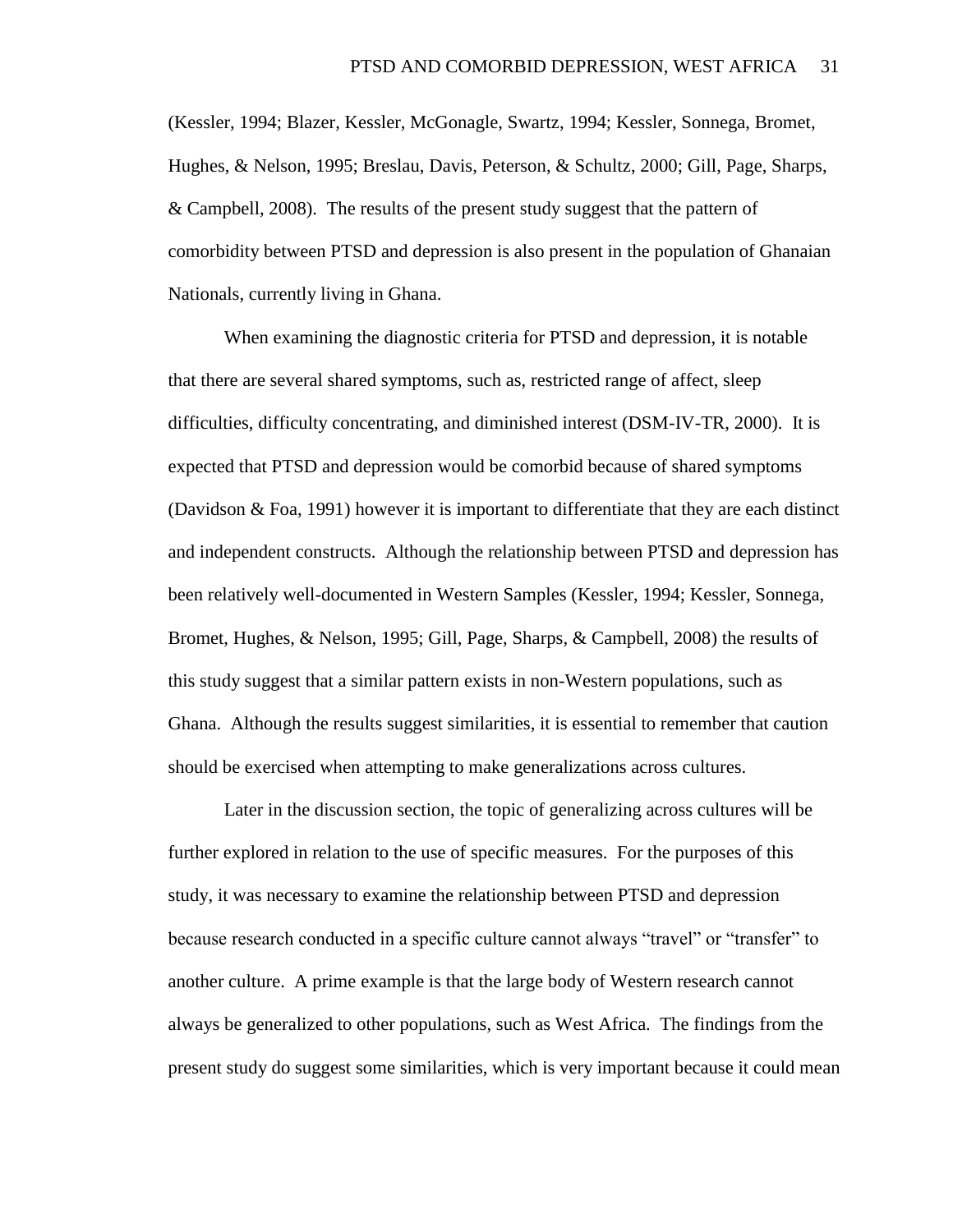(Kessler, 1994; Blazer, Kessler, McGonagle, Swartz, 1994; Kessler, Sonnega, Bromet, Hughes, & Nelson, 1995; Breslau, Davis, Peterson, & Schultz, 2000; Gill, Page, Sharps, & Campbell, 2008). The results of the present study suggest that the pattern of comorbidity between PTSD and depression is also present in the population of Ghanaian Nationals, currently living in Ghana.

When examining the diagnostic criteria for PTSD and depression, it is notable that there are several shared symptoms, such as, restricted range of affect, sleep difficulties, difficulty concentrating, and diminished interest (DSM-IV-TR, 2000). It is expected that PTSD and depression would be comorbid because of shared symptoms (Davidson & Foa, 1991) however it is important to differentiate that they are each distinct and independent constructs. Although the relationship between PTSD and depression has been relatively well-documented in Western Samples (Kessler, 1994; Kessler, Sonnega, Bromet, Hughes, & Nelson, 1995; Gill, Page, Sharps, & Campbell, 2008) the results of this study suggest that a similar pattern exists in non-Western populations, such as Ghana. Although the results suggest similarities, it is essential to remember that caution should be exercised when attempting to make generalizations across cultures.

Later in the discussion section, the topic of generalizing across cultures will be further explored in relation to the use of specific measures. For the purposes of this study, it was necessary to examine the relationship between PTSD and depression because research conducted in a specific culture cannot always "travel" or "transfer" to another culture. A prime example is that the large body of Western research cannot always be generalized to other populations, such as West Africa. The findings from the present study do suggest some similarities, which is very important because it could mean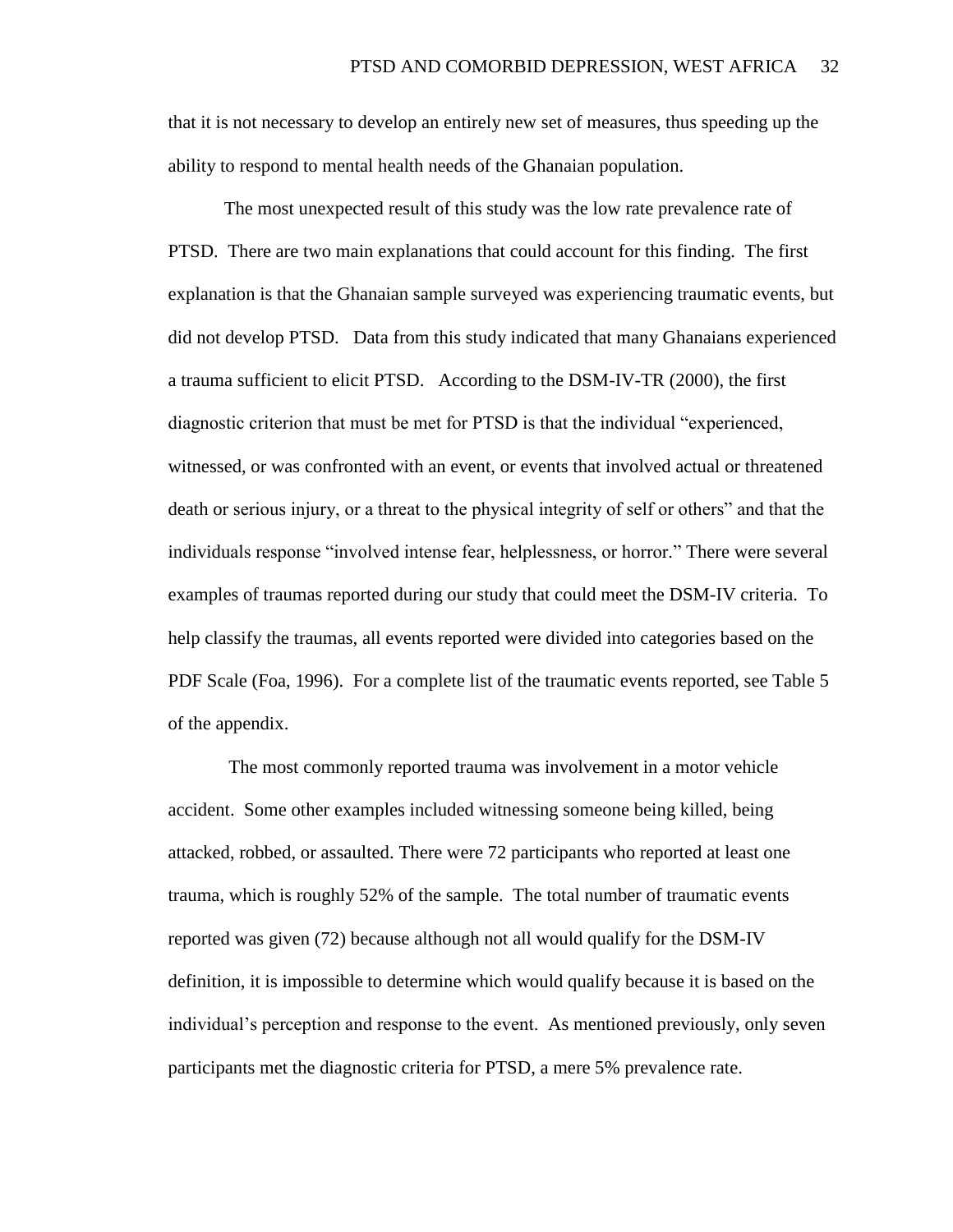that it is not necessary to develop an entirely new set of measures, thus speeding up the ability to respond to mental health needs of the Ghanaian population.

The most unexpected result of this study was the low rate prevalence rate of PTSD. There are two main explanations that could account for this finding. The first explanation is that the Ghanaian sample surveyed was experiencing traumatic events, but did not develop PTSD. Data from this study indicated that many Ghanaians experienced a trauma sufficient to elicit PTSD. According to the DSM-IV-TR (2000), the first diagnostic criterion that must be met for PTSD is that the individual "experienced, witnessed, or was confronted with an event, or events that involved actual or threatened death or serious injury, or a threat to the physical integrity of self or others" and that the individuals response "involved intense fear, helplessness, or horror." There were several examples of traumas reported during our study that could meet the DSM-IV criteria. To help classify the traumas, all events reported were divided into categories based on the PDF Scale (Foa, 1996). For a complete list of the traumatic events reported, see Table 5 of the appendix.

The most commonly reported trauma was involvement in a motor vehicle accident. Some other examples included witnessing someone being killed, being attacked, robbed, or assaulted. There were 72 participants who reported at least one trauma, which is roughly 52% of the sample. The total number of traumatic events reported was given (72) because although not all would qualify for the DSM-IV definition, it is impossible to determine which would qualify because it is based on the individual's perception and response to the event. As mentioned previously, only seven participants met the diagnostic criteria for PTSD, a mere 5% prevalence rate.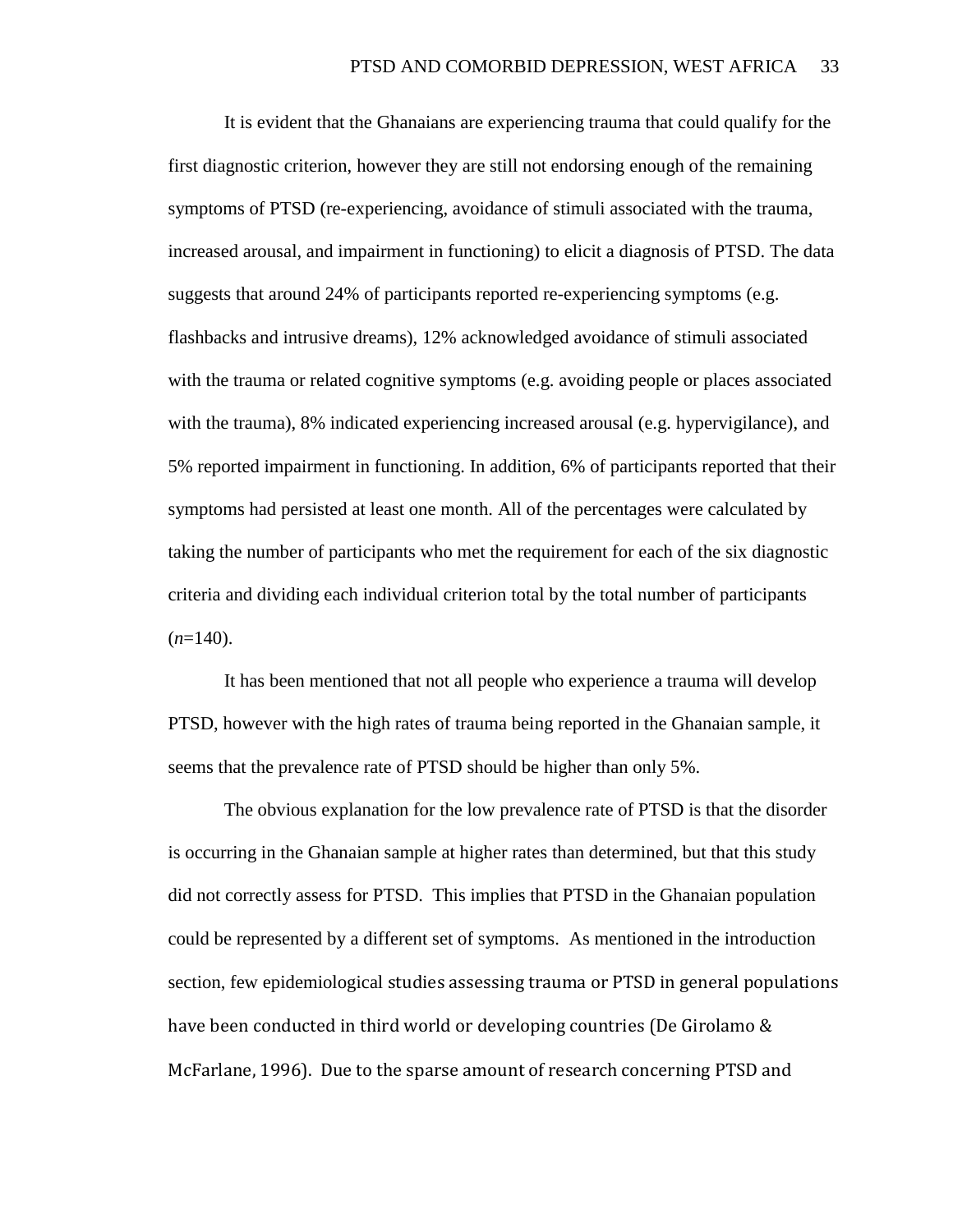It is evident that the Ghanaians are experiencing trauma that could qualify for the first diagnostic criterion, however they are still not endorsing enough of the remaining symptoms of PTSD (re-experiencing, avoidance of stimuli associated with the trauma, increased arousal, and impairment in functioning) to elicit a diagnosis of PTSD. The data suggests that around 24% of participants reported re-experiencing symptoms (e.g. flashbacks and intrusive dreams), 12% acknowledged avoidance of stimuli associated with the trauma or related cognitive symptoms (e.g. avoiding people or places associated with the trauma), 8% indicated experiencing increased arousal (e.g. hypervigilance), and 5% reported impairment in functioning. In addition, 6% of participants reported that their symptoms had persisted at least one month. All of the percentages were calculated by taking the number of participants who met the requirement for each of the six diagnostic criteria and dividing each individual criterion total by the total number of participants  $(n=140)$ .

It has been mentioned that not all people who experience a trauma will develop PTSD, however with the high rates of trauma being reported in the Ghanaian sample, it seems that the prevalence rate of PTSD should be higher than only 5%.

The obvious explanation for the low prevalence rate of PTSD is that the disorder is occurring in the Ghanaian sample at higher rates than determined, but that this study did not correctly assess for PTSD. This implies that PTSD in the Ghanaian population could be represented by a different set of symptoms. As mentioned in the introduction section, few epidemiological studies assessing trauma or PTSD in general populations have been conducted in third world or developing countries (De Girolamo & McFarlane, 1996). Due to the sparse amount of research concerning PTSD and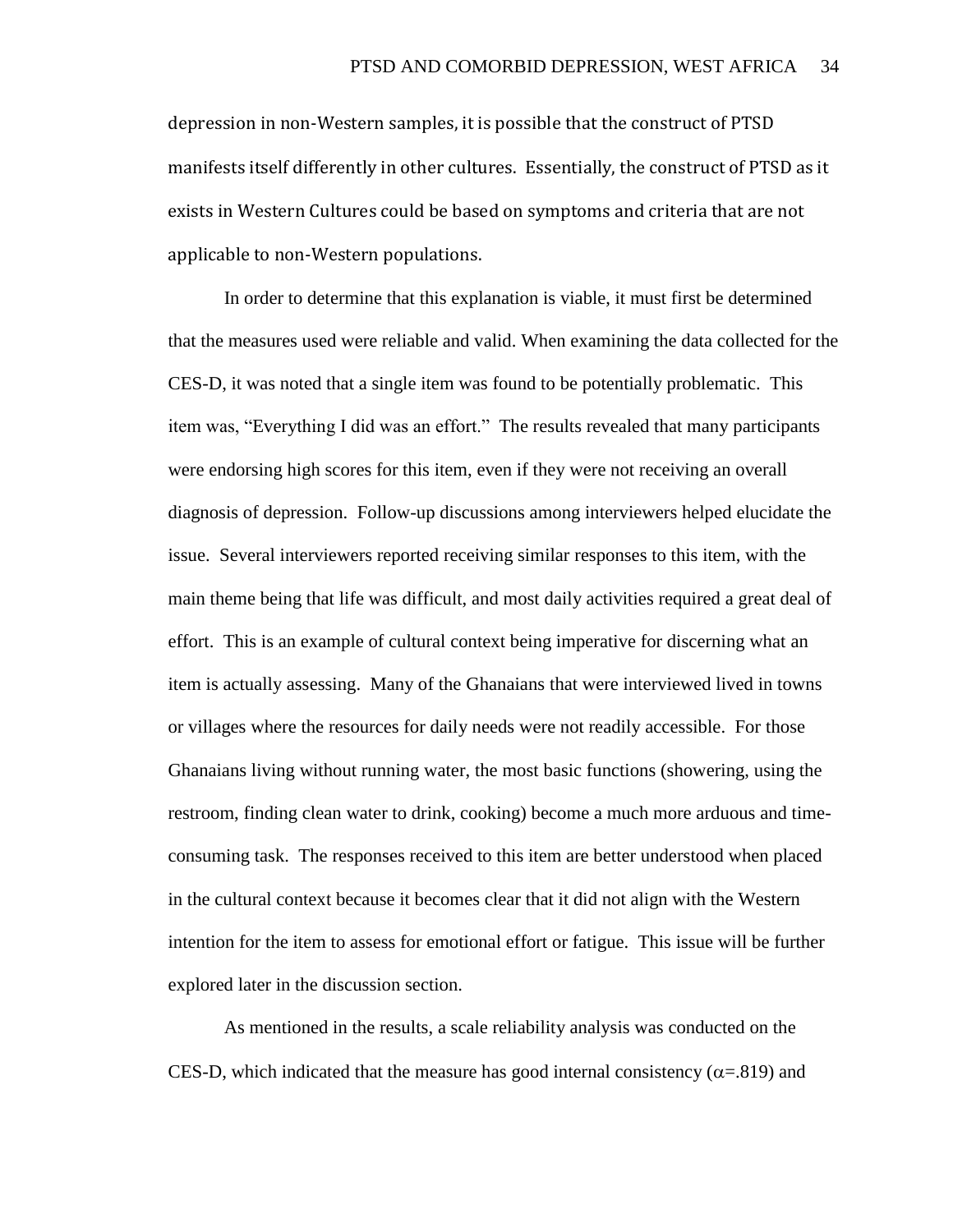depression in non-Western samples, it is possible that the construct of PTSD manifests itself differently in other cultures. Essentially, the construct of PTSD as it exists in Western Cultures could be based on symptoms and criteria that are not applicable to non-Western populations.

In order to determine that this explanation is viable, it must first be determined that the measures used were reliable and valid. When examining the data collected for the CES-D, it was noted that a single item was found to be potentially problematic. This item was, "Everything I did was an effort." The results revealed that many participants were endorsing high scores for this item, even if they were not receiving an overall diagnosis of depression. Follow-up discussions among interviewers helped elucidate the issue. Several interviewers reported receiving similar responses to this item, with the main theme being that life was difficult, and most daily activities required a great deal of effort. This is an example of cultural context being imperative for discerning what an item is actually assessing. Many of the Ghanaians that were interviewed lived in towns or villages where the resources for daily needs were not readily accessible. For those Ghanaians living without running water, the most basic functions (showering, using the restroom, finding clean water to drink, cooking) become a much more arduous and timeconsuming task. The responses received to this item are better understood when placed in the cultural context because it becomes clear that it did not align with the Western intention for the item to assess for emotional effort or fatigue. This issue will be further explored later in the discussion section.

As mentioned in the results, a scale reliability analysis was conducted on the CES-D, which indicated that the measure has good internal consistency ( $\alpha$ =.819) and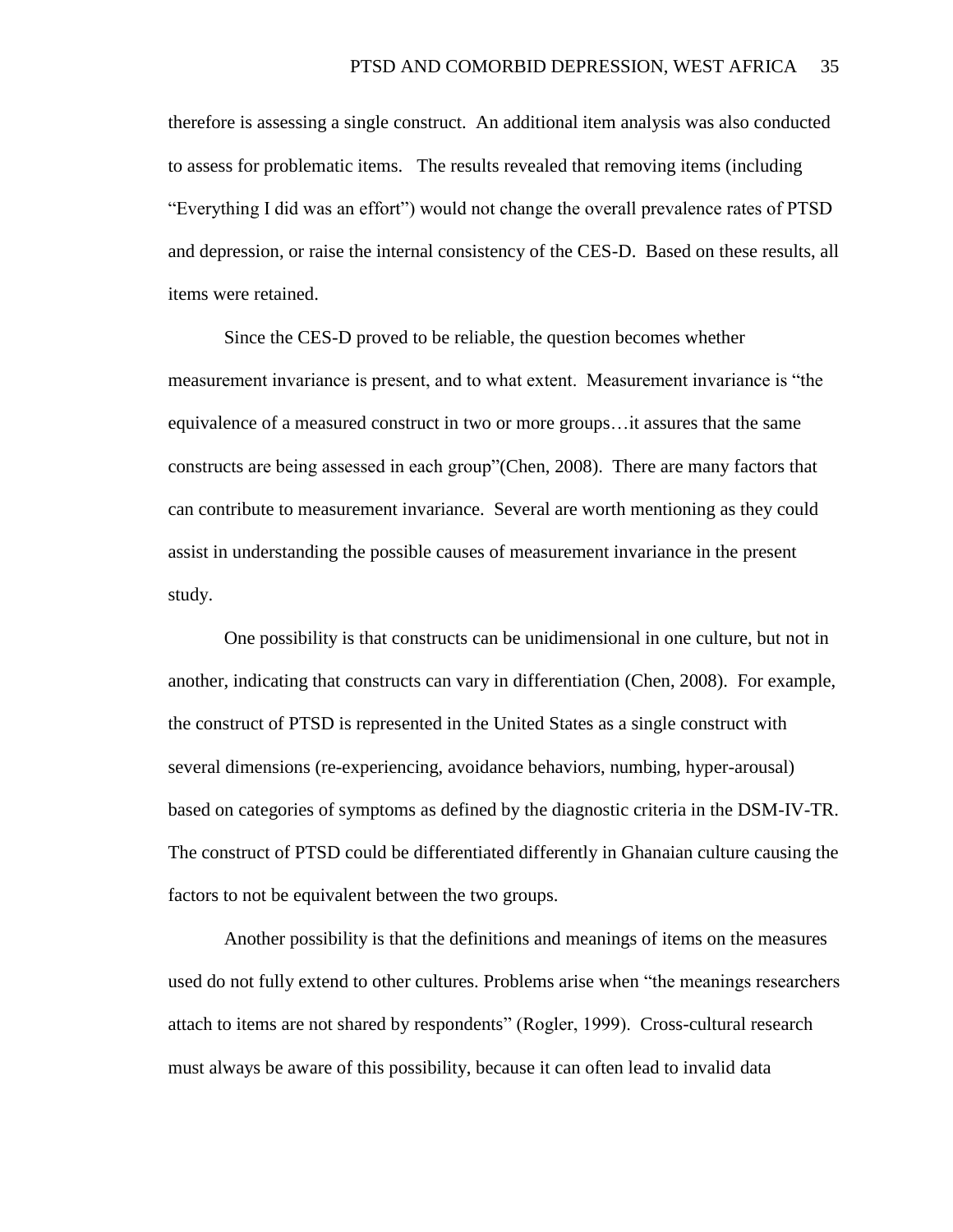therefore is assessing a single construct. An additional item analysis was also conducted to assess for problematic items. The results revealed that removing items (including ―Everything I did was an effort‖) would not change the overall prevalence rates of PTSD and depression, or raise the internal consistency of the CES-D. Based on these results, all items were retained.

Since the CES-D proved to be reliable, the question becomes whether measurement invariance is present, and to what extent. Measurement invariance is "the equivalence of a measured construct in two or more groups…it assures that the same constructs are being assessed in each group"(Chen, 2008). There are many factors that can contribute to measurement invariance. Several are worth mentioning as they could assist in understanding the possible causes of measurement invariance in the present study.

One possibility is that constructs can be unidimensional in one culture, but not in another, indicating that constructs can vary in differentiation (Chen, 2008). For example, the construct of PTSD is represented in the United States as a single construct with several dimensions (re-experiencing, avoidance behaviors, numbing, hyper-arousal) based on categories of symptoms as defined by the diagnostic criteria in the DSM-IV-TR. The construct of PTSD could be differentiated differently in Ghanaian culture causing the factors to not be equivalent between the two groups.

Another possibility is that the definitions and meanings of items on the measures used do not fully extend to other cultures. Problems arise when "the meanings researchers" attach to items are not shared by respondents" (Rogler, 1999). Cross-cultural research must always be aware of this possibility, because it can often lead to invalid data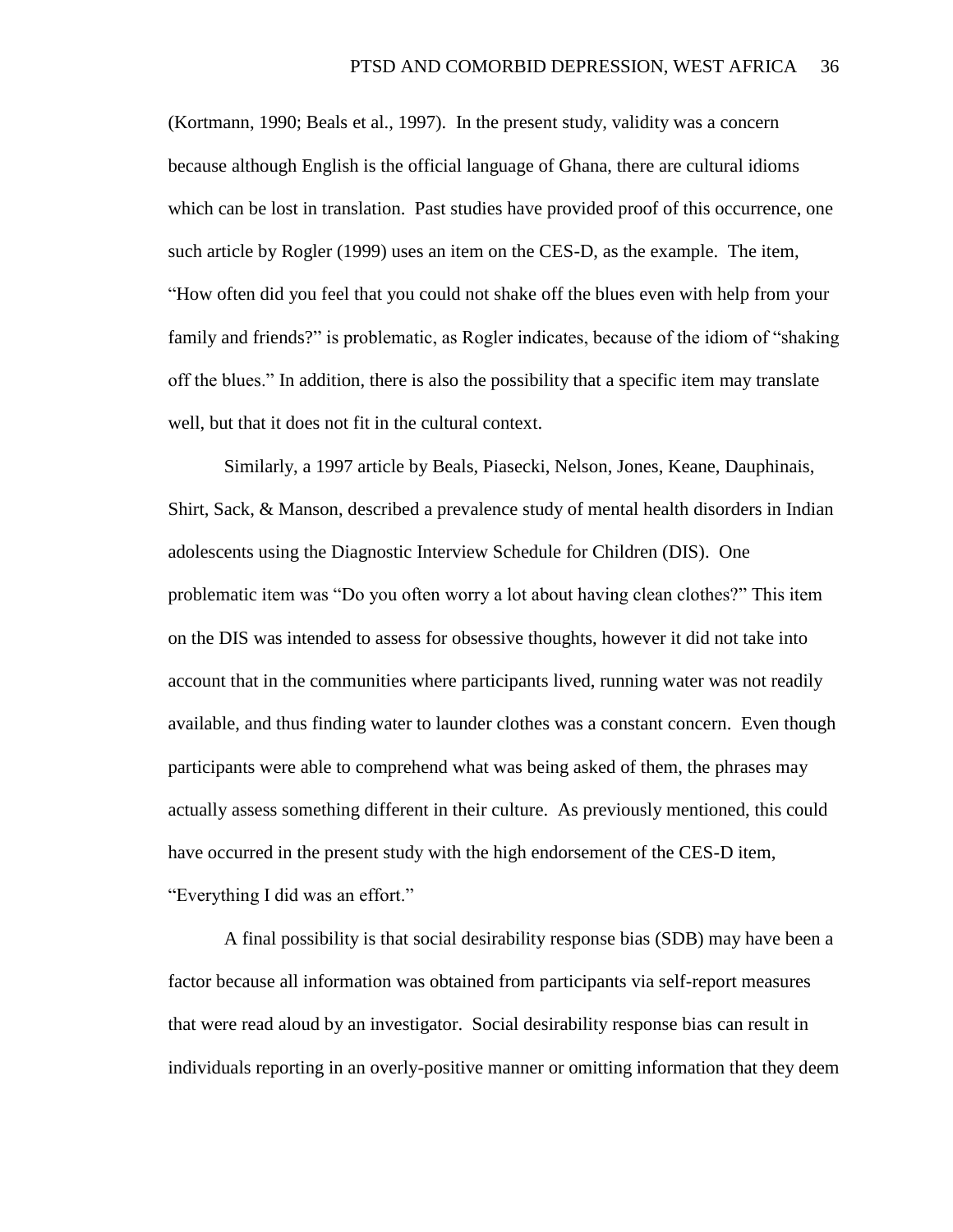(Kortmann, 1990; Beals et al., 1997). In the present study, validity was a concern because although English is the official language of Ghana, there are cultural idioms which can be lost in translation. Past studies have provided proof of this occurrence, one such article by Rogler (1999) uses an item on the CES-D, as the example. The item, ―How often did you feel that you could not shake off the blues even with help from your family and friends?" is problematic, as Rogler indicates, because of the idiom of "shaking" off the blues.‖ In addition, there is also the possibility that a specific item may translate well, but that it does not fit in the cultural context.

Similarly, a 1997 article by Beals, Piasecki, Nelson, Jones, Keane, Dauphinais, Shirt, Sack, & Manson, described a prevalence study of mental health disorders in Indian adolescents using the Diagnostic Interview Schedule for Children (DIS). One problematic item was "Do you often worry a lot about having clean clothes?" This item on the DIS was intended to assess for obsessive thoughts, however it did not take into account that in the communities where participants lived, running water was not readily available, and thus finding water to launder clothes was a constant concern. Even though participants were able to comprehend what was being asked of them, the phrases may actually assess something different in their culture. As previously mentioned, this could have occurred in the present study with the high endorsement of the CES-D item, "Everything I did was an effort."

A final possibility is that social desirability response bias (SDB) may have been a factor because all information was obtained from participants via self-report measures that were read aloud by an investigator. Social desirability response bias can result in individuals reporting in an overly-positive manner or omitting information that they deem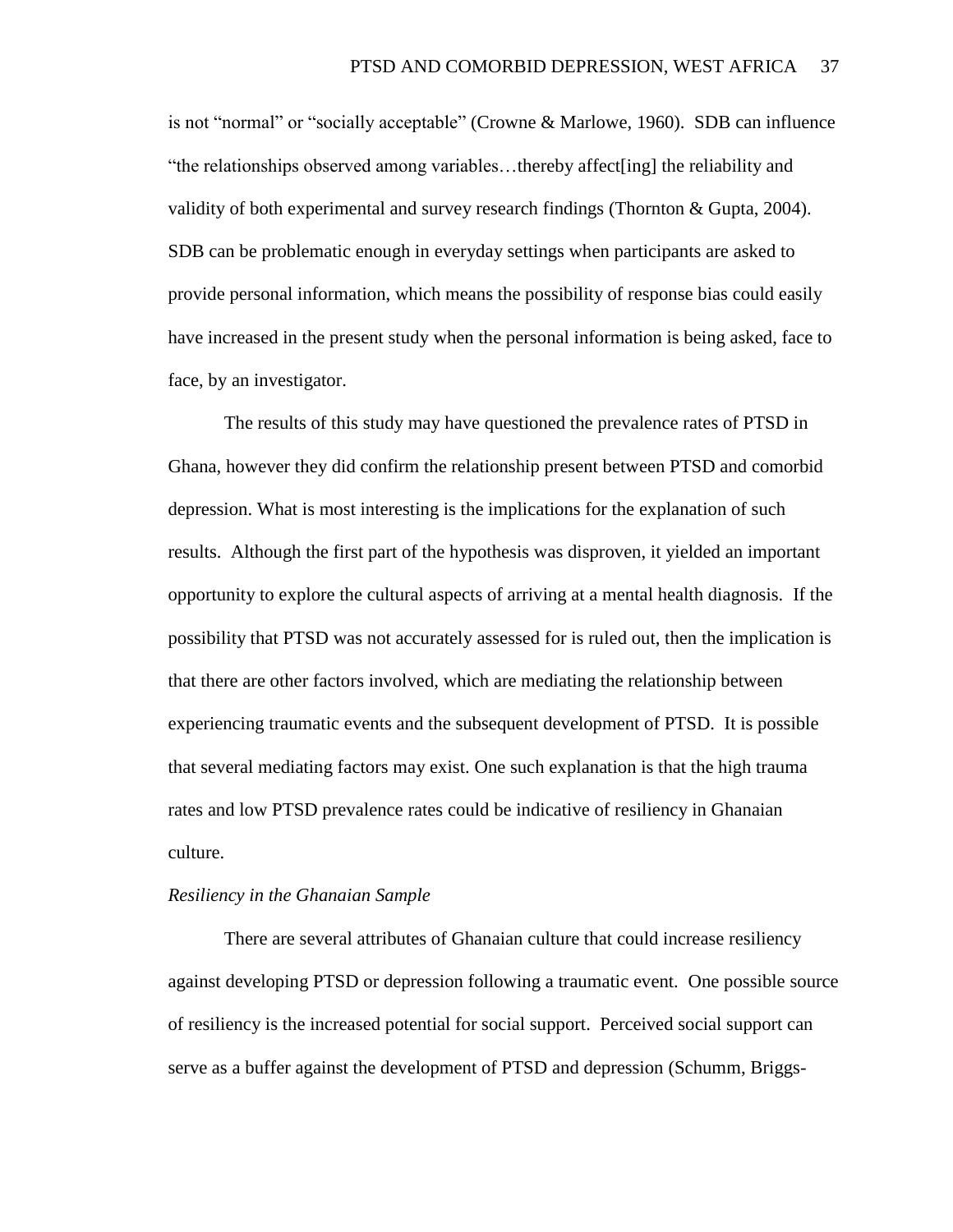is not "normal" or "socially acceptable" (Crowne & Marlowe, 1960). SDB can influence ―the relationships observed among variables…thereby affect[ing] the reliability and validity of both experimental and survey research findings (Thornton & Gupta, 2004). SDB can be problematic enough in everyday settings when participants are asked to provide personal information, which means the possibility of response bias could easily have increased in the present study when the personal information is being asked, face to face, by an investigator.

The results of this study may have questioned the prevalence rates of PTSD in Ghana, however they did confirm the relationship present between PTSD and comorbid depression. What is most interesting is the implications for the explanation of such results. Although the first part of the hypothesis was disproven, it yielded an important opportunity to explore the cultural aspects of arriving at a mental health diagnosis. If the possibility that PTSD was not accurately assessed for is ruled out, then the implication is that there are other factors involved, which are mediating the relationship between experiencing traumatic events and the subsequent development of PTSD. It is possible that several mediating factors may exist. One such explanation is that the high trauma rates and low PTSD prevalence rates could be indicative of resiliency in Ghanaian culture.

#### *Resiliency in the Ghanaian Sample*

There are several attributes of Ghanaian culture that could increase resiliency against developing PTSD or depression following a traumatic event. One possible source of resiliency is the increased potential for social support. Perceived social support can serve as a buffer against the development of PTSD and depression (Schumm, Briggs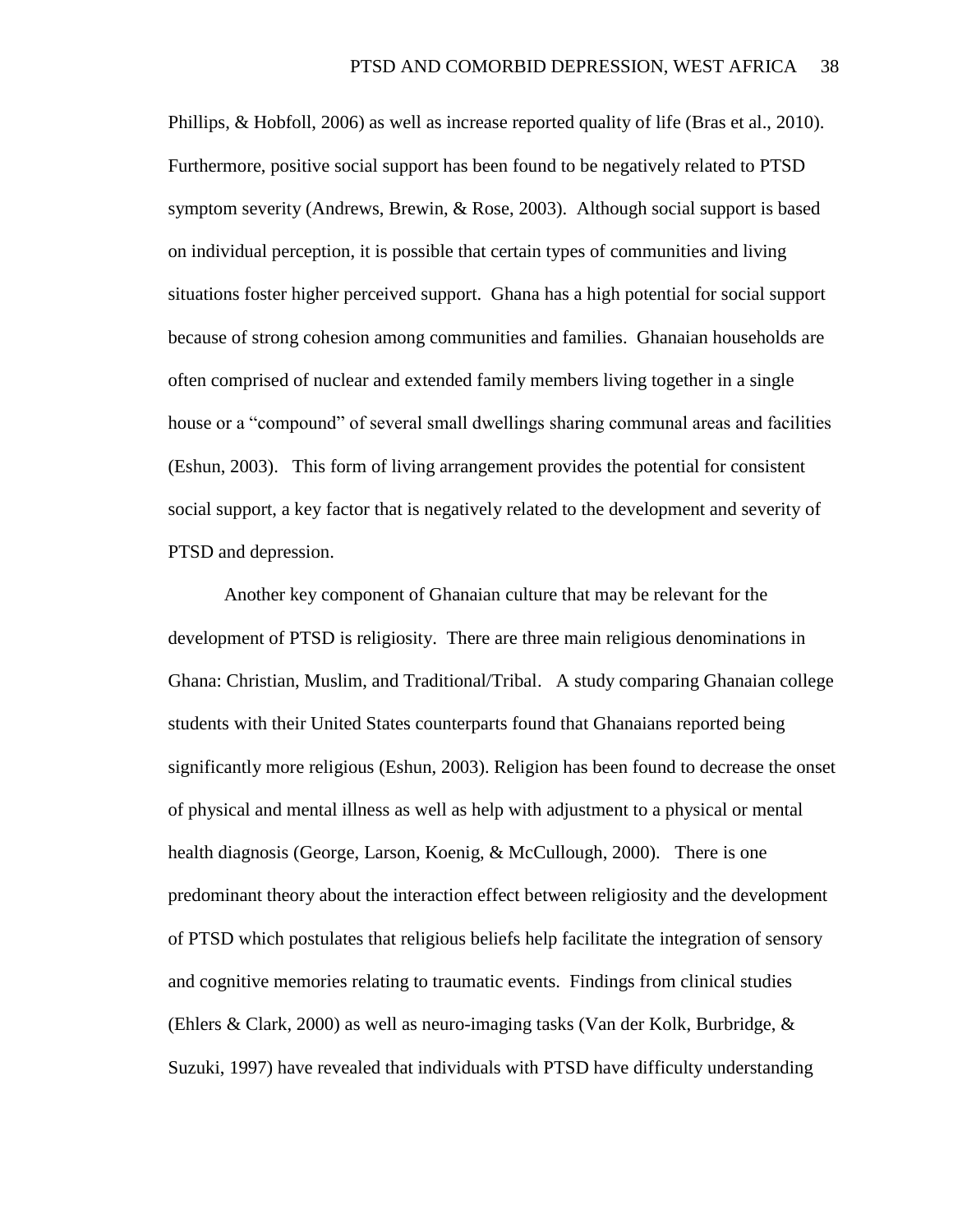Phillips, & Hobfoll, 2006) as well as increase reported quality of life (Bras et al., 2010). Furthermore, positive social support has been found to be negatively related to PTSD symptom severity (Andrews, Brewin, & Rose, 2003). Although social support is based on individual perception, it is possible that certain types of communities and living situations foster higher perceived support. Ghana has a high potential for social support because of strong cohesion among communities and families. Ghanaian households are often comprised of nuclear and extended family members living together in a single house or a "compound" of several small dwellings sharing communal areas and facilities (Eshun, 2003). This form of living arrangement provides the potential for consistent social support, a key factor that is negatively related to the development and severity of PTSD and depression.

Another key component of Ghanaian culture that may be relevant for the development of PTSD is religiosity. There are three main religious denominations in Ghana: Christian, Muslim, and Traditional/Tribal. A study comparing Ghanaian college students with their United States counterparts found that Ghanaians reported being significantly more religious (Eshun, 2003). Religion has been found to decrease the onset of physical and mental illness as well as help with adjustment to a physical or mental health diagnosis (George, Larson, Koenig, & McCullough, 2000). There is one predominant theory about the interaction effect between religiosity and the development of PTSD which postulates that religious beliefs help facilitate the integration of sensory and cognitive memories relating to traumatic events. Findings from clinical studies (Ehlers & Clark, 2000) as well as neuro-imaging tasks (Van der Kolk, Burbridge, & Suzuki, 1997) have revealed that individuals with PTSD have difficulty understanding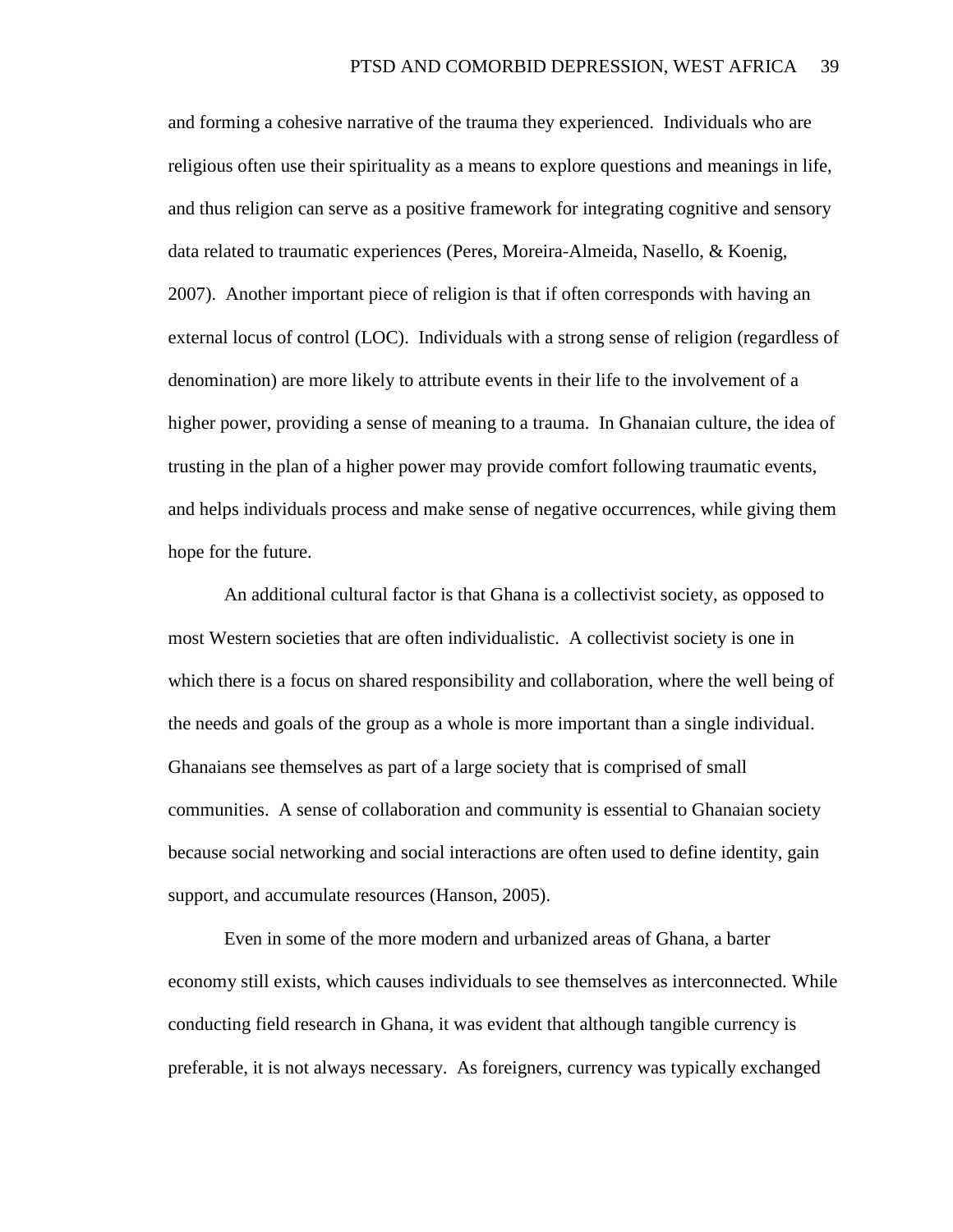and forming a cohesive narrative of the trauma they experienced. Individuals who are religious often use their spirituality as a means to explore questions and meanings in life, and thus religion can serve as a positive framework for integrating cognitive and sensory data related to traumatic experiences (Peres, Moreira-Almeida, Nasello, & Koenig, 2007). Another important piece of religion is that if often corresponds with having an external locus of control (LOC). Individuals with a strong sense of religion (regardless of denomination) are more likely to attribute events in their life to the involvement of a higher power, providing a sense of meaning to a trauma. In Ghanaian culture, the idea of trusting in the plan of a higher power may provide comfort following traumatic events, and helps individuals process and make sense of negative occurrences, while giving them hope for the future.

An additional cultural factor is that Ghana is a collectivist society, as opposed to most Western societies that are often individualistic. A collectivist society is one in which there is a focus on shared responsibility and collaboration, where the well being of the needs and goals of the group as a whole is more important than a single individual. Ghanaians see themselves as part of a large society that is comprised of small communities. A sense of collaboration and community is essential to Ghanaian society because social networking and social interactions are often used to define identity, gain support, and accumulate resources (Hanson, 2005).

Even in some of the more modern and urbanized areas of Ghana, a barter economy still exists, which causes individuals to see themselves as interconnected. While conducting field research in Ghana, it was evident that although tangible currency is preferable, it is not always necessary. As foreigners, currency was typically exchanged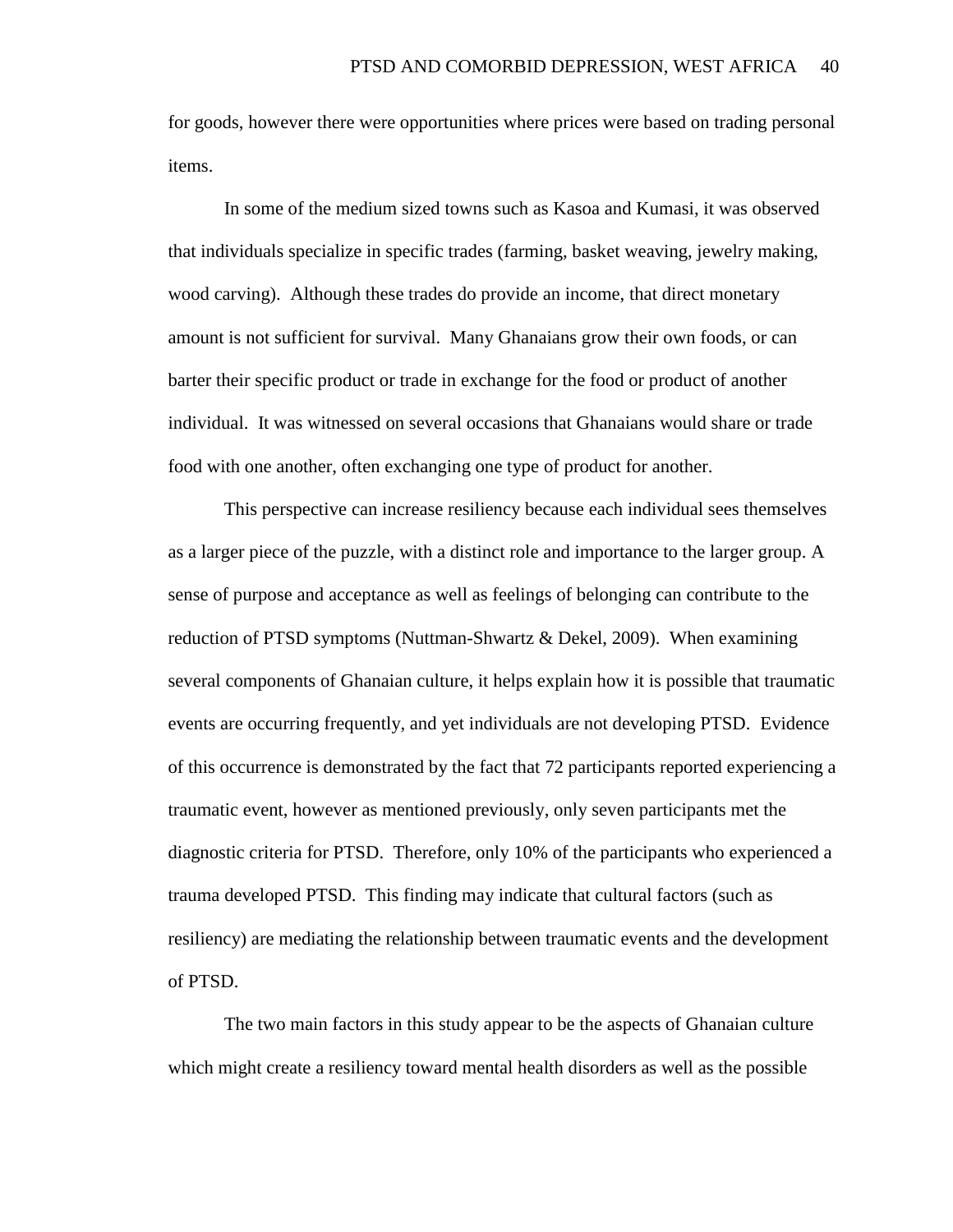for goods, however there were opportunities where prices were based on trading personal items.

In some of the medium sized towns such as Kasoa and Kumasi, it was observed that individuals specialize in specific trades (farming, basket weaving, jewelry making, wood carving). Although these trades do provide an income, that direct monetary amount is not sufficient for survival. Many Ghanaians grow their own foods, or can barter their specific product or trade in exchange for the food or product of another individual. It was witnessed on several occasions that Ghanaians would share or trade food with one another, often exchanging one type of product for another.

This perspective can increase resiliency because each individual sees themselves as a larger piece of the puzzle, with a distinct role and importance to the larger group. A sense of purpose and acceptance as well as feelings of belonging can contribute to the reduction of PTSD symptoms (Nuttman-Shwartz & Dekel, 2009). When examining several components of Ghanaian culture, it helps explain how it is possible that traumatic events are occurring frequently, and yet individuals are not developing PTSD. Evidence of this occurrence is demonstrated by the fact that 72 participants reported experiencing a traumatic event, however as mentioned previously, only seven participants met the diagnostic criteria for PTSD. Therefore, only 10% of the participants who experienced a trauma developed PTSD. This finding may indicate that cultural factors (such as resiliency) are mediating the relationship between traumatic events and the development of PTSD.

The two main factors in this study appear to be the aspects of Ghanaian culture which might create a resiliency toward mental health disorders as well as the possible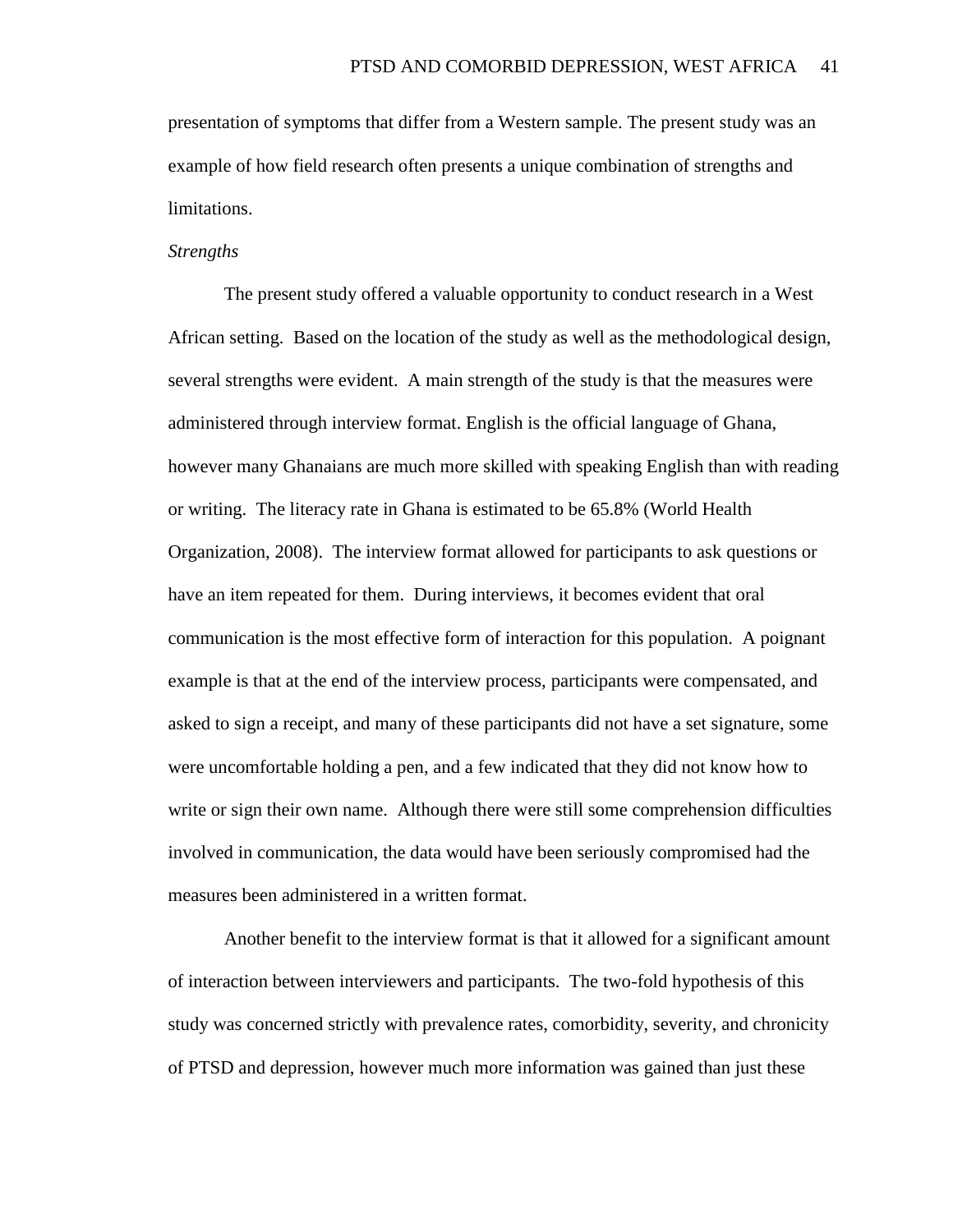presentation of symptoms that differ from a Western sample. The present study was an example of how field research often presents a unique combination of strengths and limitations.

## *Strengths*

The present study offered a valuable opportunity to conduct research in a West African setting. Based on the location of the study as well as the methodological design, several strengths were evident. A main strength of the study is that the measures were administered through interview format. English is the official language of Ghana, however many Ghanaians are much more skilled with speaking English than with reading or writing. The literacy rate in Ghana is estimated to be 65.8% (World Health Organization, 2008). The interview format allowed for participants to ask questions or have an item repeated for them. During interviews, it becomes evident that oral communication is the most effective form of interaction for this population. A poignant example is that at the end of the interview process, participants were compensated, and asked to sign a receipt, and many of these participants did not have a set signature, some were uncomfortable holding a pen, and a few indicated that they did not know how to write or sign their own name. Although there were still some comprehension difficulties involved in communication, the data would have been seriously compromised had the measures been administered in a written format.

Another benefit to the interview format is that it allowed for a significant amount of interaction between interviewers and participants. The two-fold hypothesis of this study was concerned strictly with prevalence rates, comorbidity, severity, and chronicity of PTSD and depression, however much more information was gained than just these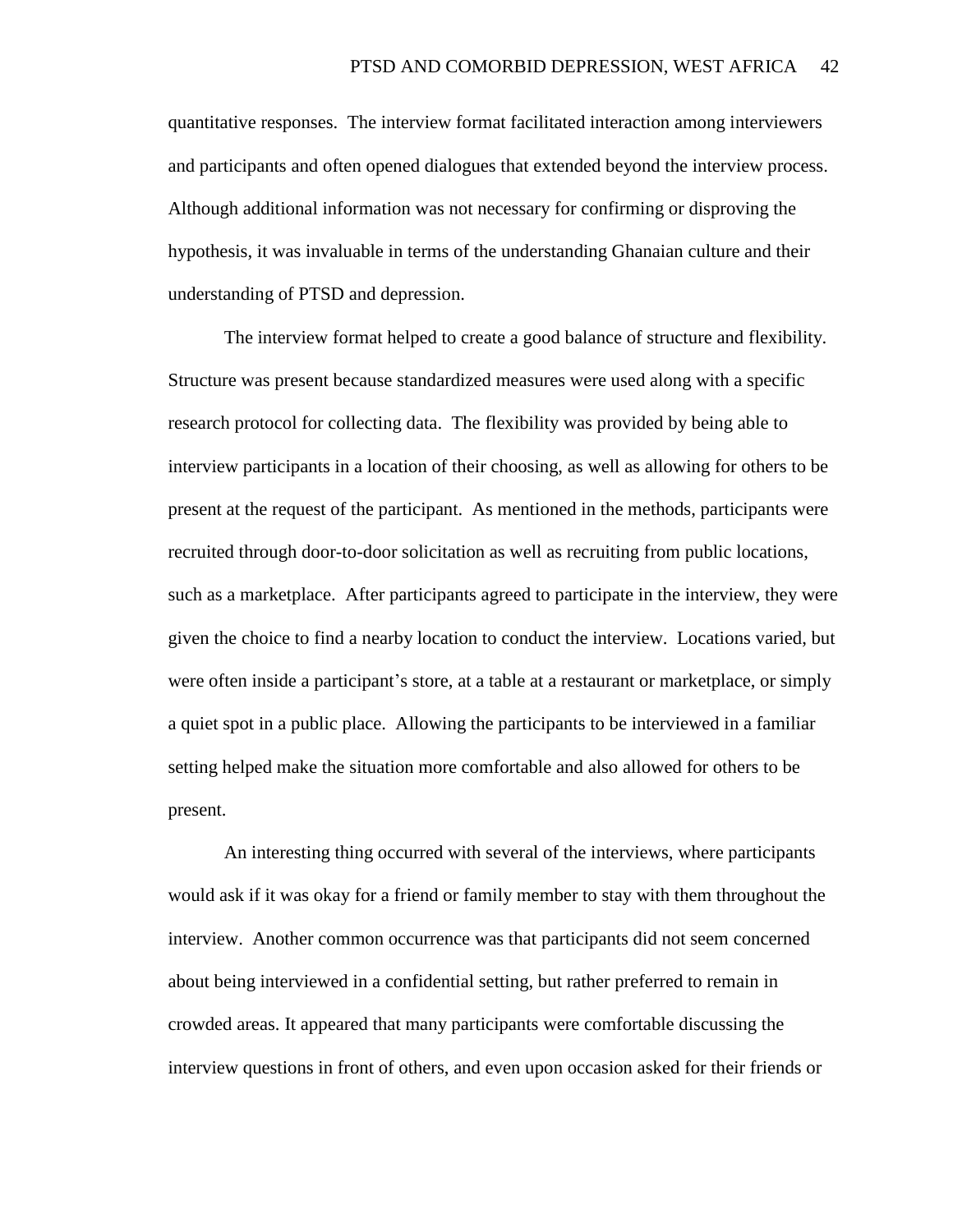quantitative responses. The interview format facilitated interaction among interviewers and participants and often opened dialogues that extended beyond the interview process. Although additional information was not necessary for confirming or disproving the hypothesis, it was invaluable in terms of the understanding Ghanaian culture and their understanding of PTSD and depression.

The interview format helped to create a good balance of structure and flexibility. Structure was present because standardized measures were used along with a specific research protocol for collecting data. The flexibility was provided by being able to interview participants in a location of their choosing, as well as allowing for others to be present at the request of the participant. As mentioned in the methods, participants were recruited through door-to-door solicitation as well as recruiting from public locations, such as a marketplace. After participants agreed to participate in the interview, they were given the choice to find a nearby location to conduct the interview. Locations varied, but were often inside a participant's store, at a table at a restaurant or marketplace, or simply a quiet spot in a public place. Allowing the participants to be interviewed in a familiar setting helped make the situation more comfortable and also allowed for others to be present.

An interesting thing occurred with several of the interviews, where participants would ask if it was okay for a friend or family member to stay with them throughout the interview. Another common occurrence was that participants did not seem concerned about being interviewed in a confidential setting, but rather preferred to remain in crowded areas. It appeared that many participants were comfortable discussing the interview questions in front of others, and even upon occasion asked for their friends or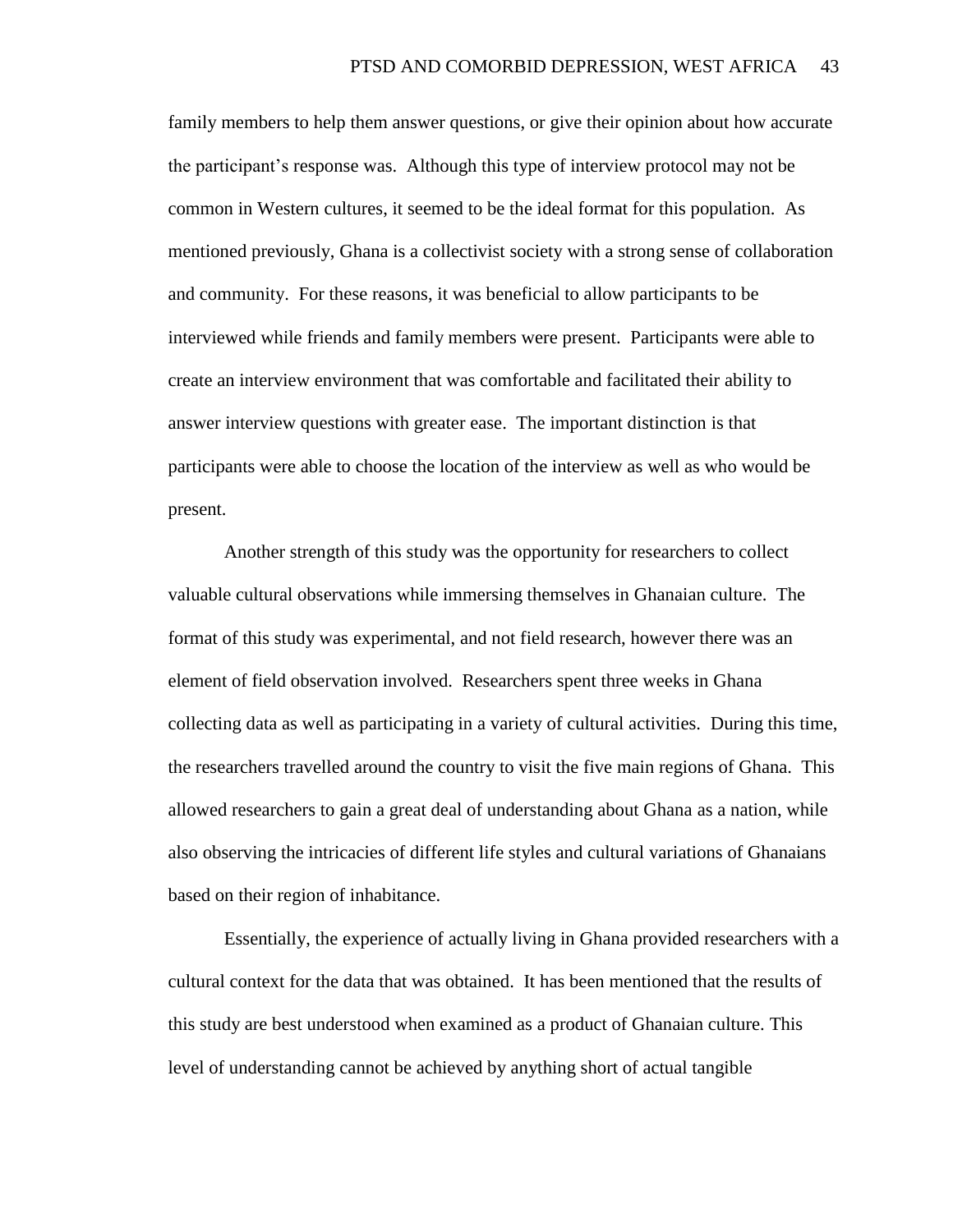family members to help them answer questions, or give their opinion about how accurate the participant's response was. Although this type of interview protocol may not be common in Western cultures, it seemed to be the ideal format for this population. As mentioned previously, Ghana is a collectivist society with a strong sense of collaboration and community. For these reasons, it was beneficial to allow participants to be interviewed while friends and family members were present. Participants were able to create an interview environment that was comfortable and facilitated their ability to answer interview questions with greater ease. The important distinction is that participants were able to choose the location of the interview as well as who would be present.

Another strength of this study was the opportunity for researchers to collect valuable cultural observations while immersing themselves in Ghanaian culture. The format of this study was experimental, and not field research, however there was an element of field observation involved. Researchers spent three weeks in Ghana collecting data as well as participating in a variety of cultural activities. During this time, the researchers travelled around the country to visit the five main regions of Ghana. This allowed researchers to gain a great deal of understanding about Ghana as a nation, while also observing the intricacies of different life styles and cultural variations of Ghanaians based on their region of inhabitance.

Essentially, the experience of actually living in Ghana provided researchers with a cultural context for the data that was obtained. It has been mentioned that the results of this study are best understood when examined as a product of Ghanaian culture. This level of understanding cannot be achieved by anything short of actual tangible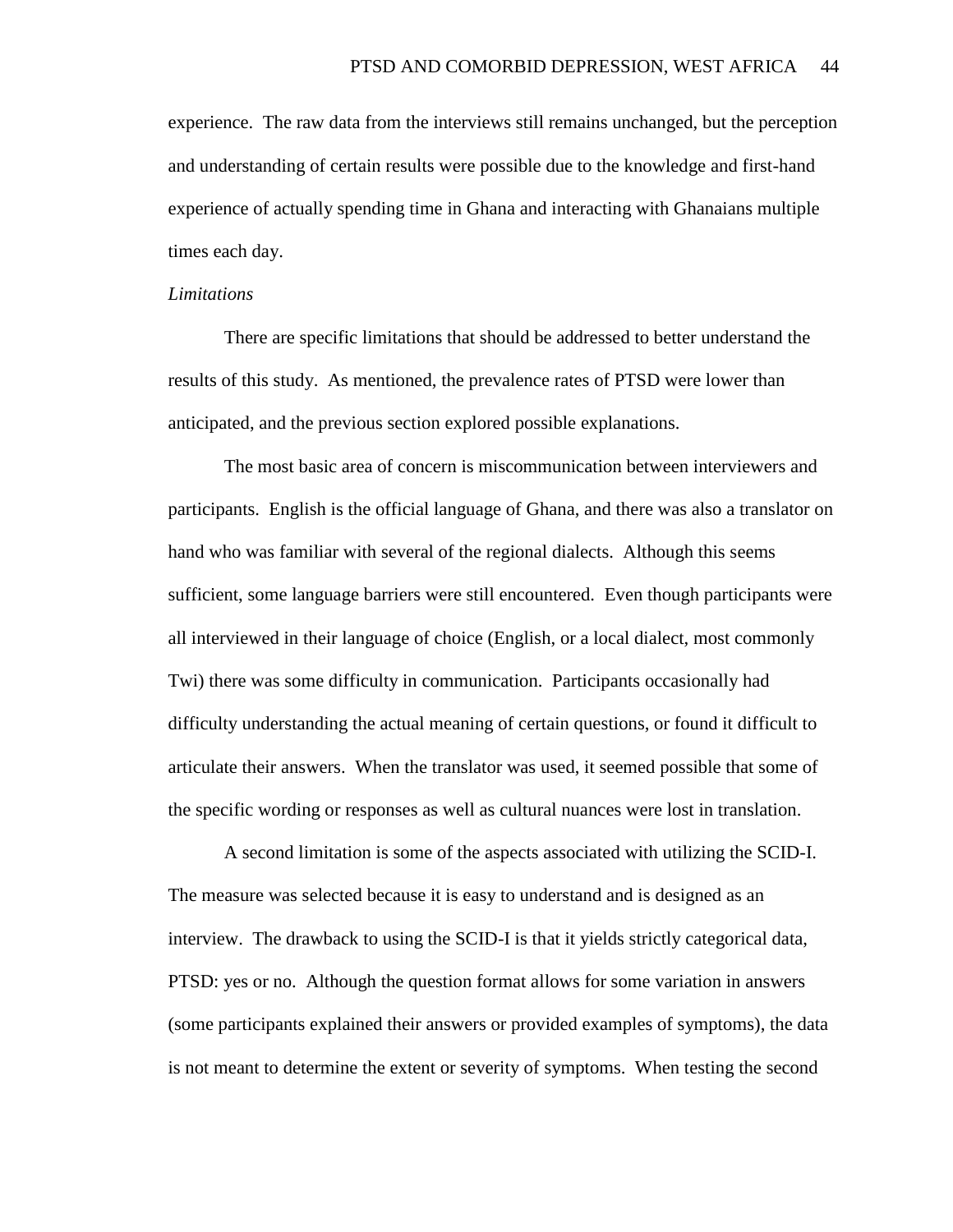experience. The raw data from the interviews still remains unchanged, but the perception and understanding of certain results were possible due to the knowledge and first-hand experience of actually spending time in Ghana and interacting with Ghanaians multiple times each day.

#### *Limitations*

There are specific limitations that should be addressed to better understand the results of this study. As mentioned, the prevalence rates of PTSD were lower than anticipated, and the previous section explored possible explanations.

The most basic area of concern is miscommunication between interviewers and participants. English is the official language of Ghana, and there was also a translator on hand who was familiar with several of the regional dialects. Although this seems sufficient, some language barriers were still encountered. Even though participants were all interviewed in their language of choice (English, or a local dialect, most commonly Twi) there was some difficulty in communication. Participants occasionally had difficulty understanding the actual meaning of certain questions, or found it difficult to articulate their answers. When the translator was used, it seemed possible that some of the specific wording or responses as well as cultural nuances were lost in translation.

A second limitation is some of the aspects associated with utilizing the SCID-I. The measure was selected because it is easy to understand and is designed as an interview. The drawback to using the SCID-I is that it yields strictly categorical data, PTSD: yes or no. Although the question format allows for some variation in answers (some participants explained their answers or provided examples of symptoms), the data is not meant to determine the extent or severity of symptoms. When testing the second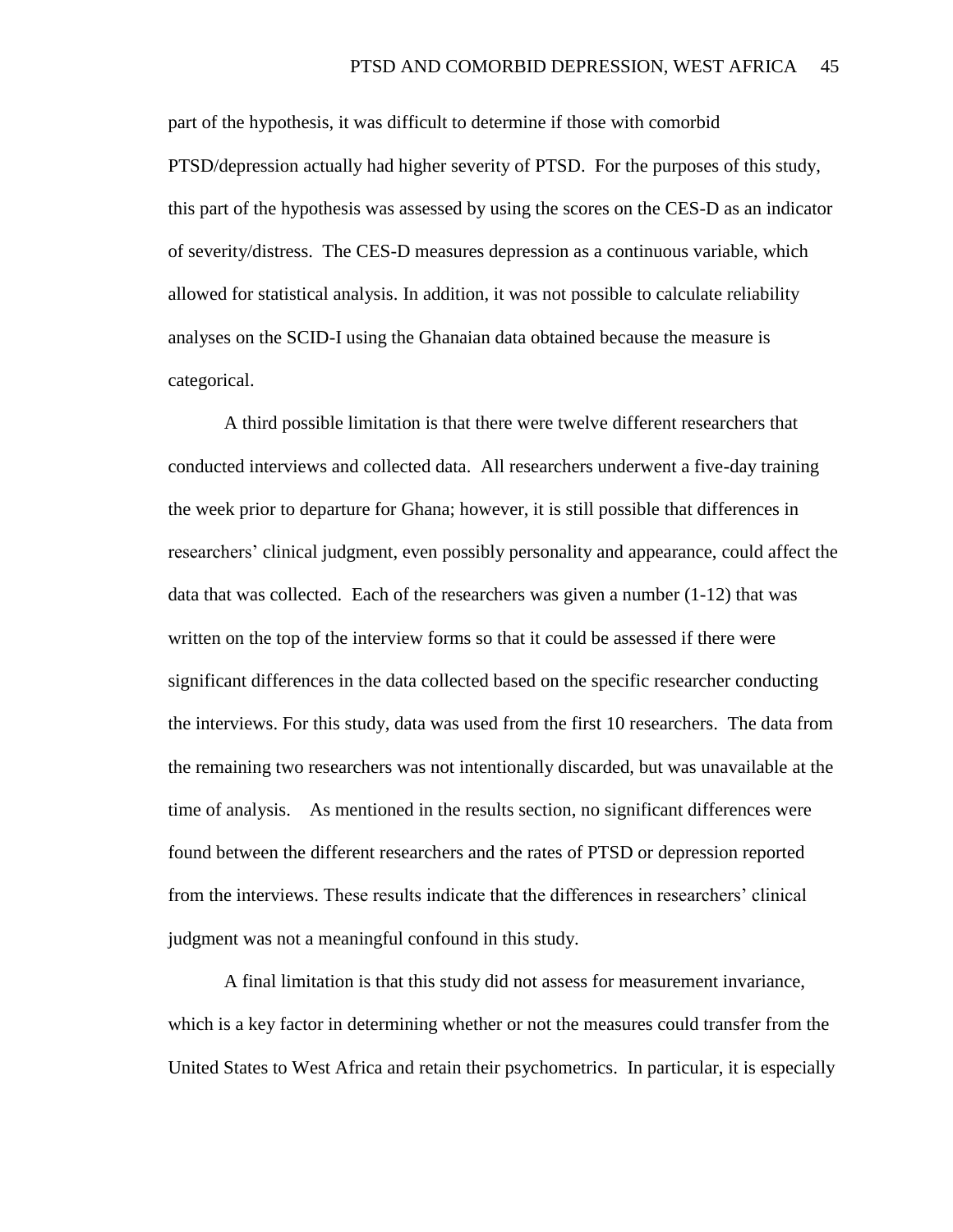part of the hypothesis, it was difficult to determine if those with comorbid PTSD/depression actually had higher severity of PTSD. For the purposes of this study, this part of the hypothesis was assessed by using the scores on the CES-D as an indicator of severity/distress. The CES-D measures depression as a continuous variable, which allowed for statistical analysis. In addition, it was not possible to calculate reliability analyses on the SCID-I using the Ghanaian data obtained because the measure is categorical.

A third possible limitation is that there were twelve different researchers that conducted interviews and collected data. All researchers underwent a five-day training the week prior to departure for Ghana; however, it is still possible that differences in researchers' clinical judgment, even possibly personality and appearance, could affect the data that was collected. Each of the researchers was given a number  $(1-12)$  that was written on the top of the interview forms so that it could be assessed if there were significant differences in the data collected based on the specific researcher conducting the interviews. For this study, data was used from the first 10 researchers. The data from the remaining two researchers was not intentionally discarded, but was unavailable at the time of analysis. As mentioned in the results section, no significant differences were found between the different researchers and the rates of PTSD or depression reported from the interviews. These results indicate that the differences in researchers' clinical judgment was not a meaningful confound in this study.

A final limitation is that this study did not assess for measurement invariance, which is a key factor in determining whether or not the measures could transfer from the United States to West Africa and retain their psychometrics. In particular, it is especially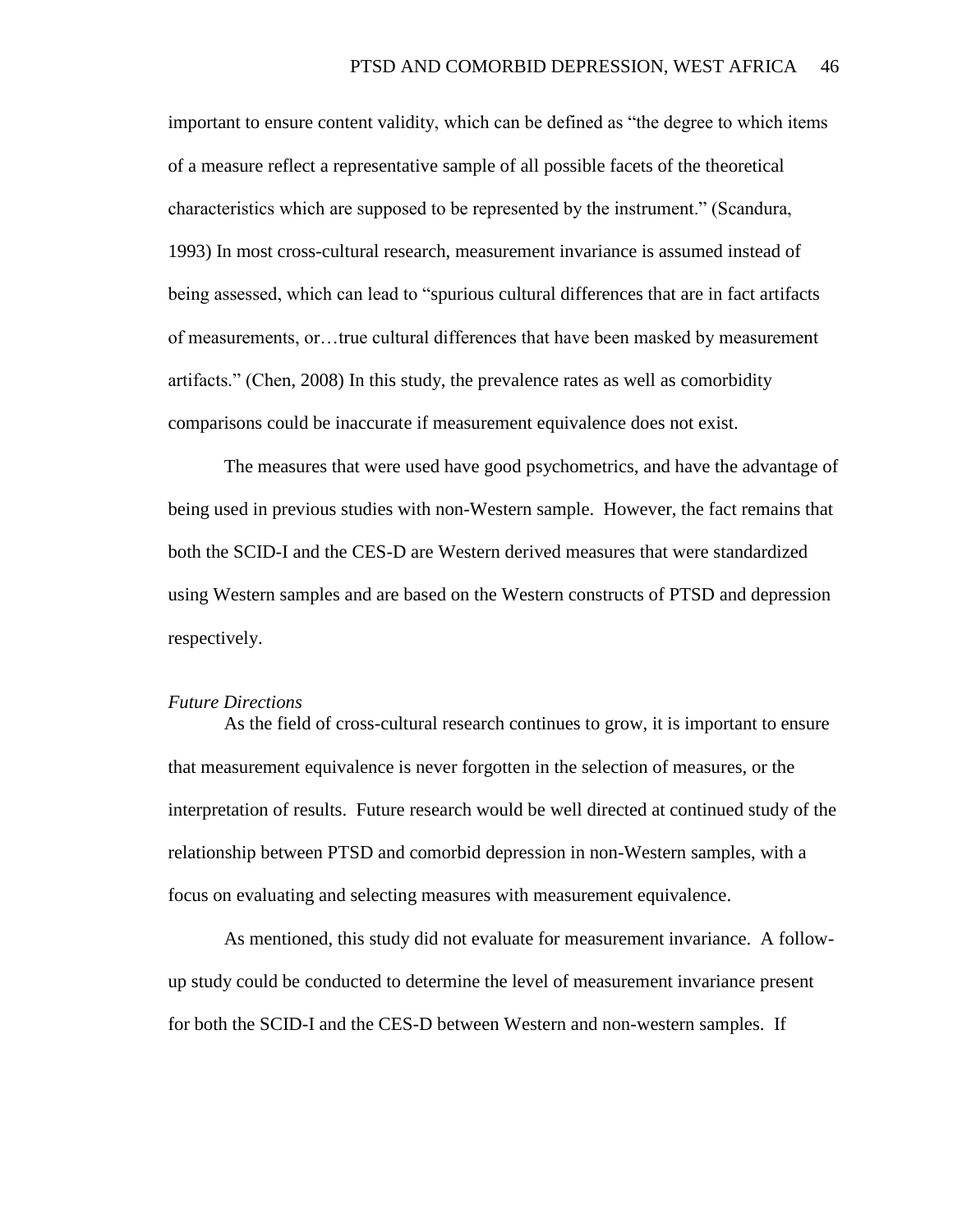important to ensure content validity, which can be defined as "the degree to which items" of a measure reflect a representative sample of all possible facets of the theoretical characteristics which are supposed to be represented by the instrument." (Scandura, 1993) In most cross-cultural research, measurement invariance is assumed instead of being assessed, which can lead to "spurious cultural differences that are in fact artifacts of measurements, or…true cultural differences that have been masked by measurement artifacts.‖ (Chen, 2008) In this study, the prevalence rates as well as comorbidity comparisons could be inaccurate if measurement equivalence does not exist.

The measures that were used have good psychometrics, and have the advantage of being used in previous studies with non-Western sample. However, the fact remains that both the SCID-I and the CES-D are Western derived measures that were standardized using Western samples and are based on the Western constructs of PTSD and depression respectively.

## *Future Directions*

As the field of cross-cultural research continues to grow, it is important to ensure that measurement equivalence is never forgotten in the selection of measures, or the interpretation of results. Future research would be well directed at continued study of the relationship between PTSD and comorbid depression in non-Western samples, with a focus on evaluating and selecting measures with measurement equivalence.

As mentioned, this study did not evaluate for measurement invariance. A followup study could be conducted to determine the level of measurement invariance present for both the SCID-I and the CES-D between Western and non-western samples. If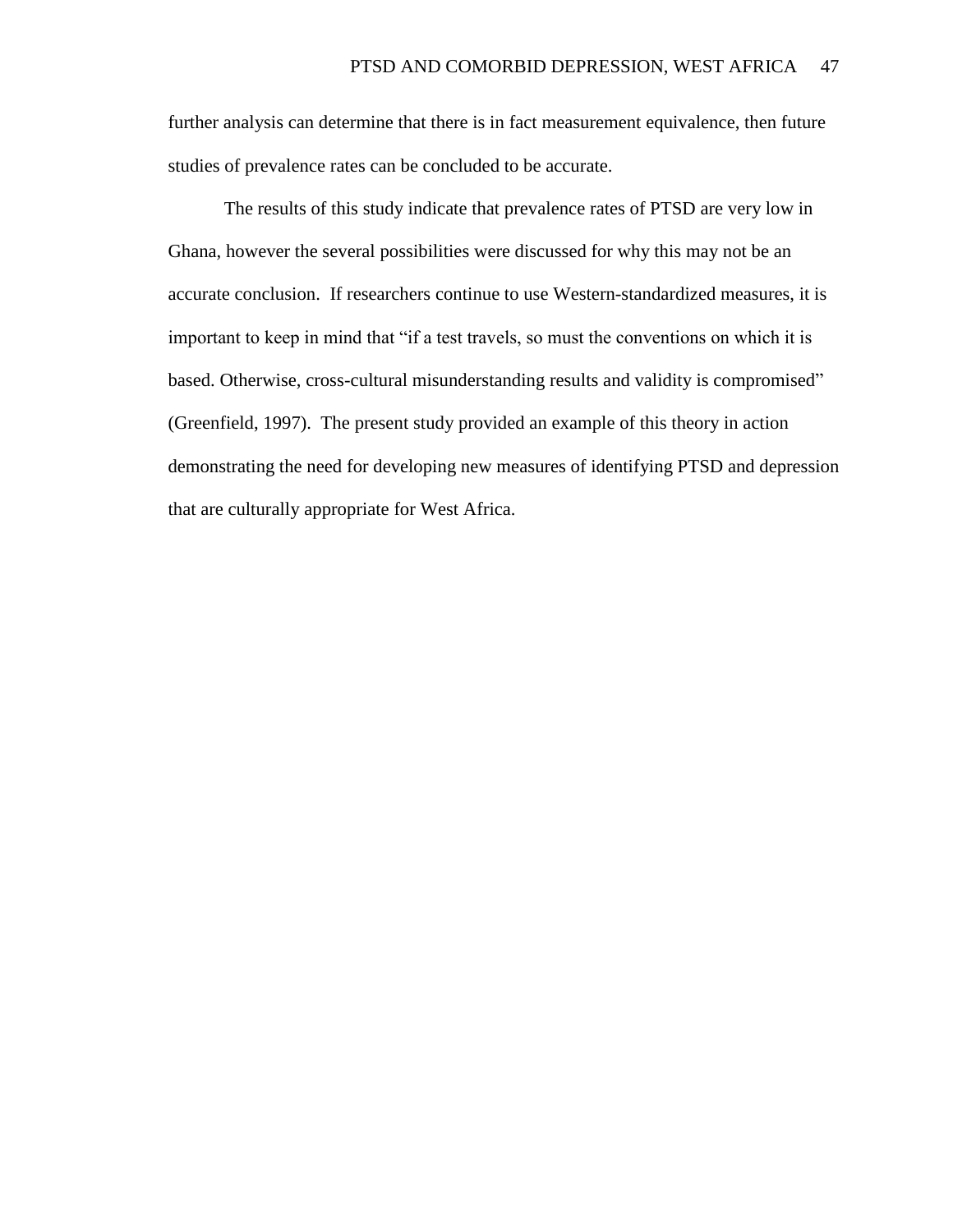further analysis can determine that there is in fact measurement equivalence, then future studies of prevalence rates can be concluded to be accurate.

The results of this study indicate that prevalence rates of PTSD are very low in Ghana, however the several possibilities were discussed for why this may not be an accurate conclusion. If researchers continue to use Western-standardized measures, it is important to keep in mind that "if a test travels, so must the conventions on which it is based. Otherwise, cross-cultural misunderstanding results and validity is compromised" (Greenfield, 1997). The present study provided an example of this theory in action demonstrating the need for developing new measures of identifying PTSD and depression that are culturally appropriate for West Africa.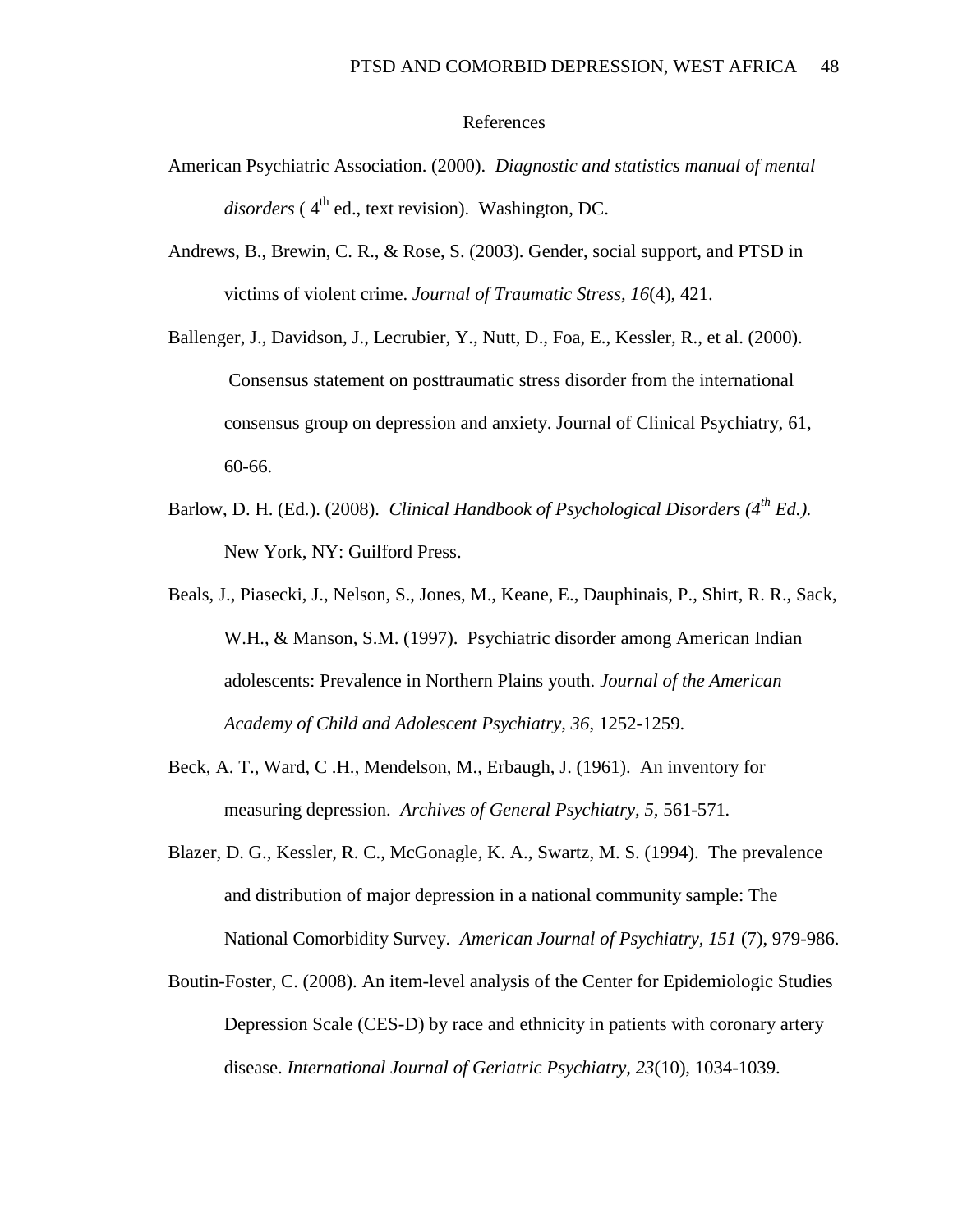#### References

- American Psychiatric Association. (2000). *Diagnostic and statistics manual of mental*   $disorders$  ( $4<sup>th</sup>$  ed., text revision). Washington, DC.
- Andrews, B., Brewin, C. R., & Rose, S. (2003). Gender, social support, and PTSD in victims of violent crime. *Journal of Traumatic Stress, 16*(4), 421.
- Ballenger, J., Davidson, J., Lecrubier, Y., Nutt, D., Foa, E., Kessler, R., et al. (2000). Consensus statement on posttraumatic stress disorder from the international consensus group on depression and anxiety. Journal of Clinical Psychiatry, 61, 60-66.
- Barlow, D. H. (Ed.). (2008). *Clinical Handbook of Psychological Disorders (4th Ed.).*  New York, NY: Guilford Press.
- Beals, J., Piasecki, J., Nelson, S., Jones, M., Keane, E., Dauphinais, P., Shirt, R. R., Sack, W.H., & Manson, S.M. (1997). Psychiatric disorder among American Indian adolescents: Prevalence in Northern Plains youth. *Journal of the American Academy of Child and Adolescent Psychiatry, 36*, 1252-1259.
- Beck, A. T., Ward, C .H., Mendelson, M., Erbaugh, J. (1961). An inventory for measuring depression. *Archives of General Psychiatry, 5,* 561-571*.*
- Blazer, D. G., Kessler, R. C., McGonagle, K. A., Swartz, M. S. (1994). The prevalence and distribution of major depression in a national community sample: The National Comorbidity Survey. *American Journal of Psychiatry, 151* (7), 979-986.
- Boutin-Foster, C. (2008). An item-level analysis of the Center for Epidemiologic Studies Depression Scale (CES-D) by race and ethnicity in patients with coronary artery disease. *International Journal of Geriatric Psychiatry, 23*(10), 1034-1039.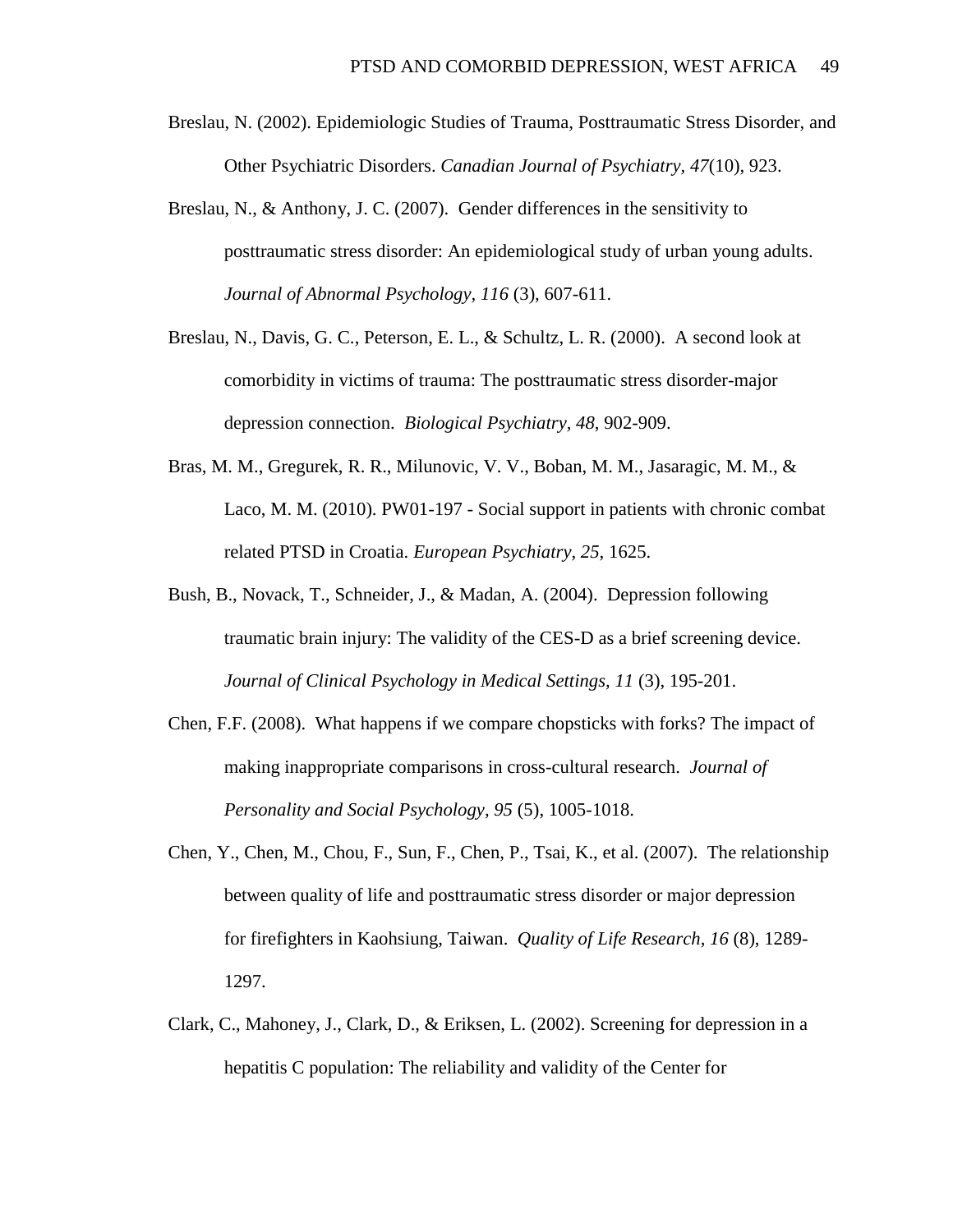- Breslau, N. (2002). Epidemiologic Studies of Trauma, Posttraumatic Stress Disorder, and Other Psychiatric Disorders. *Canadian Journal of Psychiatry, 47*(10), 923.
- Breslau, N., & Anthony, J. C. (2007). Gender differences in the sensitivity to posttraumatic stress disorder: An epidemiological study of urban young adults. *Journal of Abnormal Psychology, 116* (3), 607-611.
- Breslau, N., Davis, G. C., Peterson, E. L., & Schultz, L. R. (2000). A second look at comorbidity in victims of trauma: The posttraumatic stress disorder-major depression connection. *Biological Psychiatry, 48*, 902-909.
- Bras, M. M., Gregurek, R. R., Milunovic, V. V., Boban, M. M., Jasaragic, M. M., & Laco, M. M. (2010). PW01-197 - Social support in patients with chronic combat related PTSD in Croatia. *European Psychiatry, 25*, 1625.
- Bush, B., Novack, T., Schneider, J., & Madan, A. (2004). Depression following traumatic brain injury: The validity of the CES-D as a brief screening device. *Journal of Clinical Psychology in Medical Settings, 11* (3), 195-201.
- Chen, F.F. (2008). What happens if we compare chopsticks with forks? The impact of making inappropriate comparisons in cross-cultural research. *Journal of Personality and Social Psychology, 95* (5), 1005-1018.
- Chen, Y., Chen, M., Chou, F., Sun, F., Chen, P., Tsai, K., et al. (2007). The relationship between quality of life and posttraumatic stress disorder or major depression for firefighters in Kaohsiung, Taiwan. *Quality of Life Research, 16* (8), 1289- 1297.
- Clark, C., Mahoney, J., Clark, D., & Eriksen, L. (2002). Screening for depression in a hepatitis C population: The reliability and validity of the Center for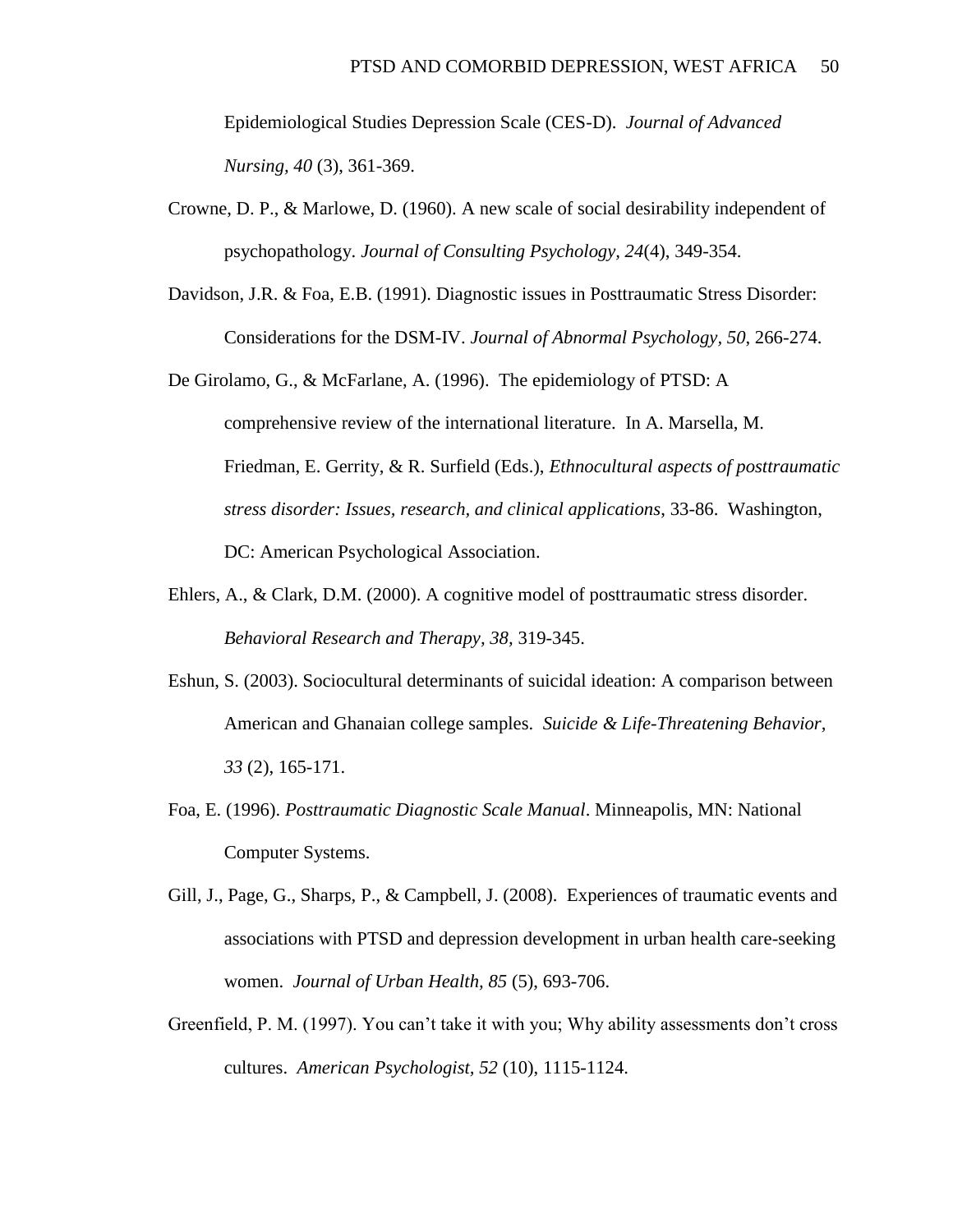Epidemiological Studies Depression Scale (CES-D). *Journal of Advanced Nursing, 40* (3), 361-369.

- Crowne, D. P., & Marlowe, D. (1960). A new scale of social desirability independent of psychopathology. *Journal of Consulting Psychology, 24*(4), 349-354.
- Davidson, J.R. & Foa, E.B. (1991). Diagnostic issues in Posttraumatic Stress Disorder: Considerations for the DSM-IV. *Journal of Abnormal Psychology, 50*, 266-274.

De Girolamo, G., & McFarlane, A. (1996). The epidemiology of PTSD: A comprehensive review of the international literature. In A. Marsella, M. Friedman, E. Gerrity, & R. Surfield (Eds.), *Ethnocultural aspects of posttraumatic stress disorder: Issues, research, and clinical applications*, 33-86. Washington, DC: American Psychological Association.

- Ehlers, A., & Clark, D.M. (2000). A cognitive model of posttraumatic stress disorder. *Behavioral Research and Therapy, 38,* 319-345.
- Eshun, S. (2003). Sociocultural determinants of suicidal ideation: A comparison between American and Ghanaian college samples. *Suicide & Life-Threatening Behavior, 33* (2), 165-171.
- Foa, E. (1996). *Posttraumatic Diagnostic Scale Manual*. Minneapolis, MN: National Computer Systems.
- Gill, J., Page, G., Sharps, P., & Campbell, J. (2008). Experiences of traumatic events and associations with PTSD and depression development in urban health care-seeking women. *Journal of Urban Health, 85* (5), 693-706.
- Greenfield, P. M. (1997). You can't take it with you; Why ability assessments don't cross cultures. *American Psychologist, 52* (10), 1115-1124.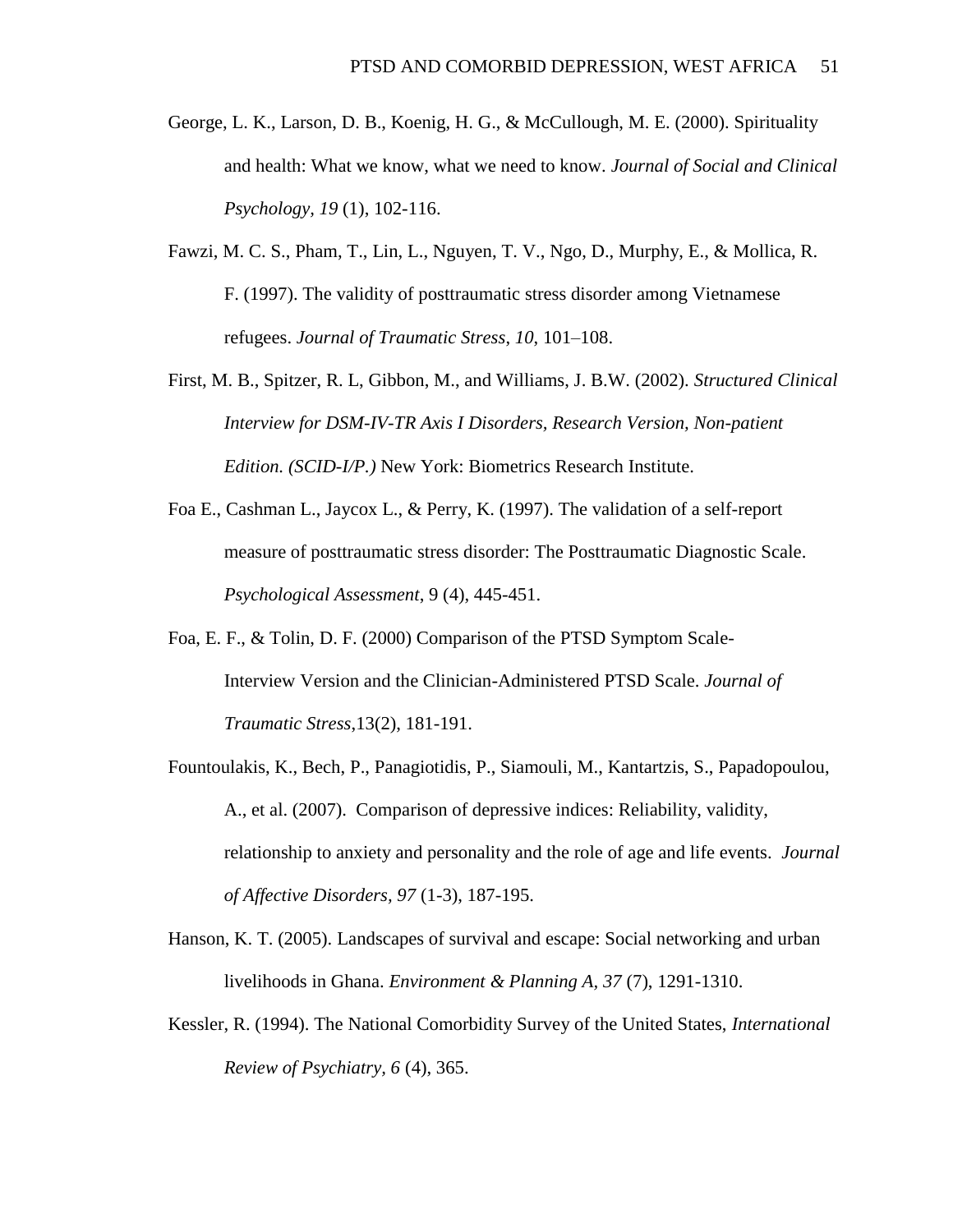- George, L. K., Larson, D. B., Koenig, H. G., & McCullough, M. E. (2000). Spirituality and health: What we know, what we need to know. *Journal of Social and Clinical Psychology, 19* (1), 102-116.
- Fawzi, M. C. S., Pham, T., Lin, L., Nguyen, T. V., Ngo, D., Murphy, E., & Mollica, R. F. (1997). The validity of posttraumatic stress disorder among Vietnamese refugees. *Journal of Traumatic Stress*, *10*, 101–108.
- First, M. B., Spitzer, R. L, Gibbon, M., and Williams, J. B.W. (2002). *Structured Clinical Interview for DSM-IV-TR Axis I Disorders, Research Version, Non-patient Edition. (SCID-I/P.)* New York: Biometrics Research Institute.
- Foa E., Cashman L., Jaycox L., & Perry, K. (1997). The validation of a self-report measure of posttraumatic stress disorder: The Posttraumatic Diagnostic Scale. *Psychological Assessment*, 9 (4), 445-451.
- Foa, E. F., & Tolin, D. F. (2000) Comparison of the PTSD Symptom Scale-Interview Version and the Clinician-Administered PTSD Scale. *Journal of Traumatic Stress*,13(2), 181-191.
- Fountoulakis, K., Bech, P., Panagiotidis, P., Siamouli, M., Kantartzis, S., Papadopoulou, A., et al. (2007). Comparison of depressive indices: Reliability, validity, relationship to anxiety and personality and the role of age and life events. *Journal of Affective Disorders, 97* (1-3), 187-195.
- Hanson, K. T. (2005). Landscapes of survival and escape: Social networking and urban livelihoods in Ghana. *Environment & Planning A, 37* (7), 1291-1310.
- Kessler, R. (1994). The National Comorbidity Survey of the United States, *International Review of Psychiatry, 6* (4), 365.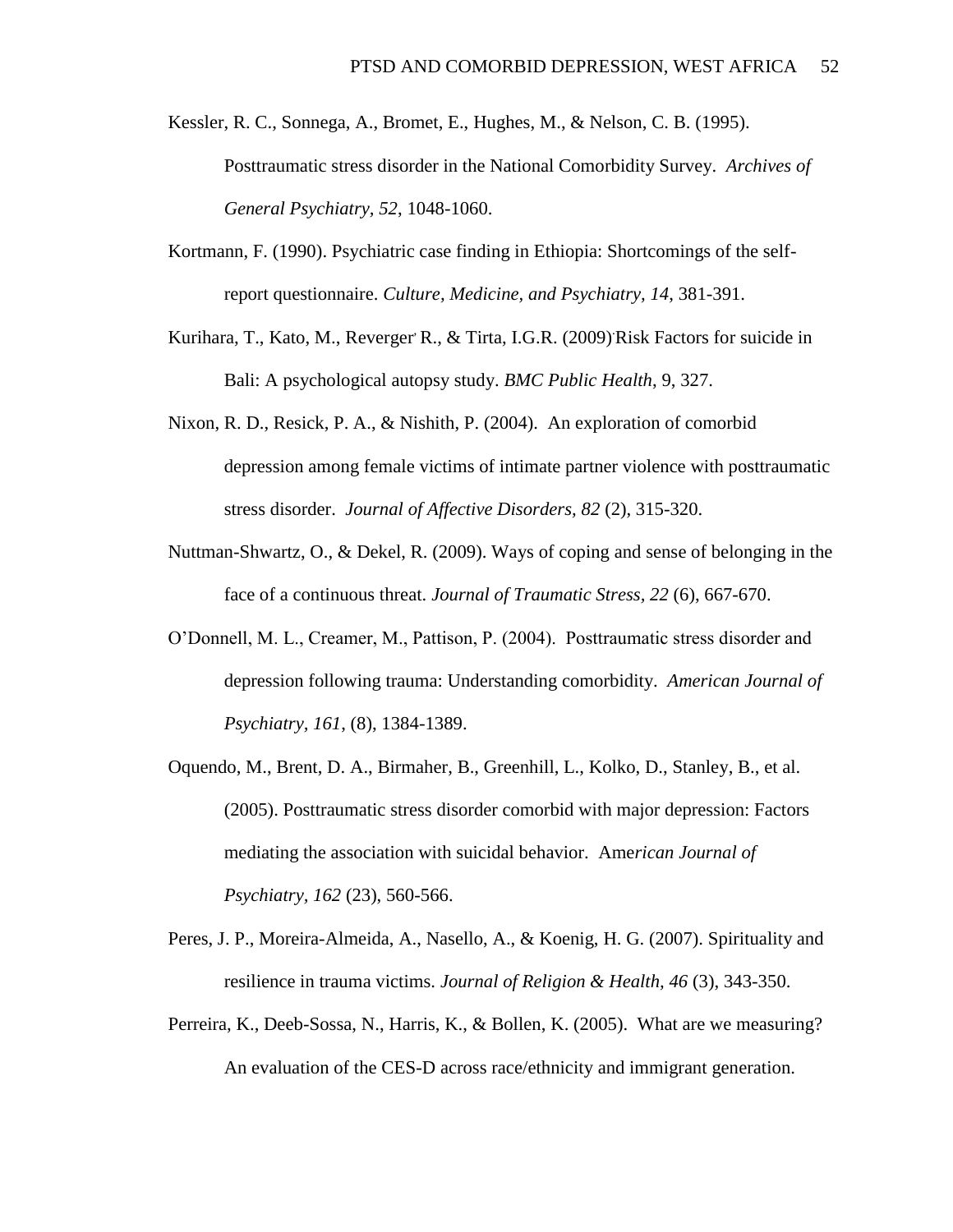- Kessler, R. C., Sonnega, A., Bromet, E., Hughes, M., & Nelson, C. B. (1995). Posttraumatic stress disorder in the National Comorbidity Survey. *Archives of General Psychiatry, 52*, 1048-1060.
- Kortmann, F. (1990). Psychiatric case finding in Ethiopia: Shortcomings of the selfreport questionnaire. *Culture, Medicine, and Psychiatry, 14*, 381-391.
- Kurihara, T., Kato, M., Reverger' R., & Tirta, I.G.R. (2009) Risk Factors for suicide in Bali: A psychological autopsy study. *BMC Public Health*, 9, 327.
- Nixon, R. D., Resick, P. A., & Nishith, P. (2004). An exploration of comorbid depression among female victims of intimate partner violence with posttraumatic stress disorder. *Journal of Affective Disorders, 82* (2), 315-320.
- Nuttman-Shwartz, O., & Dekel, R. (2009). Ways of coping and sense of belonging in the face of a continuous threat. *Journal of Traumatic Stress, 22* (6), 667-670.
- O'Donnell, M. L., Creamer, M., Pattison, P. (2004). Posttraumatic stress disorder and depression following trauma: Understanding comorbidity. *American Journal of Psychiatry, 161*, (8), 1384-1389.
- Oquendo, M., Brent, D. A., Birmaher, B., Greenhill, L., Kolko, D., Stanley, B., et al. (2005). Posttraumatic stress disorder comorbid with major depression: Factors mediating the association with suicidal behavior. Ame*rican Journal of Psychiatry, 162* (23), 560-566.
- Peres, J. P., Moreira-Almeida, A., Nasello, A., & Koenig, H. G. (2007). Spirituality and resilience in trauma victims. *Journal of Religion & Health, 46* (3), 343-350.
- Perreira, K., Deeb-Sossa, N., Harris, K., & Bollen, K. (2005). What are we measuring? An evaluation of the CES-D across race/ethnicity and immigrant generation.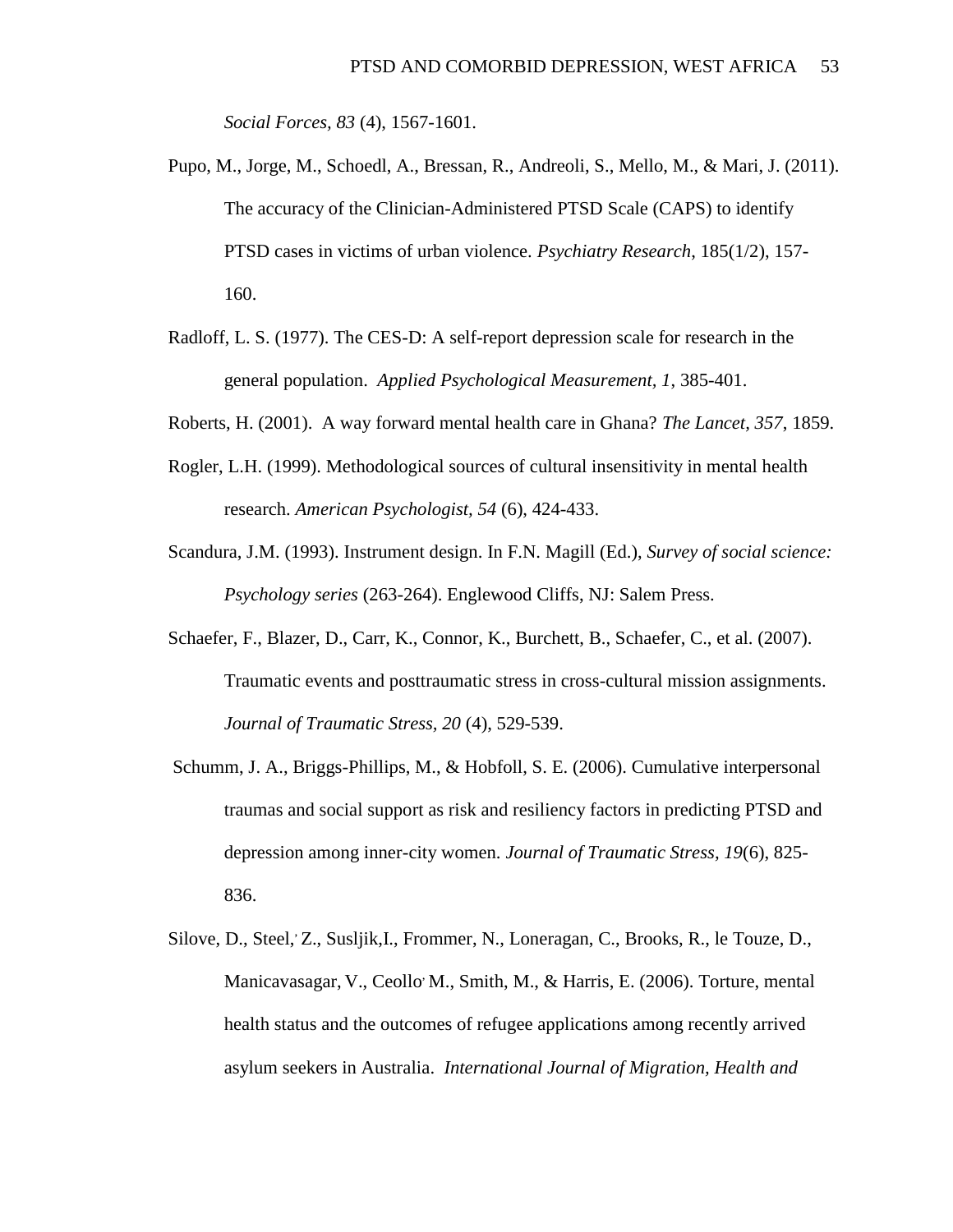*Social Forces, 83* (4), 1567-1601.

- Pupo, M., Jorge, M., Schoedl, A., Bressan, R., Andreoli, S., Mello, M., & Mari, J. (2011). The accuracy of the Clinician-Administered PTSD Scale (CAPS) to identify PTSD cases in victims of urban violence. *Psychiatry Research*, 185(1/2), 157- 160.
- Radloff, L. S. (1977). The CES-D: A self-report depression scale for research in the general population. *Applied Psychological Measurement, 1*, 385-401.
- Roberts, H. (2001). A way forward mental health care in Ghana? *The Lancet, 357*, 1859.
- Rogler, L.H. (1999). Methodological sources of cultural insensitivity in mental health research. *American Psychologist, 54* (6), 424-433.
- Scandura, J.M. (1993). Instrument design. In F.N. Magill (Ed.), *Survey of social science: Psychology series* (263-264). Englewood Cliffs, NJ: Salem Press.
- Schaefer, F., Blazer, D., Carr, K., Connor, K., Burchett, B., Schaefer, C., et al. (2007). Traumatic events and posttraumatic stress in cross-cultural mission assignments. *Journal of Traumatic Stress, 20* (4), 529-539.
- Schumm, J. A., Briggs-Phillips, M., & Hobfoll, S. E. (2006). Cumulative interpersonal traumas and social support as risk and resiliency factors in predicting PTSD and depression among inner-city women. *Journal of Traumatic Stress, 19*(6), 825- 836.
- Silove, D., Steel,, Z., Susljik,I., Frommer, N., Loneragan, C., Brooks, R., le Touze, D., Manicavasagar, V., Ceollo, M., Smith, M., & Harris, E. (2006). Torture, mental health status and the outcomes of refugee applications among recently arrived asylum seekers in Australia. *International Journal of Migration, Health and*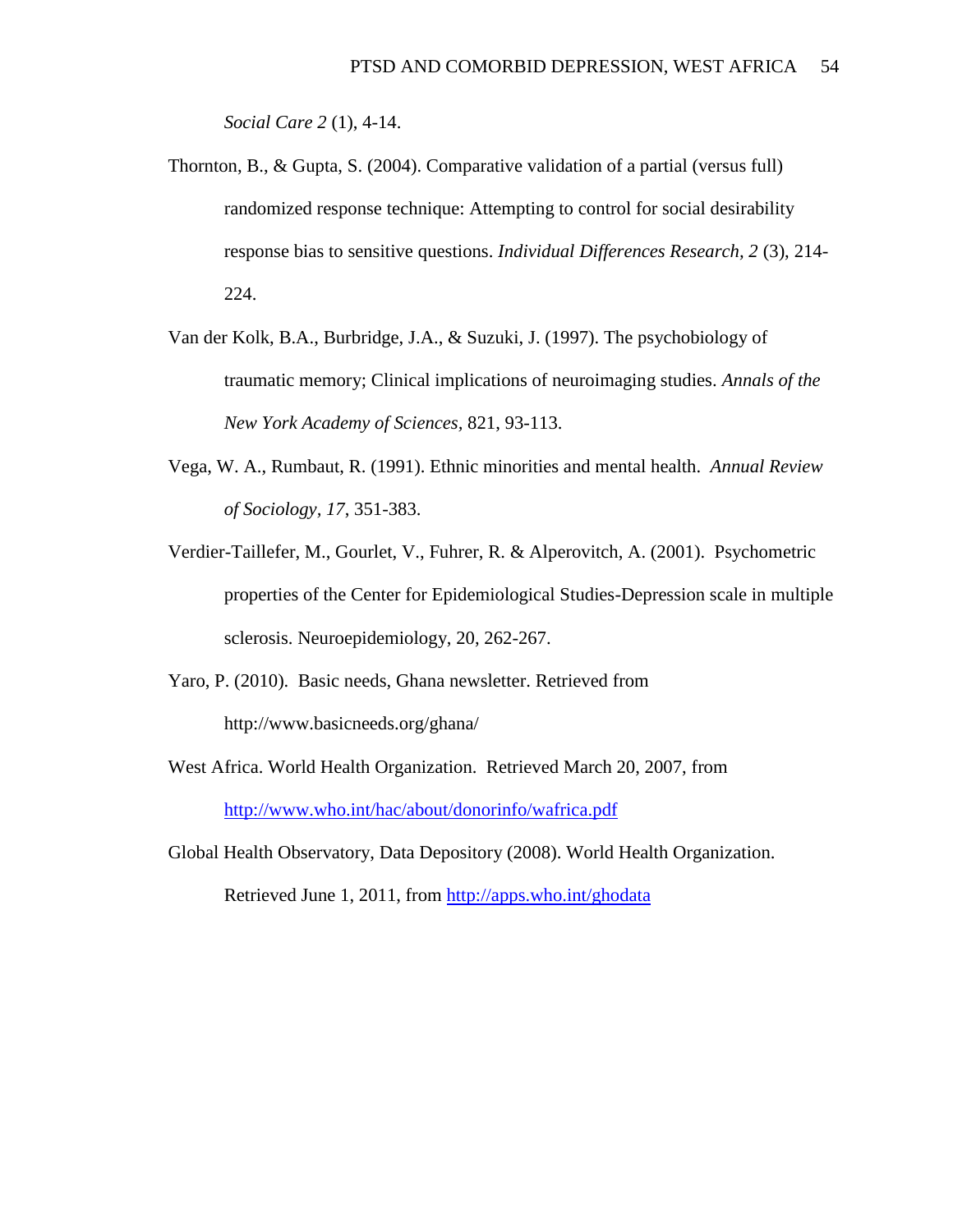*Social Care 2* (1), 4-14.

- Thornton, B., & Gupta, S. (2004). Comparative validation of a partial (versus full) randomized response technique: Attempting to control for social desirability response bias to sensitive questions. *Individual Differences Research, 2* (3), 214- 224.
- Van der Kolk, B.A., Burbridge, J.A., & Suzuki, J. (1997). The psychobiology of traumatic memory; Clinical implications of neuroimaging studies. *Annals of the New York Academy of Sciences,* 821, 93-113.
- Vega, W. A., Rumbaut, R. (1991). Ethnic minorities and mental health. *Annual Review of Sociology, 17*, 351-383.
- Verdier-Taillefer, M., Gourlet, V., Fuhrer, R. & Alperovitch, A. (2001). Psychometric properties of the Center for Epidemiological Studies-Depression scale in multiple sclerosis. Neuroepidemiology, 20, 262-267.
- Yaro, P. (2010). Basic needs, Ghana newsletter. Retrieved from http://www.basicneeds.org/ghana/
- West Africa. World Health Organization. Retrieved March 20, 2007, from <http://www.who.int/hac/about/donorinfo/wafrica.pdf>
- Global Health Observatory, Data Depository (2008). World Health Organization. Retrieved June 1, 2011, from<http://apps.who.int/ghodata>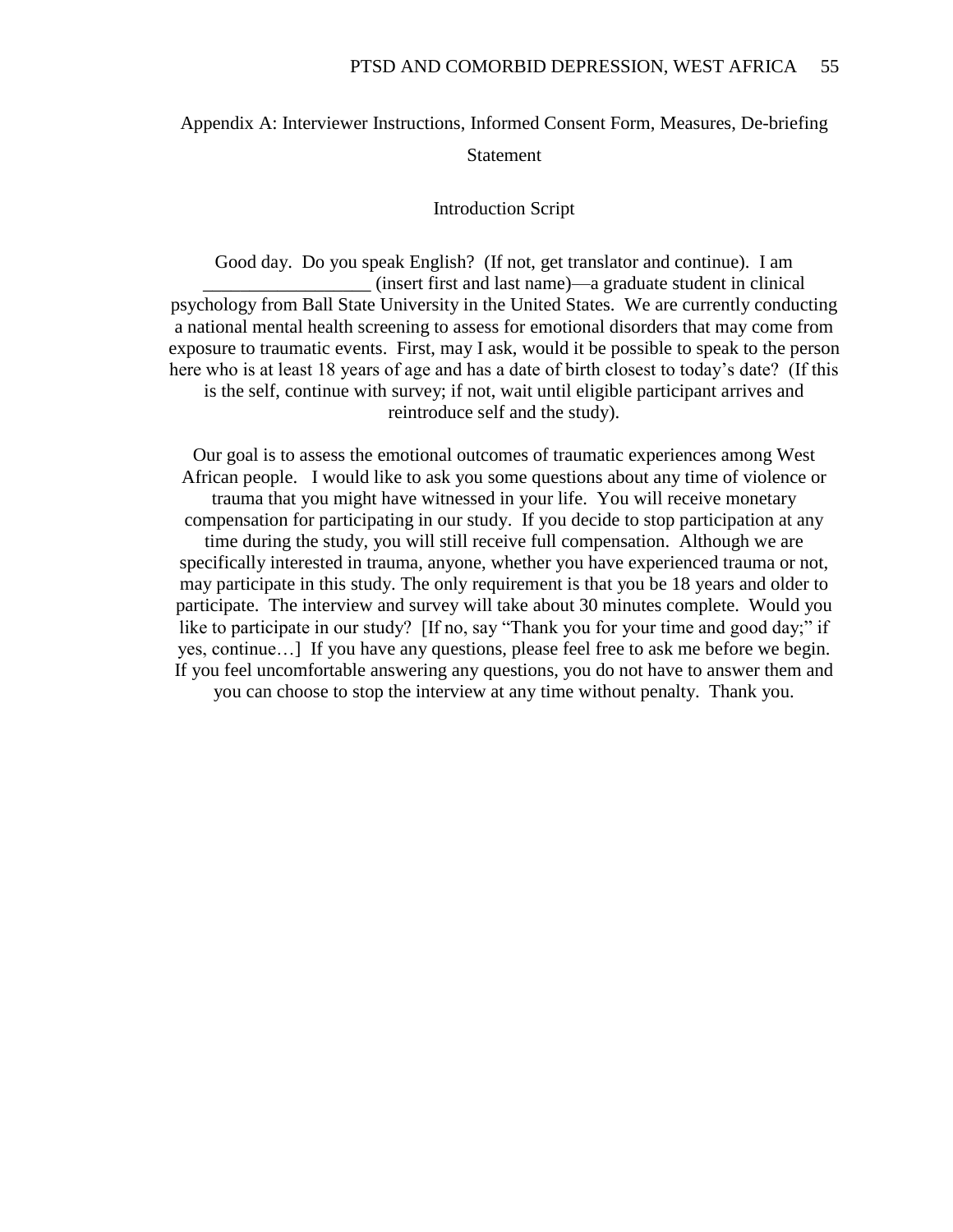# Appendix A: Interviewer Instructions, Informed Consent Form, Measures, De-briefing Statement

#### Introduction Script

Good day. Do you speak English? (If not, get translator and continue). I am \_\_\_\_\_\_\_\_\_\_\_\_\_\_\_\_\_\_ (insert first and last name)—a graduate student in clinical psychology from Ball State University in the United States. We are currently conducting a national mental health screening to assess for emotional disorders that may come from exposure to traumatic events. First, may I ask, would it be possible to speak to the person here who is at least 18 years of age and has a date of birth closest to today's date? (If this is the self, continue with survey; if not, wait until eligible participant arrives and reintroduce self and the study).

Our goal is to assess the emotional outcomes of traumatic experiences among West African people. I would like to ask you some questions about any time of violence or trauma that you might have witnessed in your life. You will receive monetary compensation for participating in our study. If you decide to stop participation at any time during the study, you will still receive full compensation. Although we are specifically interested in trauma, anyone, whether you have experienced trauma or not, may participate in this study. The only requirement is that you be 18 years and older to participate. The interview and survey will take about 30 minutes complete. Would you like to participate in our study? [If no, say "Thank you for your time and good day;" if yes, continue…] If you have any questions, please feel free to ask me before we begin. If you feel uncomfortable answering any questions, you do not have to answer them and

you can choose to stop the interview at any time without penalty. Thank you.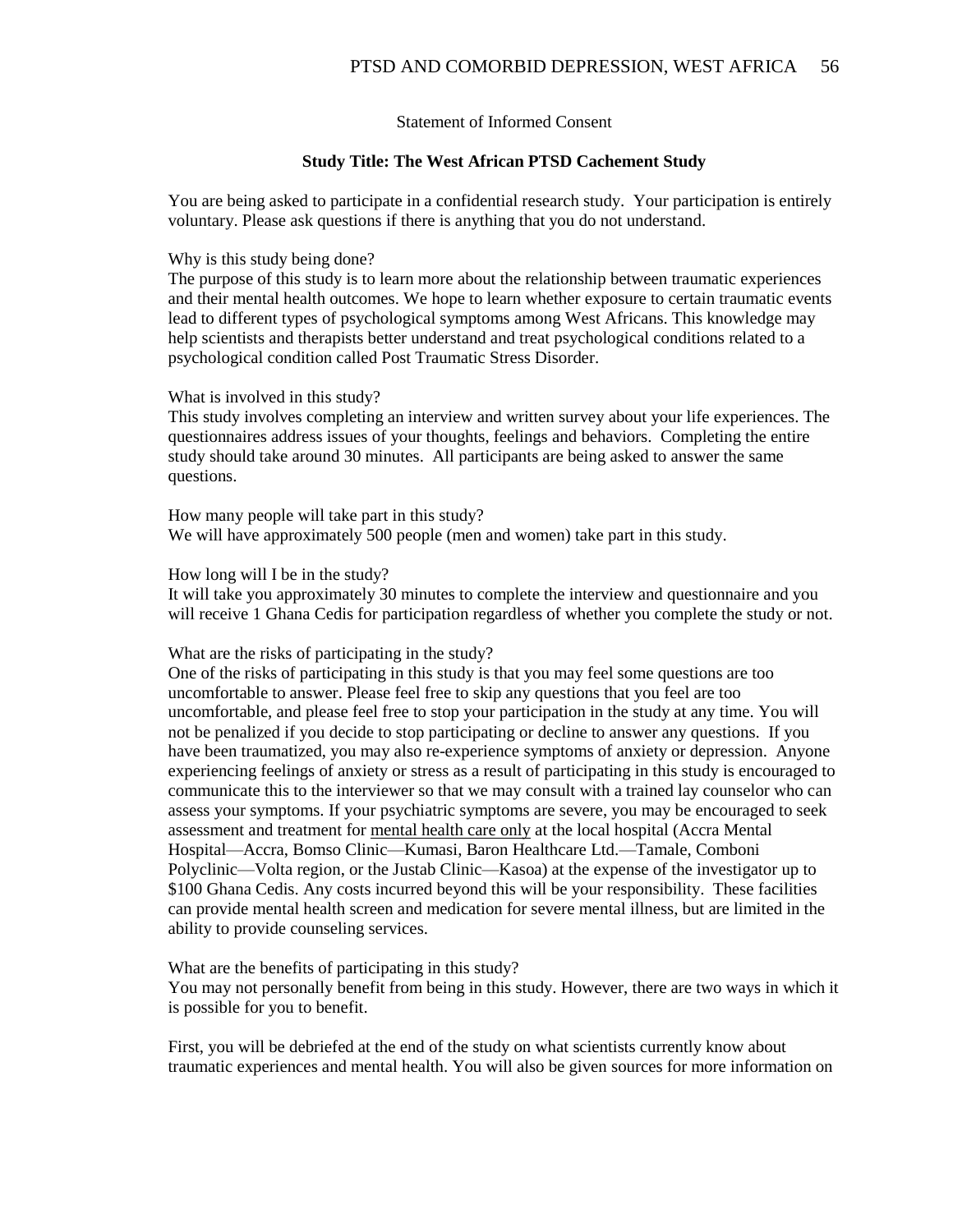### Statement of Informed Consent

#### **Study Title: The West African PTSD Cachement Study**

You are being asked to participate in a confidential research study. Your participation is entirely voluntary. Please ask questions if there is anything that you do not understand.

#### Why is this study being done?

The purpose of this study is to learn more about the relationship between traumatic experiences and their mental health outcomes. We hope to learn whether exposure to certain traumatic events lead to different types of psychological symptoms among West Africans. This knowledge may help scientists and therapists better understand and treat psychological conditions related to a psychological condition called Post Traumatic Stress Disorder.

#### What is involved in this study?

This study involves completing an interview and written survey about your life experiences. The questionnaires address issues of your thoughts, feelings and behaviors. Completing the entire study should take around 30 minutes. All participants are being asked to answer the same questions.

How many people will take part in this study? We will have approximately 500 people (men and women) take part in this study.

How long will I be in the study?

It will take you approximately 30 minutes to complete the interview and questionnaire and you will receive 1 Ghana Cedis for participation regardless of whether you complete the study or not.

What are the risks of participating in the study?

One of the risks of participating in this study is that you may feel some questions are too uncomfortable to answer. Please feel free to skip any questions that you feel are too uncomfortable, and please feel free to stop your participation in the study at any time. You will not be penalized if you decide to stop participating or decline to answer any questions. If you have been traumatized, you may also re-experience symptoms of anxiety or depression. Anyone experiencing feelings of anxiety or stress as a result of participating in this study is encouraged to communicate this to the interviewer so that we may consult with a trained lay counselor who can assess your symptoms. If your psychiatric symptoms are severe, you may be encouraged to seek assessment and treatment for mental health care only at the local hospital (Accra Mental Hospital—Accra, Bomso Clinic—Kumasi, Baron Healthcare Ltd.—Tamale, Comboni Polyclinic—Volta region, or the Justab Clinic—Kasoa) at the expense of the investigator up to \$100 Ghana Cedis. Any costs incurred beyond this will be your responsibility. These facilities can provide mental health screen and medication for severe mental illness, but are limited in the ability to provide counseling services.

What are the benefits of participating in this study? You may not personally benefit from being in this study. However, there are two ways in which it is possible for you to benefit.

First, you will be debriefed at the end of the study on what scientists currently know about traumatic experiences and mental health. You will also be given sources for more information on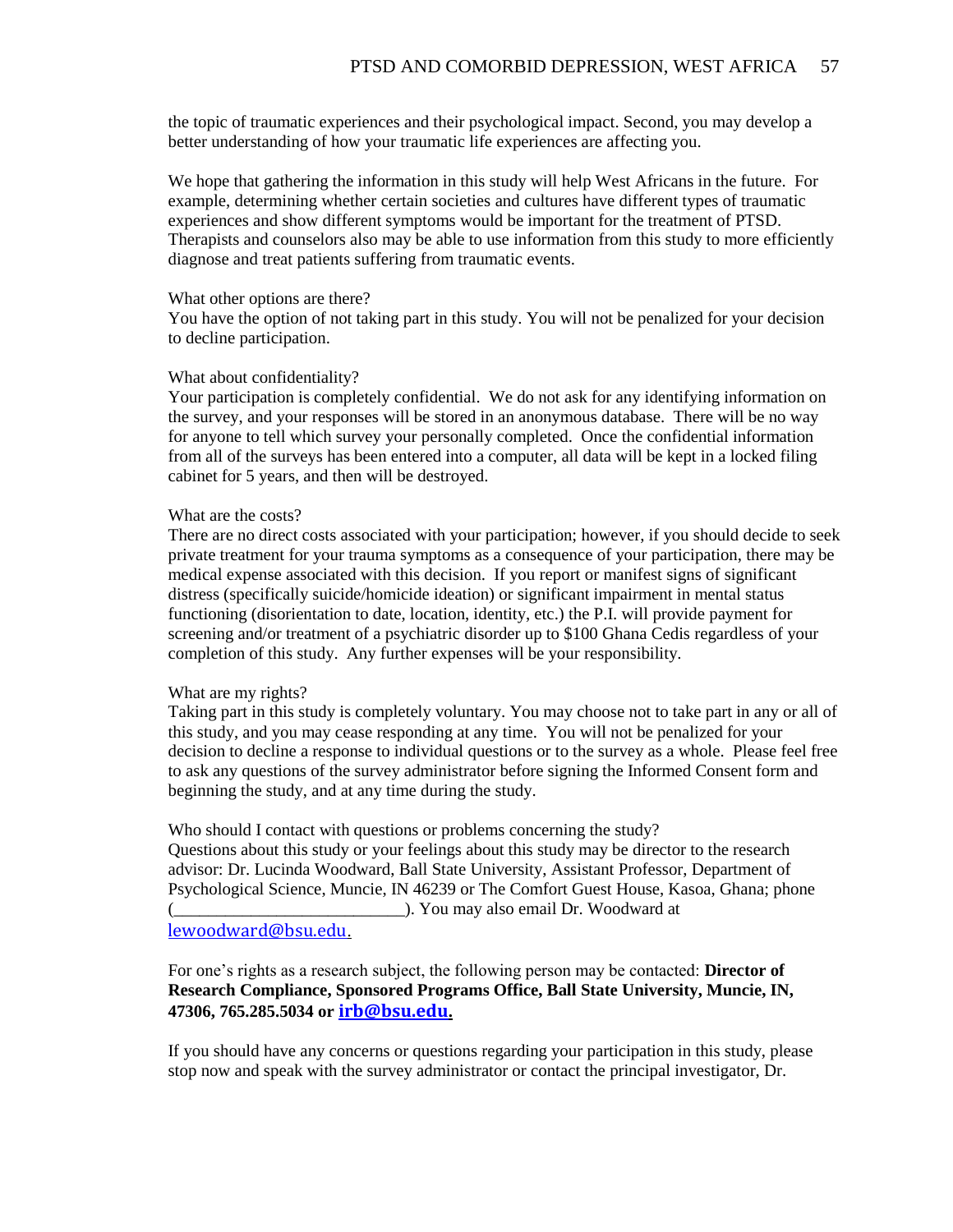the topic of traumatic experiences and their psychological impact. Second, you may develop a better understanding of how your traumatic life experiences are affecting you.

We hope that gathering the information in this study will help West Africans in the future. For example, determining whether certain societies and cultures have different types of traumatic experiences and show different symptoms would be important for the treatment of PTSD. Therapists and counselors also may be able to use information from this study to more efficiently diagnose and treat patients suffering from traumatic events.

#### What other options are there?

You have the option of not taking part in this study. You will not be penalized for your decision to decline participation.

#### What about confidentiality?

Your participation is completely confidential. We do not ask for any identifying information on the survey, and your responses will be stored in an anonymous database. There will be no way for anyone to tell which survey your personally completed. Once the confidential information from all of the surveys has been entered into a computer, all data will be kept in a locked filing cabinet for 5 years, and then will be destroyed.

#### What are the costs?

There are no direct costs associated with your participation; however, if you should decide to seek private treatment for your trauma symptoms as a consequence of your participation, there may be medical expense associated with this decision. If you report or manifest signs of significant distress (specifically suicide/homicide ideation) or significant impairment in mental status functioning (disorientation to date, location, identity, etc.) the P.I. will provide payment for screening and/or treatment of a psychiatric disorder up to \$100 Ghana Cedis regardless of your completion of this study. Any further expenses will be your responsibility.

#### What are my rights?

Taking part in this study is completely voluntary. You may choose not to take part in any or all of this study, and you may cease responding at any time. You will not be penalized for your decision to decline a response to individual questions or to the survey as a whole. Please feel free to ask any questions of the survey administrator before signing the Informed Consent form and beginning the study, and at any time during the study.

Who should I contact with questions or problems concerning the study? Questions about this study or your feelings about this study may be director to the research advisor: Dr. Lucinda Woodward, Ball State University, Assistant Professor, Department of Psychological Science, Muncie, IN 46239 or The Comfort Guest House, Kasoa, Ghana; phone (\_\_\_\_\_\_\_\_\_\_\_\_\_\_\_\_\_\_\_\_\_\_\_\_\_\_\_). You may also email Dr. Woodward at [lewoodward@bsu.edu](mailto:lewoodward@bsu.edu).

For one's rights as a research subject, the following person may be contacted: **Director of Research Compliance, Sponsored Programs Office, Ball State University, Muncie, IN, 47306, 765.285.5034 or [irb@bsu.edu](mailto:irb@bsu.edu).** 

If you should have any concerns or questions regarding your participation in this study, please stop now and speak with the survey administrator or contact the principal investigator, Dr.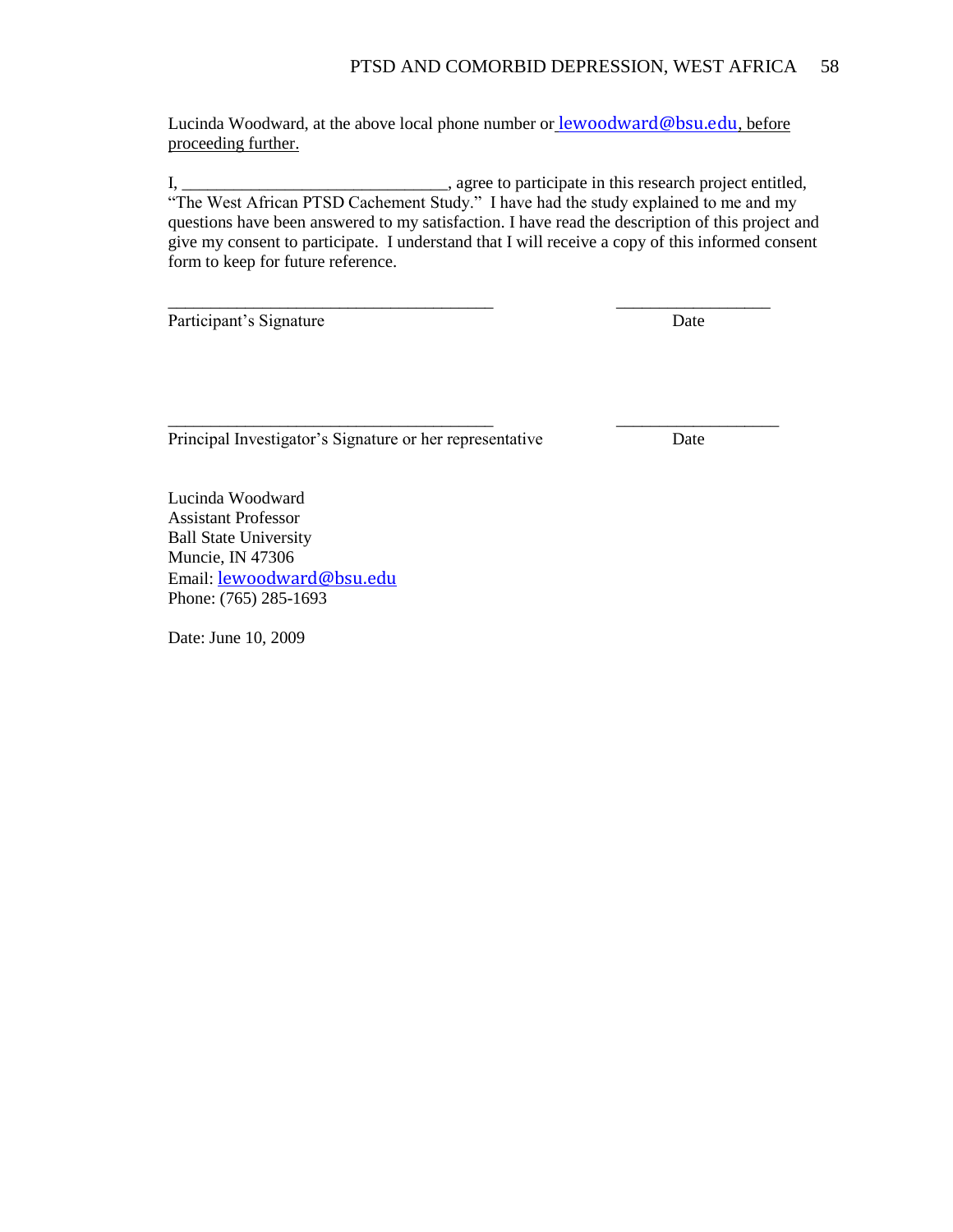Lucinda Woodward, at the above local phone number or **[lewoodward@bsu.edu](mailto:lewoodward@bsu.edu)**, before proceeding further.

I, \_\_\_\_\_\_\_\_\_\_\_\_\_\_\_\_\_\_\_\_\_\_\_\_\_\_\_\_\_\_\_, agree to participate in this research project entitled, The West African PTSD Cachement Study." I have had the study explained to me and my questions have been answered to my satisfaction. I have read the description of this project and give my consent to participate. I understand that I will receive a copy of this informed consent form to keep for future reference.

\_\_\_\_\_\_\_\_\_\_\_\_\_\_\_\_\_\_\_\_\_\_\_\_\_\_\_\_\_\_\_\_\_\_\_\_\_\_ \_\_\_\_\_\_\_\_\_\_\_\_\_\_\_\_\_\_

\_\_\_\_\_\_\_\_\_\_\_\_\_\_\_\_\_\_\_\_\_\_\_\_\_\_\_\_\_\_\_\_\_\_\_\_\_\_ \_\_\_\_\_\_\_\_\_\_\_\_\_\_\_\_\_\_\_

Participant's Signature Date

Principal Investigator's Signature or her representative Date

Lucinda Woodward Assistant Professor Ball State University Muncie, IN 47306 Email: [lewoodward@bsu.edu](mailto:lewoodward@bsu.edu) Phone: (765) 285-1693

Date: June 10, 2009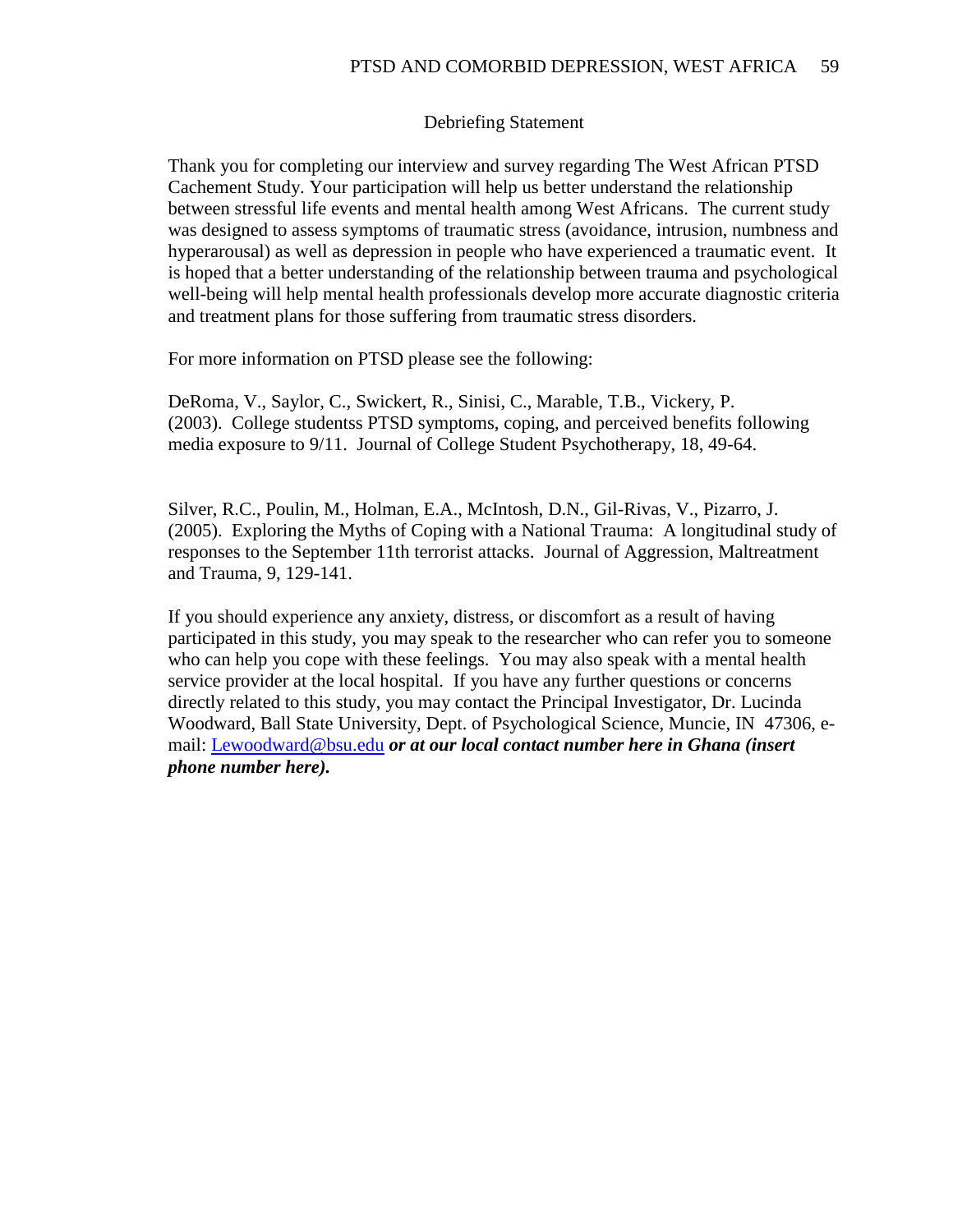## Debriefing Statement

Thank you for completing our interview and survey regarding The West African PTSD Cachement Study. Your participation will help us better understand the relationship between stressful life events and mental health among West Africans. The current study was designed to assess symptoms of traumatic stress (avoidance, intrusion, numbness and hyperarousal) as well as depression in people who have experienced a traumatic event. It is hoped that a better understanding of the relationship between trauma and psychological well-being will help mental health professionals develop more accurate diagnostic criteria and treatment plans for those suffering from traumatic stress disorders.

For more information on PTSD please see the following:

DeRoma, V., Saylor, C., Swickert, R., Sinisi, C., Marable, T.B., Vickery, P. (2003). College studentss PTSD symptoms, coping, and perceived benefits following media exposure to 9/11. Journal of College Student Psychotherapy, 18, 49-64.

Silver, R.C., Poulin, M., Holman, E.A., McIntosh, D.N., Gil-Rivas, V., Pizarro, J. (2005). Exploring the Myths of Coping with a National Trauma: A longitudinal study of responses to the September 11th terrorist attacks. Journal of Aggression, Maltreatment and Trauma, 9, 129-141.

If you should experience any anxiety, distress, or discomfort as a result of having participated in this study, you may speak to the researcher who can refer you to someone who can help you cope with these feelings. You may also speak with a mental health service provider at the local hospital. If you have any further questions or concerns directly related to this study, you may contact the Principal Investigator, Dr. Lucinda Woodward, Ball State University, Dept. of Psychological Science, Muncie, IN 47306, email: [Lewoodward@bsu.edu](mailto:Lewoodward@bsu.edu) *or at our local contact number here in Ghana (insert phone number here).*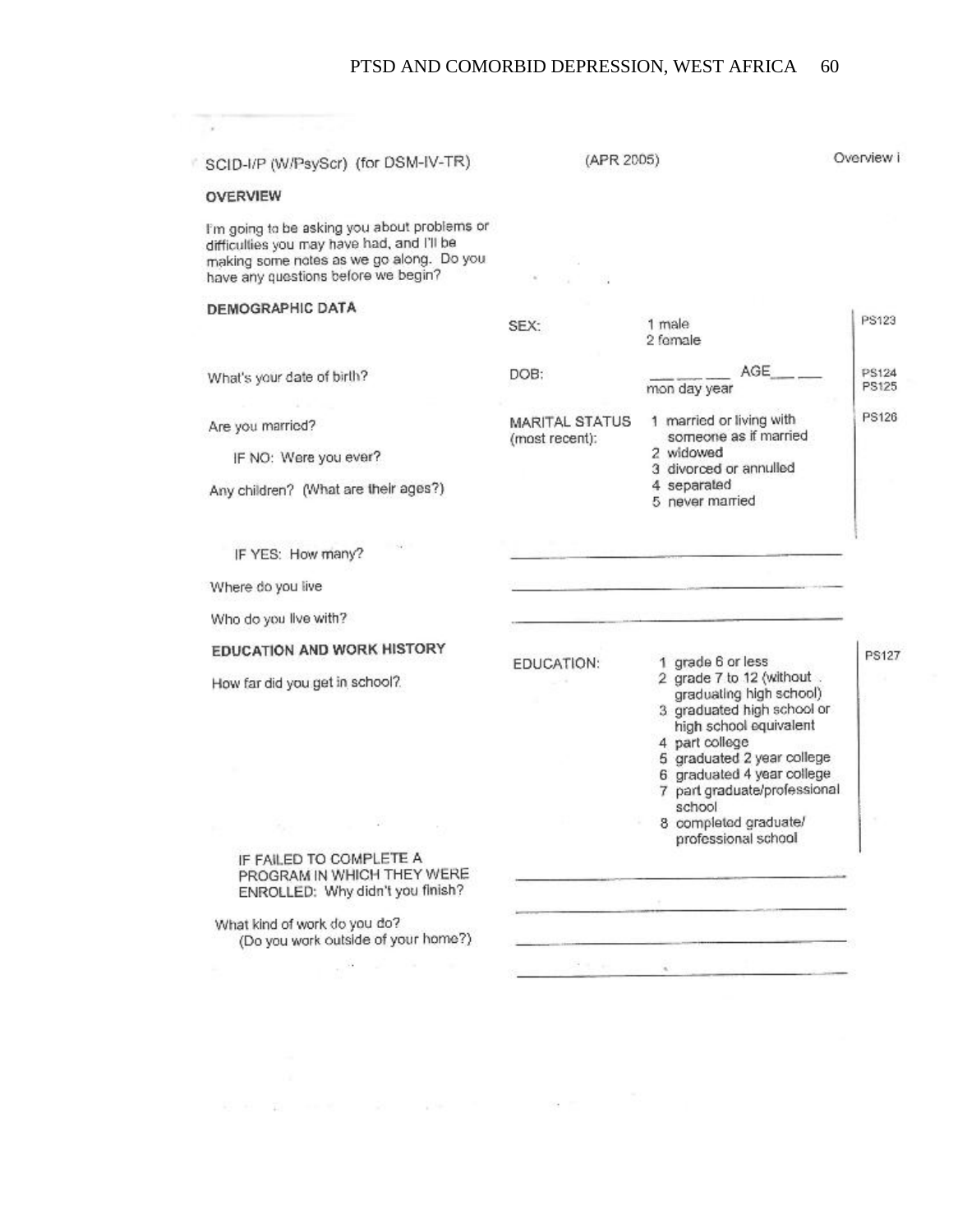| SCID-I/P (W/PsyScr) (for DSM-IV-TR)                                                                                                                                           | (APR 2005)            |                                                                                                                      | Overview i     |
|-------------------------------------------------------------------------------------------------------------------------------------------------------------------------------|-----------------------|----------------------------------------------------------------------------------------------------------------------|----------------|
| <b>OVERVIEW</b>                                                                                                                                                               |                       |                                                                                                                      |                |
| I'm going to be asking you about problems or<br>difficulties you may have had, and I'll be<br>making some notes as we go along. Do you<br>have any questions before we begin? |                       |                                                                                                                      |                |
| <b>DEMOGRAPHIC DATA</b>                                                                                                                                                       |                       |                                                                                                                      | <b>PS123</b>   |
|                                                                                                                                                                               | SEX:                  | 1 male<br>2 female                                                                                                   |                |
| What's your date of birth?                                                                                                                                                    | DOB:                  | AGE<br>mon day year                                                                                                  | PS124<br>PS125 |
| Are you married?                                                                                                                                                              | <b>MARITAL STATUS</b> | 1 married or living with                                                                                             | <b>PS126</b>   |
|                                                                                                                                                                               | (most recent):        | someone as if married<br>2 widowed                                                                                   |                |
| IF NO: Were you ever?                                                                                                                                                         |                       | 3 divorced or annulled                                                                                               |                |
| Any children? (What are their ages?)                                                                                                                                          |                       | 4 separated<br>5 never married                                                                                       |                |
| IF YES: How many?                                                                                                                                                             |                       |                                                                                                                      |                |
| Where do you live                                                                                                                                                             |                       |                                                                                                                      |                |
| Who do you live with?                                                                                                                                                         |                       |                                                                                                                      |                |
| EDUCATION AND WORK HISTORY                                                                                                                                                    | EDUCATION:            | 1 grade 6 or less                                                                                                    | <b>PS127</b>   |
| How far did you get in school?                                                                                                                                                |                       | 2 grade 7 to 12 (without .<br>graduating high school)<br>3 graduated high school or<br>high school equivalent        |                |
|                                                                                                                                                                               |                       | 4 part college<br>5 graduated 2 year college<br>6 graduated 4 year college<br>7 part graduate/professional<br>school |                |
|                                                                                                                                                                               |                       | 8 completed graduate/<br>professional school                                                                         |                |
| IF FAILED TO COMPLETE A<br>PROGRAM IN WHICH THEY WERE<br>ENROLLED: Why didn't you finish?                                                                                     |                       |                                                                                                                      |                |
| What kind of work do you do?<br>(Do you work outside of your home?)                                                                                                           |                       |                                                                                                                      |                |
|                                                                                                                                                                               |                       |                                                                                                                      |                |
|                                                                                                                                                                               |                       |                                                                                                                      |                |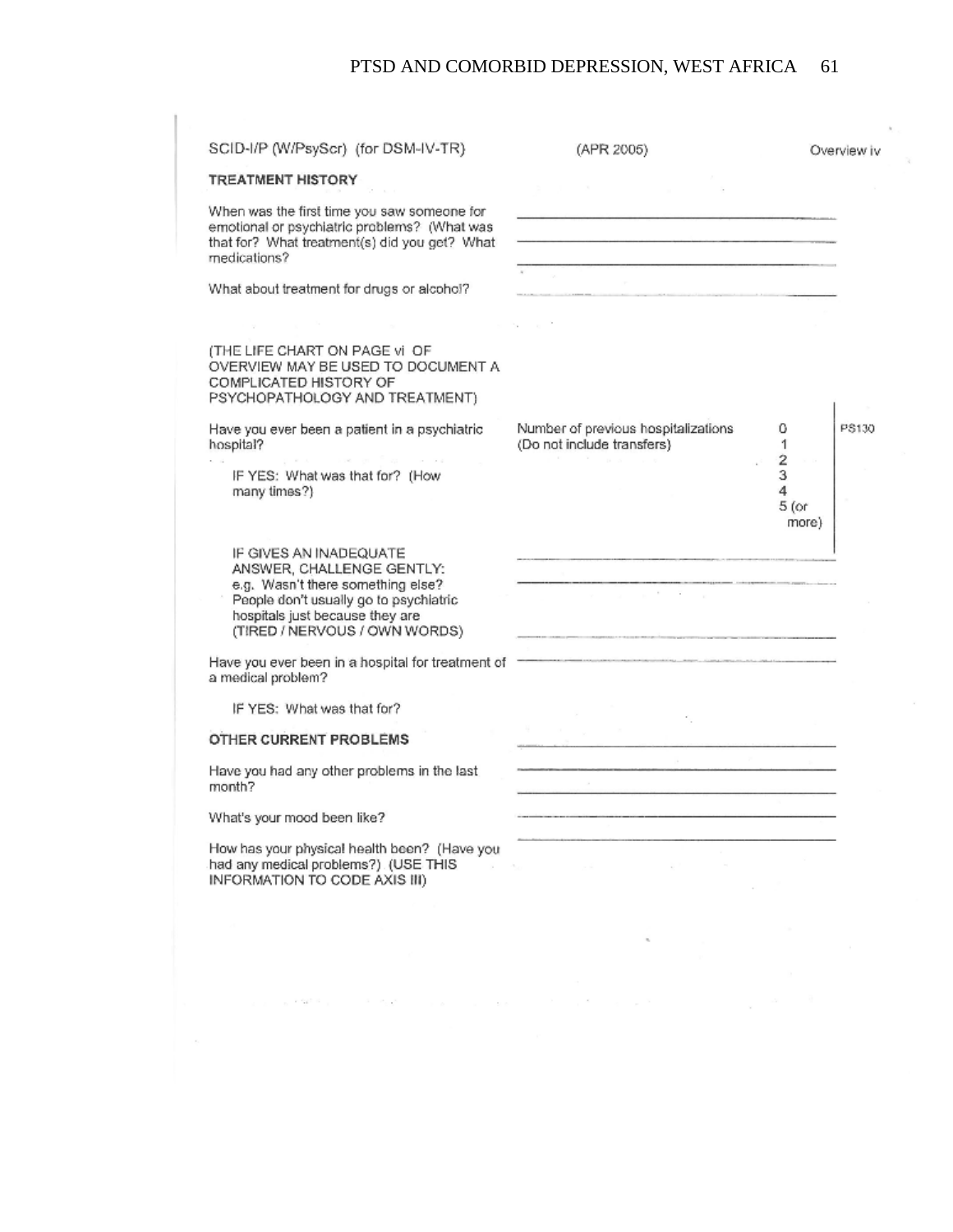# PTSD AND COMORBID DEPRESSION, WEST AFRICA 61

| SCID-I/P (W/PsyScr) (for DSM-IV-TR)                                                                                                                                                                    | (APR 2005)                                                        | Overview iv                                                     |
|--------------------------------------------------------------------------------------------------------------------------------------------------------------------------------------------------------|-------------------------------------------------------------------|-----------------------------------------------------------------|
| <b>TREATMENT HISTORY</b>                                                                                                                                                                               |                                                                   |                                                                 |
| When was the first time you saw someone for<br>emotional or psychiatric problems? (What was<br>that for? What treatment(s) did you get? What<br>medications?                                           |                                                                   |                                                                 |
| What about treatment for drugs or alcohol?                                                                                                                                                             |                                                                   |                                                                 |
|                                                                                                                                                                                                        |                                                                   |                                                                 |
| (THE LIFE CHART ON PAGE vi OF<br>OVERVIEW MAY BE USED TO DOCUMENT A<br>COMPLICATED HISTORY OF<br>PSYCHOPATHOLOGY AND TREATMENT)                                                                        |                                                                   |                                                                 |
| Have you ever been a patient in a psychiatric<br>hospital?<br>IF YES: What was that for? (How<br>many times?)                                                                                          | Number of previous hospitalizations<br>(Do not include transfers) | PS130<br>0<br>1<br>$\overline{\mathbf{2}}$<br>з<br>4<br>$5($ or |
| IF GIVES AN INADEQUATE<br>ANSWER, CHALLENGE GENTLY:<br>e.g. Wasn't there something else?<br>People don't usually go to psychiatric<br>hospitals just because they are<br>(TIRED / NERVOUS / OWN WORDS) | $\alpha = 1$                                                      | more)                                                           |
| Have you ever been in a hospital for treatment of<br>a medical problem?                                                                                                                                |                                                                   |                                                                 |
| IF YES: What was that for?                                                                                                                                                                             |                                                                   |                                                                 |
| OTHER CURRENT PROBLEMS                                                                                                                                                                                 |                                                                   |                                                                 |
| Have you had any other problems in the last<br>month?                                                                                                                                                  |                                                                   |                                                                 |
| What's your mood been like?                                                                                                                                                                            |                                                                   |                                                                 |
| How has your physical health been? (Have you<br>had any medical problems?) (USE THIS<br>INFORMATION TO CODE AXIS III)                                                                                  |                                                                   |                                                                 |

 $\sim 90$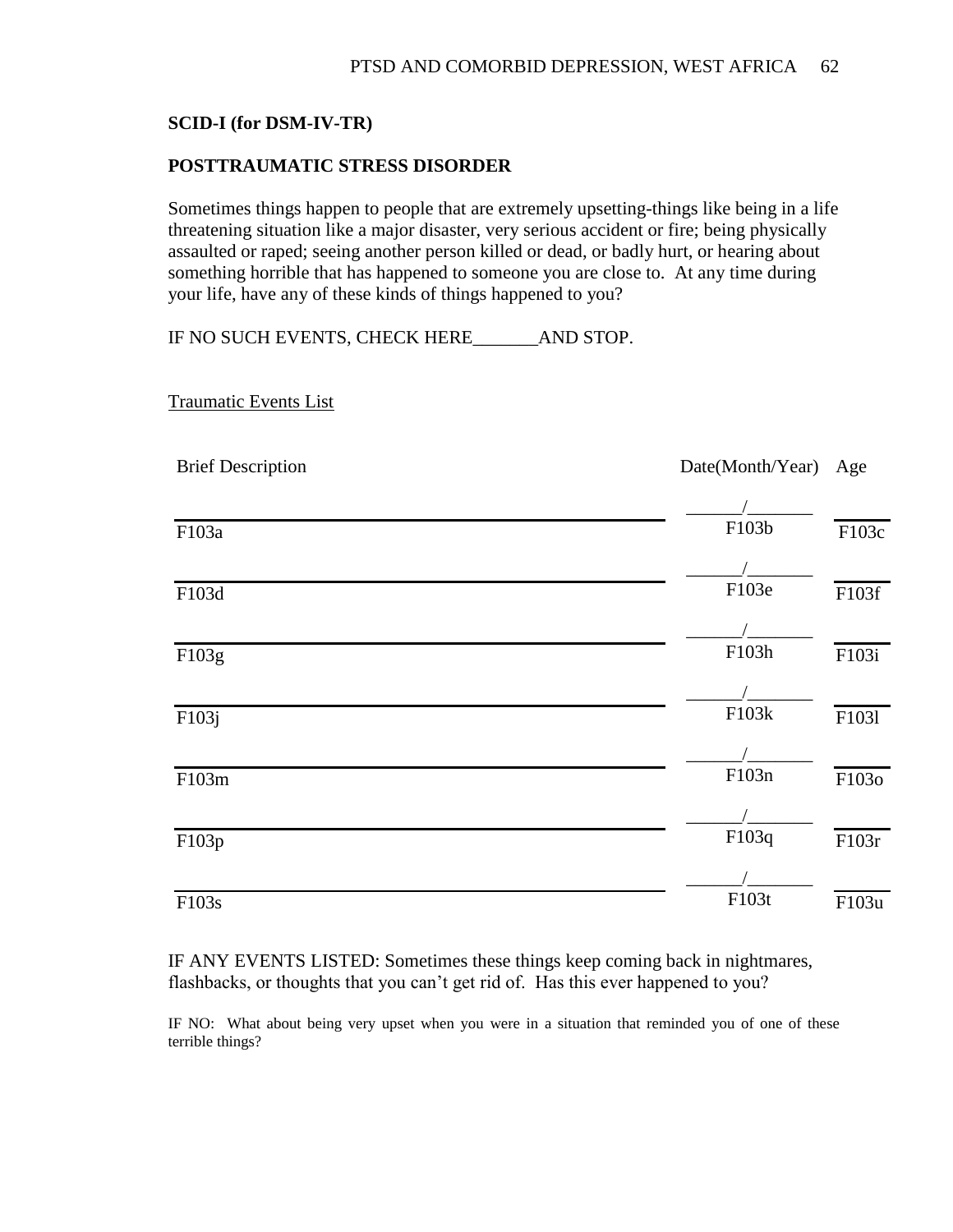## **SCID-I (for DSM-IV-TR)**

## **POSTTRAUMATIC STRESS DISORDER**

Sometimes things happen to people that are extremely upsetting-things like being in a life threatening situation like a major disaster, very serious accident or fire; being physically assaulted or raped; seeing another person killed or dead, or badly hurt, or hearing about something horrible that has happened to someone you are close to. At any time during your life, have any of these kinds of things happened to you?

IF NO SUCH EVENTS, CHECK HERE\_\_\_\_\_\_\_AND STOP.

Traumatic Events List

| <b>Brief Description</b> | Date(Month/Year) | Age                |
|--------------------------|------------------|--------------------|
| F103a                    | F103b            | F103c              |
| F103d                    | F103e            | F103f              |
| F103g                    | F103h            | F103i              |
| F103j                    | F103k            | F1031              |
| F103m                    | F103n            | $\overline{F1030}$ |
| F103p                    | F103q            | $\overline{F103r}$ |
| F103s                    | F103t            | F103u              |

IF ANY EVENTS LISTED: Sometimes these things keep coming back in nightmares, flashbacks, or thoughts that you can't get rid of. Has this ever happened to you?

IF NO: What about being very upset when you were in a situation that reminded you of one of these terrible things?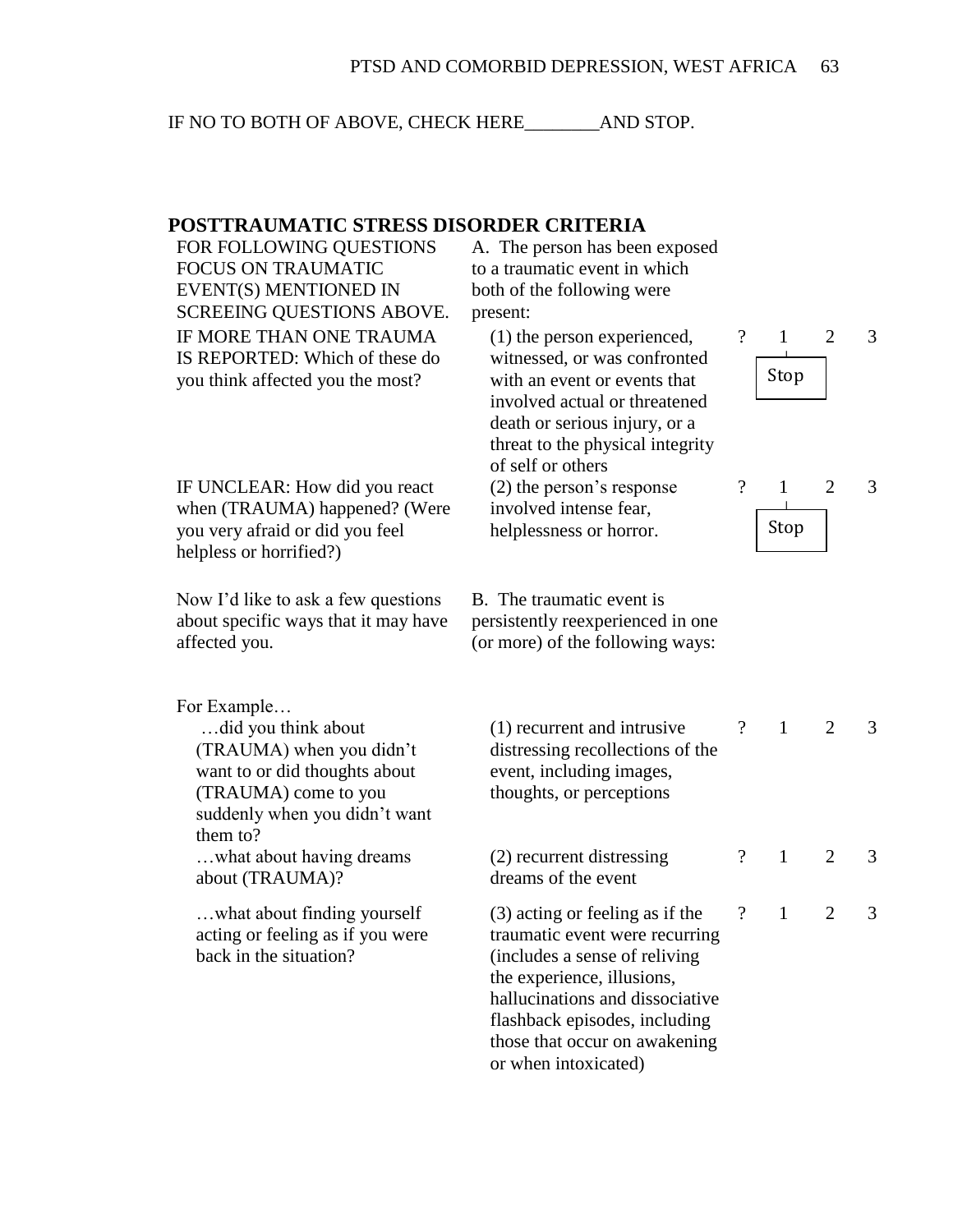IF NO TO BOTH OF ABOVE, CHECK HERE\_\_\_\_\_\_\_\_AND STOP.

| POSTTRAUMATIC STRESS DISORDER CRITERIA                                                                                                                               |                                                                                                                                                                                                                                                               |                          |              |                |   |
|----------------------------------------------------------------------------------------------------------------------------------------------------------------------|---------------------------------------------------------------------------------------------------------------------------------------------------------------------------------------------------------------------------------------------------------------|--------------------------|--------------|----------------|---|
| FOR FOLLOWING QUESTIONS<br><b>FOCUS ON TRAUMATIC</b><br>EVENT(S) MENTIONED IN<br>SCREEING QUESTIONS ABOVE.                                                           | A. The person has been exposed<br>to a traumatic event in which<br>both of the following were<br>present:                                                                                                                                                     |                          |              |                |   |
| IF MORE THAN ONE TRAUMA<br>IS REPORTED: Which of these do<br>you think affected you the most?                                                                        | (1) the person experienced,<br>witnessed, or was confronted<br>with an event or events that<br>involved actual or threatened<br>death or serious injury, or a<br>threat to the physical integrity<br>of self or others                                        | $\gamma$                 | 1<br>Stop    | $\overline{2}$ | 3 |
| IF UNCLEAR: How did you react<br>when (TRAUMA) happened? (Were<br>you very afraid or did you feel<br>helpless or horrified?)                                         | (2) the person's response<br>involved intense fear,<br>helplessness or horror.                                                                                                                                                                                | $\overline{\mathcal{L}}$ | 1<br>Stop    | 2              | 3 |
| Now I'd like to ask a few questions<br>about specific ways that it may have<br>affected you.                                                                         | B. The traumatic event is<br>persistently reexperienced in one<br>(or more) of the following ways:                                                                                                                                                            |                          |              |                |   |
| For Example<br>did you think about<br>(TRAUMA) when you didn't<br>want to or did thoughts about<br>(TRAUMA) come to you<br>suddenly when you didn't want<br>them to? | (1) recurrent and intrusive<br>distressing recollections of the<br>event, including images,<br>thoughts, or perceptions                                                                                                                                       | $\overline{?}$           | $\mathbf{1}$ | 2              | 3 |
| what about having dreams<br>about (TRAUMA)?                                                                                                                          | (2) recurrent distressing<br>dreams of the event                                                                                                                                                                                                              | $\overline{\cdot}$       | $\mathbf{1}$ | $\overline{2}$ | 3 |
| what about finding yourself<br>acting or feeling as if you were<br>back in the situation?                                                                            | (3) acting or feeling as if the<br>traumatic event were recurring<br>(includes a sense of reliving<br>the experience, illusions,<br>hallucinations and dissociative<br>flashback episodes, including<br>those that occur on awakening<br>or when intoxicated) |                          | $\mathbf{1}$ |                | 3 |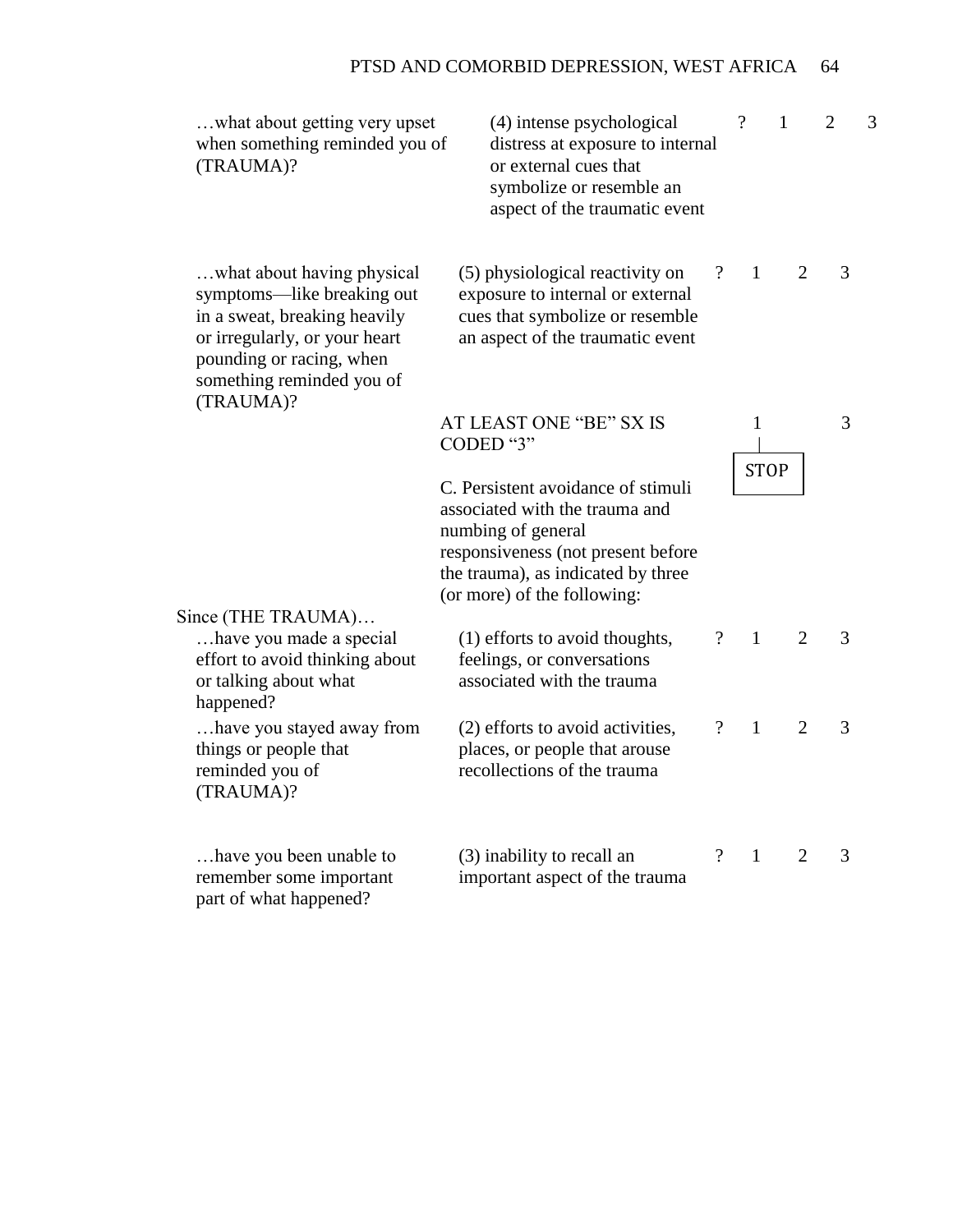# PTSD AND COMORBID DEPRESSION, WEST AFRICA 64

| what about getting very upset<br>when something reminded you of<br>(TRAUMA)?                                                                                                                    | (4) intense psychological<br>distress at exposure to internal<br>or external cues that<br>symbolize or resemble an<br>aspect of the traumatic event                                                   |                | $\overline{?}$ | $\mathbf{1}$   | $\overline{2}$ | 3 |
|-------------------------------------------------------------------------------------------------------------------------------------------------------------------------------------------------|-------------------------------------------------------------------------------------------------------------------------------------------------------------------------------------------------------|----------------|----------------|----------------|----------------|---|
| what about having physical<br>symptoms—like breaking out<br>in a sweat, breaking heavily<br>or irregularly, or your heart<br>pounding or racing, when<br>something reminded you of<br>(TRAUMA)? | (5) physiological reactivity on<br>exposure to internal or external<br>cues that symbolize or resemble<br>an aspect of the traumatic event                                                            | $\overline{?}$ | $\mathbf{1}$   | 2              | 3              |   |
|                                                                                                                                                                                                 | AT LEAST ONE "BE" SX IS<br>CODED "3"                                                                                                                                                                  |                | 1              |                | 3              |   |
|                                                                                                                                                                                                 |                                                                                                                                                                                                       |                | <b>STOP</b>    |                |                |   |
| Since (THE TRAUMA)                                                                                                                                                                              | C. Persistent avoidance of stimuli<br>associated with the trauma and<br>numbing of general<br>responsiveness (not present before<br>the trauma), as indicated by three<br>(or more) of the following: |                |                |                |                |   |
| have you made a special<br>effort to avoid thinking about<br>or talking about what<br>happened?                                                                                                 | (1) efforts to avoid thoughts,<br>feelings, or conversations<br>associated with the trauma                                                                                                            | $\overline{?}$ | $\mathbf{1}$   | 2              | 3              |   |
| have you stayed away from<br>things or people that<br>reminded you of<br>(TRAUMA)?                                                                                                              | (2) efforts to avoid activities,<br>places, or people that arouse<br>recollections of the trauma                                                                                                      | $\gamma$       | $\mathbf{1}$   | $\overline{2}$ | 3              |   |
| have you been unable to<br>remember some important<br>part of what happened?                                                                                                                    | (3) inability to recall an<br>important aspect of the trauma                                                                                                                                          | $\gamma$       | $\mathbf{1}$   | $\overline{2}$ | 3              |   |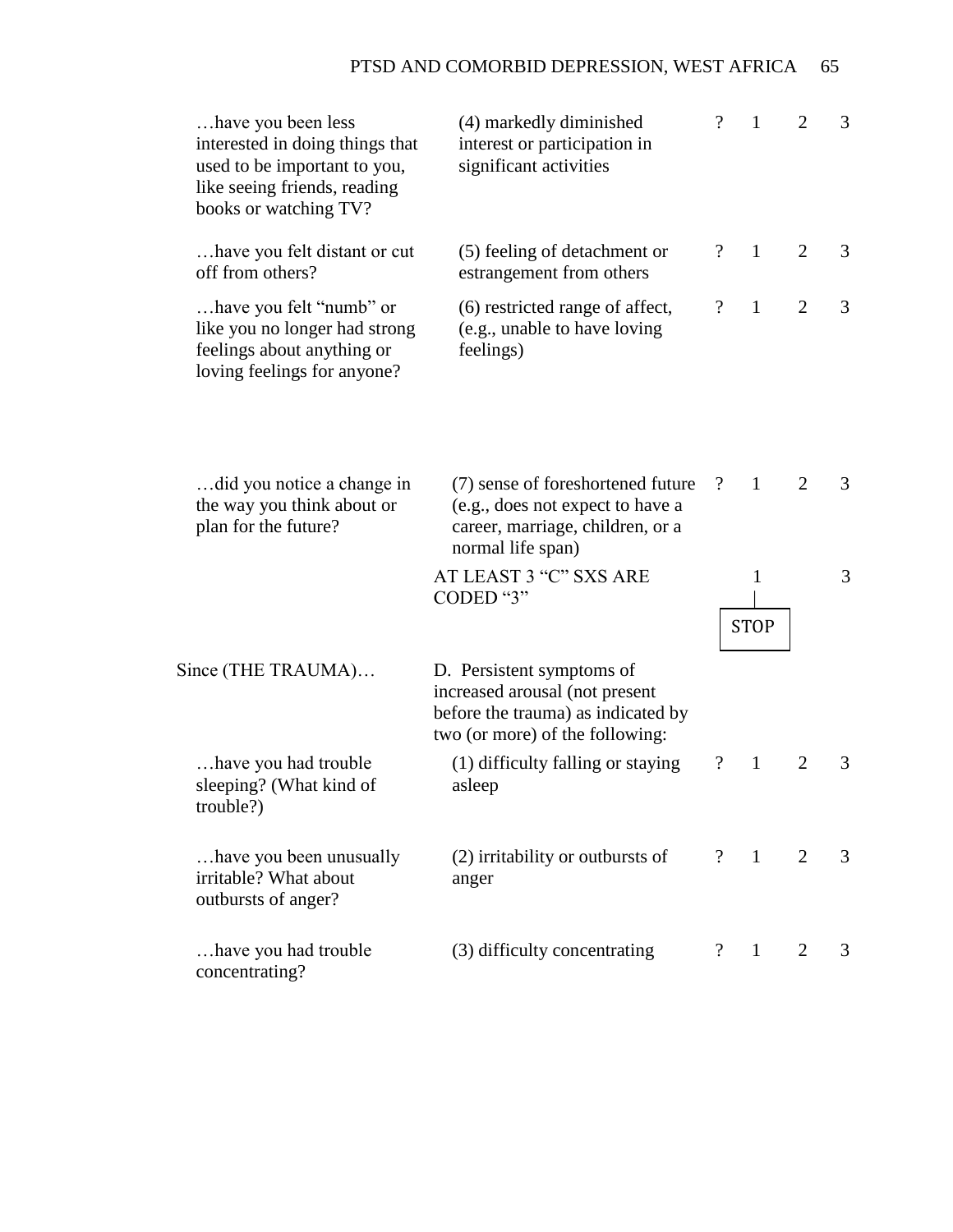# PTSD AND COMORBID DEPRESSION, WEST AFRICA 65

| have you been less<br>interested in doing things that<br>used to be important to you,<br>like seeing friends, reading<br>books or watching TV? | (4) markedly diminished<br>interest or participation in<br>significant activities                                                    | $\overline{?}$           | 1                | 2              | 3 |
|------------------------------------------------------------------------------------------------------------------------------------------------|--------------------------------------------------------------------------------------------------------------------------------------|--------------------------|------------------|----------------|---|
| have you felt distant or cut<br>off from others?                                                                                               | (5) feeling of detachment or<br>estrangement from others                                                                             | $\overline{\mathcal{L}}$ | $\mathbf{1}$     | $\overline{2}$ | 3 |
| have you felt "numb" or<br>like you no longer had strong<br>feelings about anything or<br>loving feelings for anyone?                          | (6) restricted range of affect,<br>(e.g., unable to have loving<br>feelings)                                                         | $\overline{\mathcal{L}}$ | $\mathbf{1}$     | $\overline{2}$ | 3 |
| did you notice a change in<br>the way you think about or<br>plan for the future?                                                               | (7) sense of foreshortened future<br>(e.g., does not expect to have a<br>career, marriage, children, or a<br>normal life span)       | $\overline{\mathcal{L}}$ | $\mathbf{1}$     | 2              | 3 |
|                                                                                                                                                | AT LEAST 3 "C" SXS ARE<br>CODED "3"                                                                                                  |                          | 1<br><b>STOP</b> |                | 3 |
| Since (THE TRAUMA)                                                                                                                             | D. Persistent symptoms of<br>increased arousal (not present<br>before the trauma) as indicated by<br>two (or more) of the following: |                          |                  |                |   |
| have you had trouble.<br>sleeping? (What kind of<br>trouble?)                                                                                  | (1) difficulty falling or staying<br>asleep                                                                                          | $\boldsymbol{?}$         | $\mathbf{1}$     | $\overline{2}$ | 3 |
| have you been unusually<br>irritable? What about<br>outbursts of anger?                                                                        | (2) irritability or outbursts of<br>anger                                                                                            | $\overline{?}$           | $\mathbf{1}$     | 2              | 3 |
| have you had trouble<br>concentrating?                                                                                                         | (3) difficulty concentrating                                                                                                         | $\overline{\mathcal{L}}$ | $\mathbf{1}$     | 2              | 3 |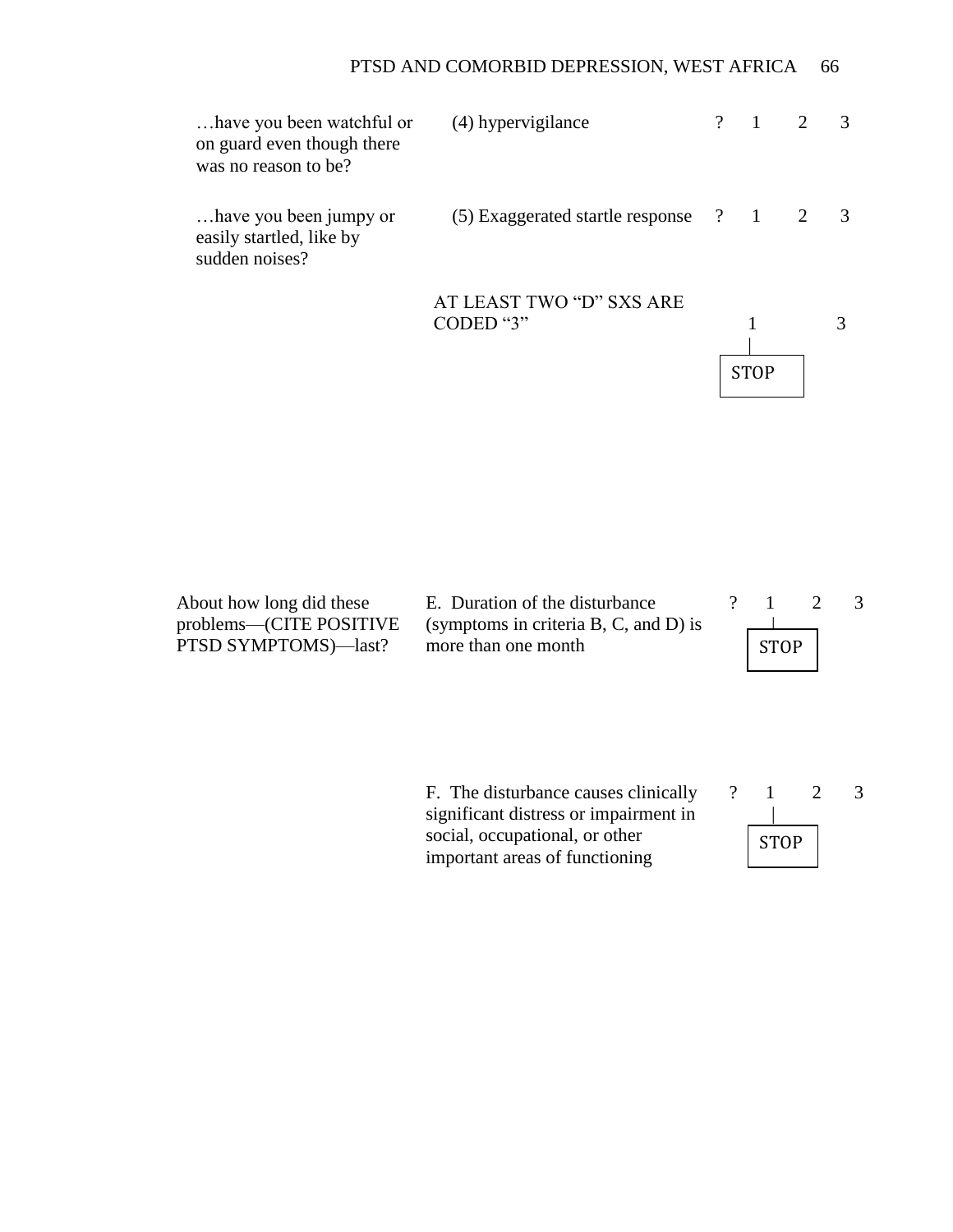| have you been watchful or<br>on guard even though there<br>was no reason to be? | (4) hypervigilance               | ?         |             | $\mathcal{R}$ |
|---------------------------------------------------------------------------------|----------------------------------|-----------|-------------|---------------|
| have you been jumpy or<br>easily startled, like by<br>sudden noises?            | (5) Exaggerated startle response | $\cdot$ ? | $\boxed{1}$ | 3             |
|                                                                                 | AT LEAST TWO "D" SXS ARE         |           |             |               |
|                                                                                 | CODED "3"                        |           |             |               |
|                                                                                 |                                  |           |             |               |
|                                                                                 |                                  |           | STOP        |               |
|                                                                                 |                                  |           |             |               |

| About how long did these | E. Duration of the disturbance           |      |  |
|--------------------------|------------------------------------------|------|--|
| problems—(CITE POSITIVE  | (symptoms in criteria $B, C, and D$ ) is |      |  |
| PTSD SYMPTOMS)—last?     | more than one month                      | STOP |  |
|                          |                                          |      |  |

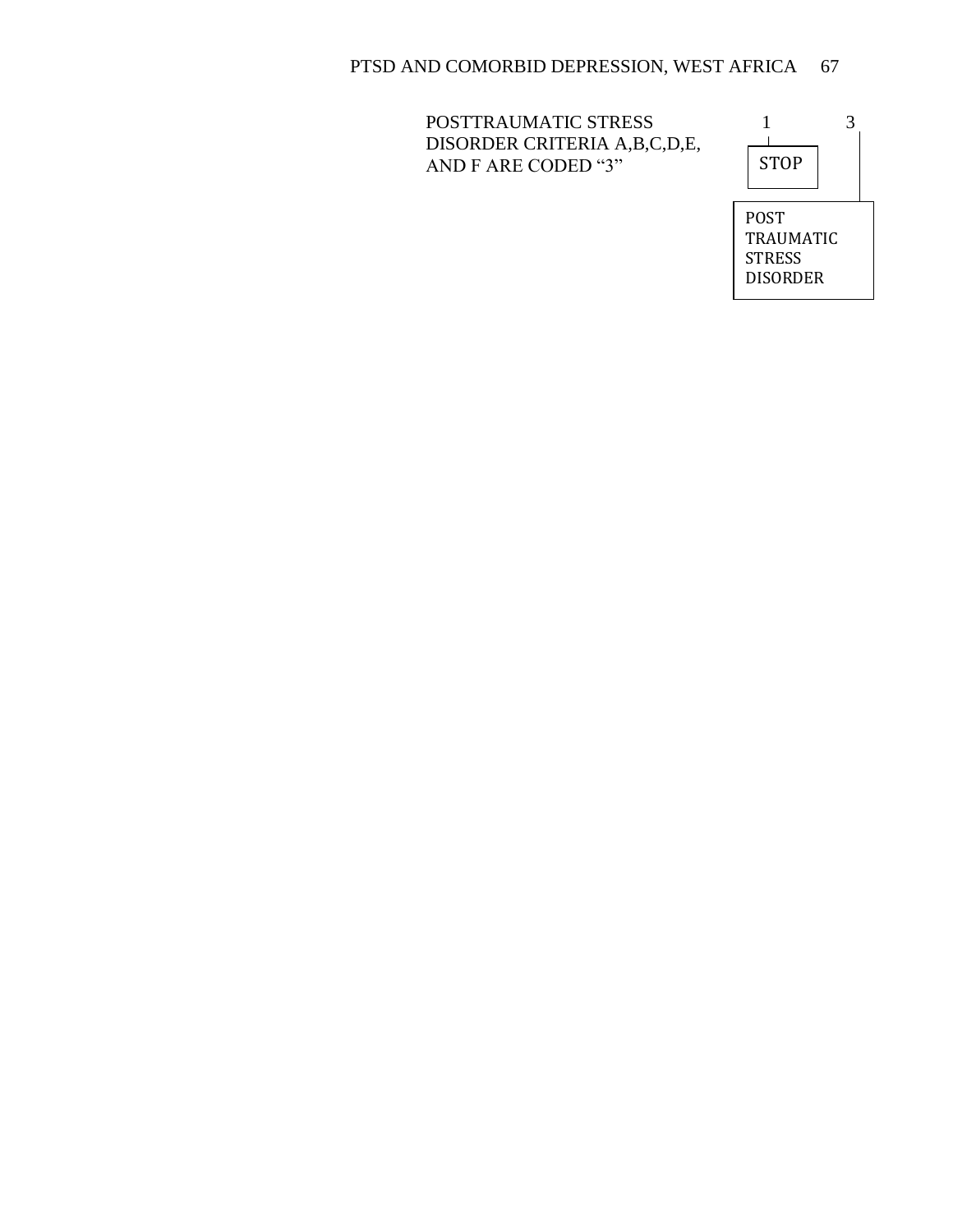POSTTRAUMATIC STRESS DISORDER CRITERIA A,B,C,D,E, AND F ARE CODED "3"

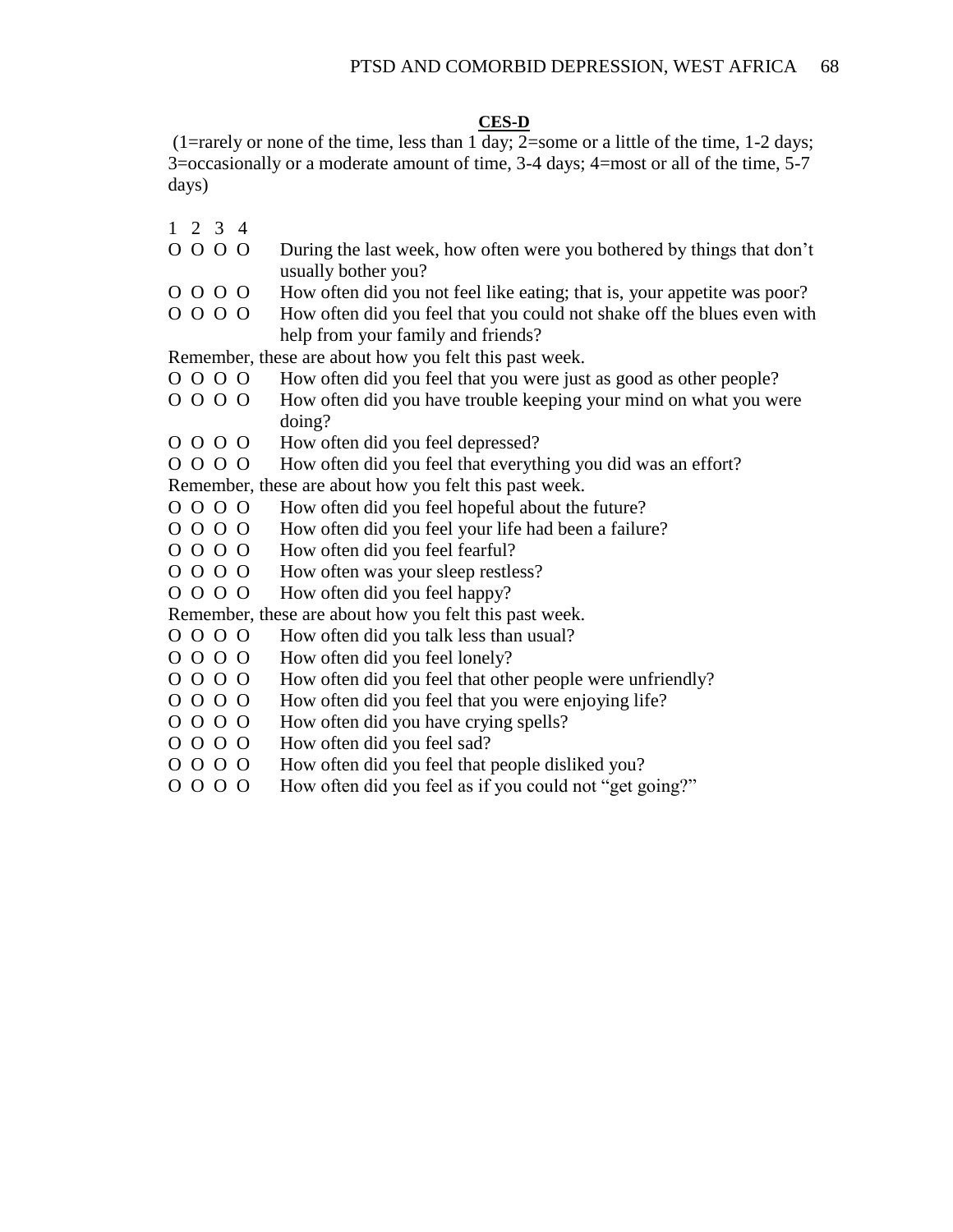### **CES-D**

(1=rarely or none of the time, less than 1 day; 2=some or a little of the time, 1-2 days; 3=occasionally or a moderate amount of time, 3-4 days; 4=most or all of the time, 5-7 days)

- 1 2 3 4
- O O O O During the last week, how often were you bothered by things that don't usually bother you?
- O O O O How often did you not feel like eating; that is, your appetite was poor?
- O O O O How often did you feel that you could not shake off the blues even with help from your family and friends?

Remember, these are about how you felt this past week.

- O O O O How often did you feel that you were just as good as other people?
- O O O O How often did you have trouble keeping your mind on what you were doing?
- O O O O How often did you feel depressed?
- O O O O How often did you feel that everything you did was an effort?

Remember, these are about how you felt this past week.

- O O O O How often did you feel hopeful about the future?
- O O O O How often did you feel your life had been a failure?
- O O O O How often did you feel fearful?
- O O O O How often was your sleep restless?
- O O O O How often did you feel happy?

Remember, these are about how you felt this past week.

- O O O O How often did you talk less than usual?
- O O O O How often did you feel lonely?
- O O O O How often did you feel that other people were unfriendly?
- O O O O How often did you feel that you were enjoying life?
- O O O O How often did you have crying spells?
- O O O O How often did you feel sad?
- O O O O How often did you feel that people disliked you?
- O O O O How often did you feel as if you could not "get going?"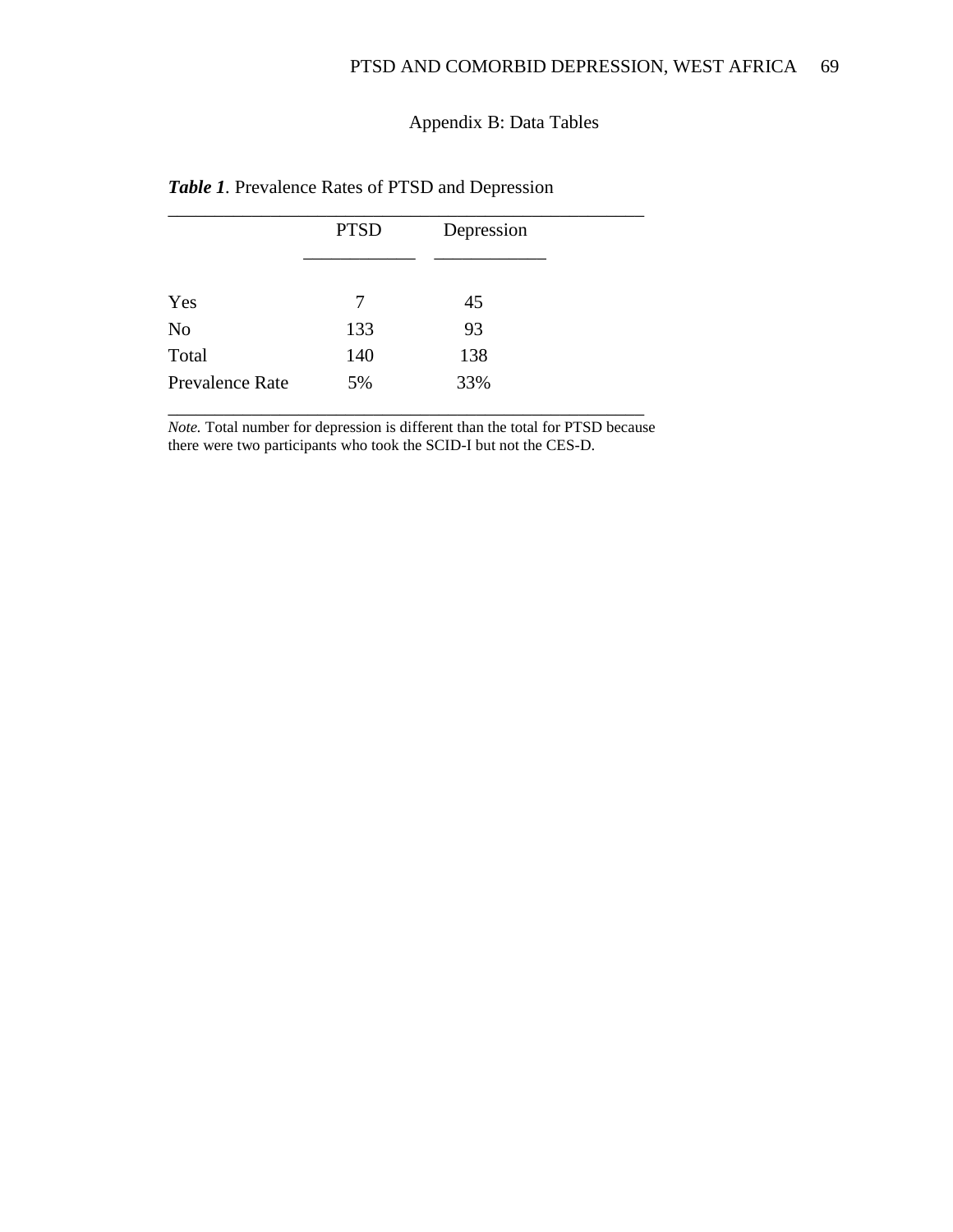# Appendix B: Data Tables

| <b>PTSD</b> | Depression |
|-------------|------------|
|             |            |
| 7           | 45         |
| 133         | 93         |
| 140         | 138        |
| 5%          | 33%        |
|             |            |

## *Table 1.* Prevalence Rates of PTSD and Depression

*Note.* Total number for depression is different than the total for PTSD because there were two participants who took the SCID-I but not the CES-D.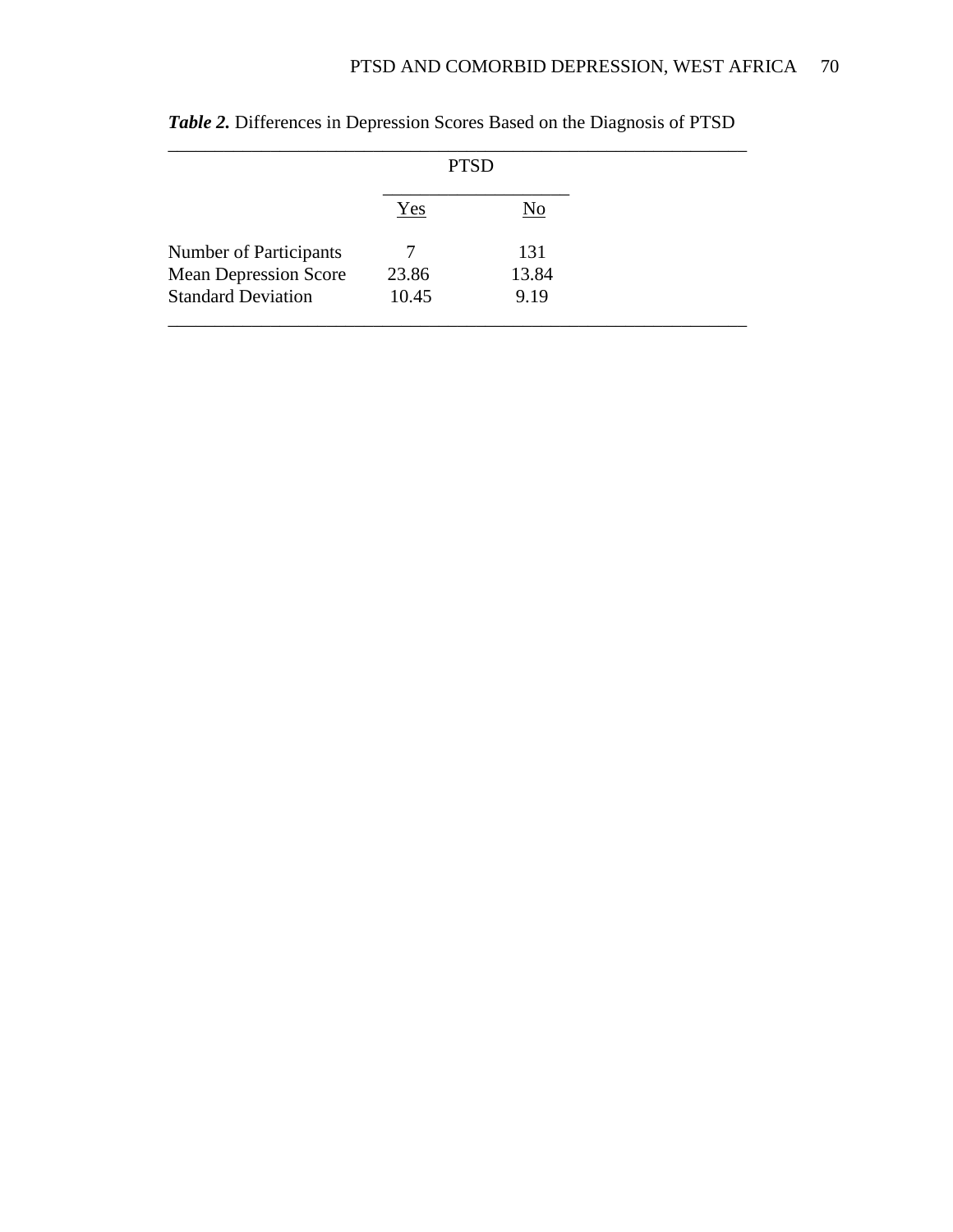|                              |       | <b>PTSD</b> |
|------------------------------|-------|-------------|
|                              | Yes   | No          |
| Number of Participants       |       | 131         |
| <b>Mean Depression Score</b> | 23.86 | 13.84       |
| <b>Standard Deviation</b>    | 10.45 | 9.19        |

*Table 2.* Differences in Depression Scores Based on the Diagnosis of PTSD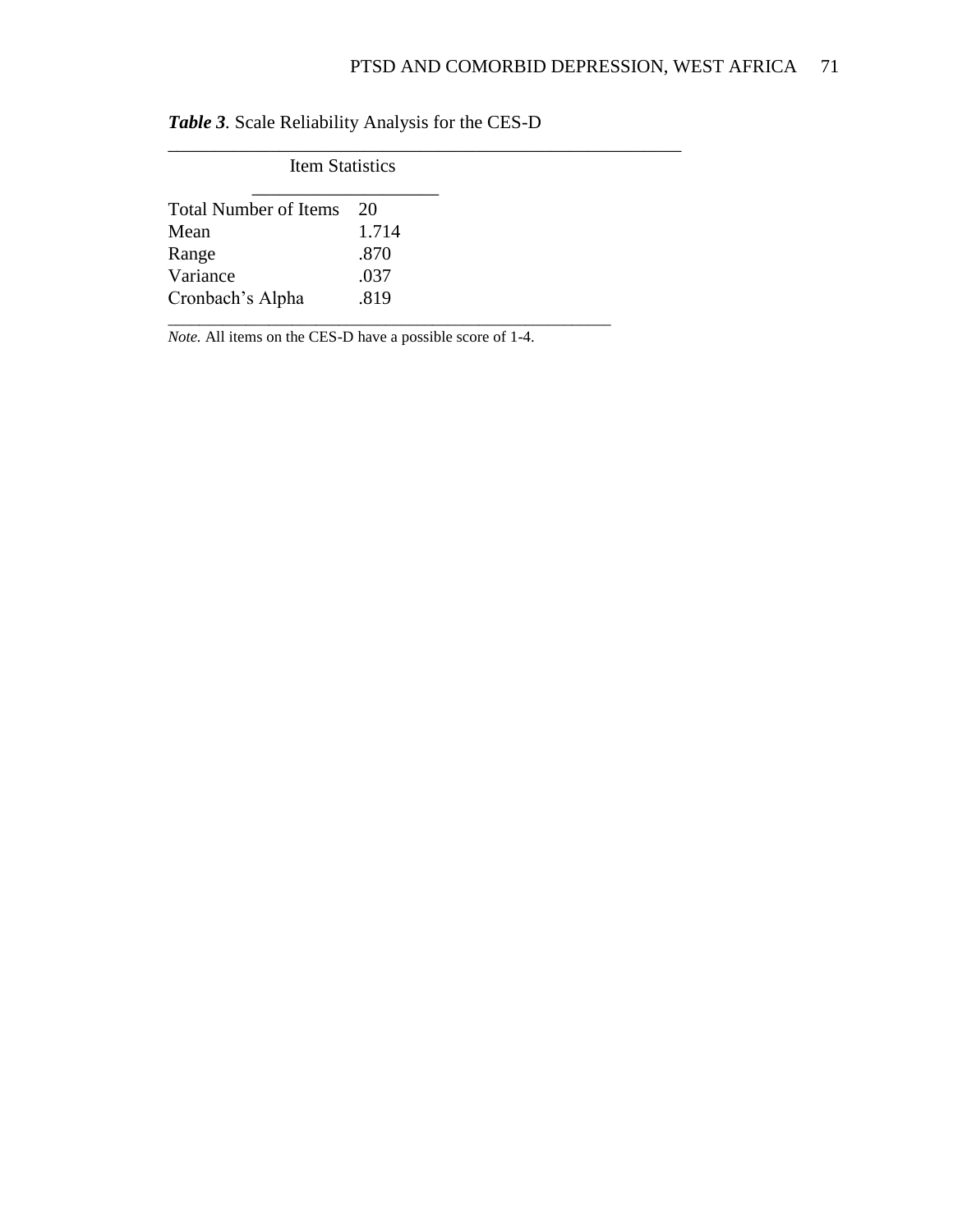| <b>Item Statistics</b>       |       |
|------------------------------|-------|
| <b>Total Number of Items</b> | 20    |
| Mean                         | 1.714 |
| Range                        | .870  |
| Variance                     | .037  |
| Cronbach's Alpha             | .819  |

*Table 3.* Scale Reliability Analysis for the CES-D

*Note.* All items on the CES-D have a possible score of 1-4.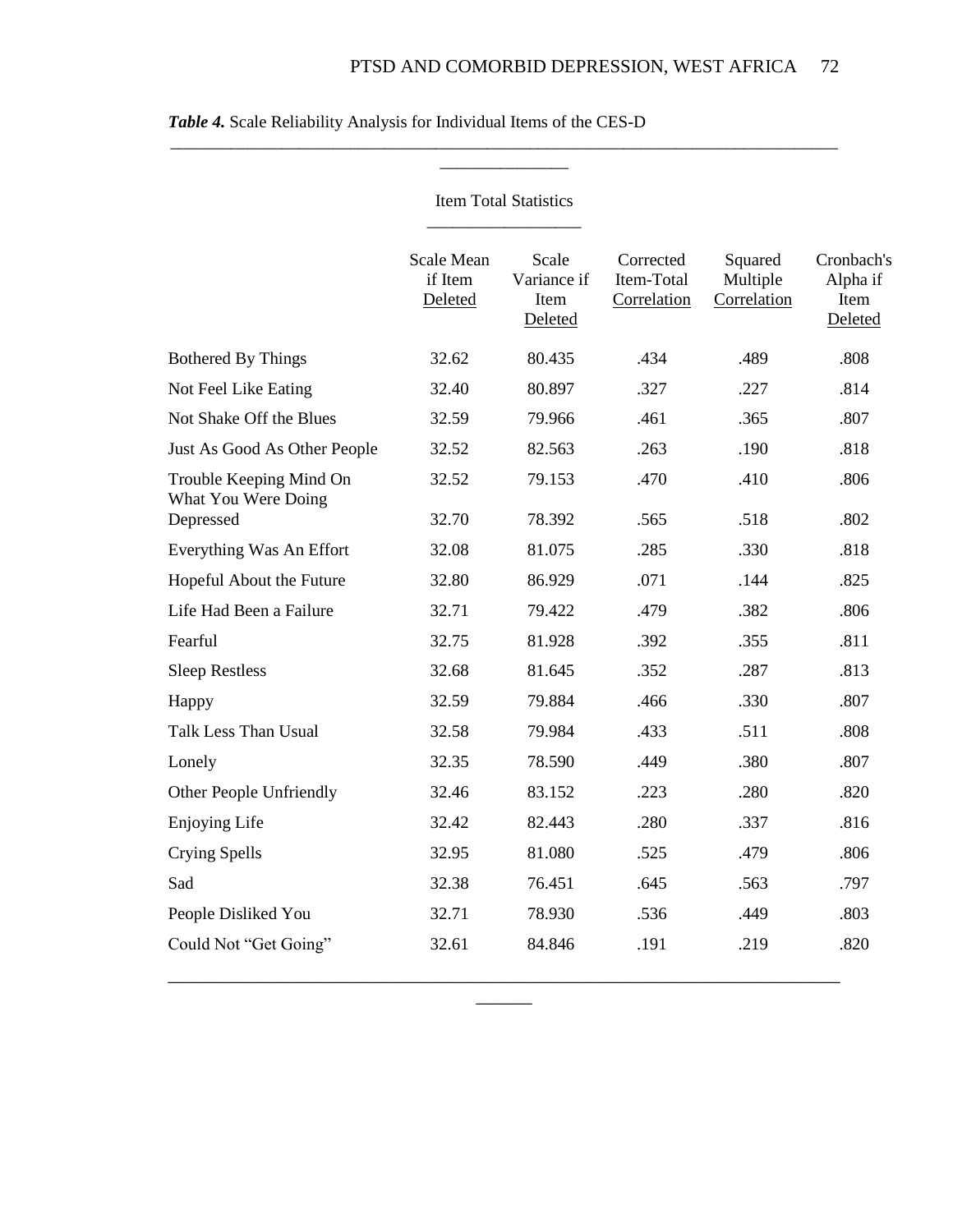|                                                | <b>Item Total Statistics</b>     |                                         |                                        |                                    |                                           |
|------------------------------------------------|----------------------------------|-----------------------------------------|----------------------------------------|------------------------------------|-------------------------------------------|
|                                                | Scale Mean<br>if Item<br>Deleted | Scale<br>Variance if<br>Item<br>Deleted | Corrected<br>Item-Total<br>Correlation | Squared<br>Multiple<br>Correlation | Cronbach's<br>Alpha if<br>Item<br>Deleted |
| <b>Bothered By Things</b>                      | 32.62                            | 80.435                                  | .434                                   | .489                               | .808                                      |
| Not Feel Like Eating                           | 32.40                            | 80.897                                  | .327                                   | .227                               | .814                                      |
| Not Shake Off the Blues                        | 32.59                            | 79.966                                  | .461                                   | .365                               | .807                                      |
| Just As Good As Other People                   | 32.52                            | 82.563                                  | .263                                   | .190                               | .818                                      |
| Trouble Keeping Mind On<br>What You Were Doing | 32.52                            | 79.153                                  | .470                                   | .410                               | .806                                      |
| Depressed                                      | 32.70                            | 78.392                                  | .565                                   | .518                               | .802                                      |
| Everything Was An Effort                       | 32.08                            | 81.075                                  | .285                                   | .330                               | .818                                      |
| Hopeful About the Future                       | 32.80                            | 86.929                                  | .071                                   | .144                               | .825                                      |
| Life Had Been a Failure                        | 32.71                            | 79.422                                  | .479                                   | .382                               | .806                                      |
| Fearful                                        | 32.75                            | 81.928                                  | .392                                   | .355                               | .811                                      |
| <b>Sleep Restless</b>                          | 32.68                            | 81.645                                  | .352                                   | .287                               | .813                                      |
| Happy                                          | 32.59                            | 79.884                                  | .466                                   | .330                               | .807                                      |
| <b>Talk Less Than Usual</b>                    | 32.58                            | 79.984                                  | .433                                   | .511                               | .808                                      |
| Lonely                                         | 32.35                            | 78.590                                  | .449                                   | .380                               | .807                                      |
| Other People Unfriendly                        | 32.46                            | 83.152                                  | .223                                   | .280                               | .820                                      |
| Enjoying Life                                  | 32.42                            | 82.443                                  | .280                                   | .337                               | .816                                      |
| Crying Spells                                  | 32.95                            | 81.080                                  | .525                                   | .479                               | .806                                      |
| Sad                                            | 32.38                            | 76.451                                  | .645                                   | .563                               | .797                                      |
| People Disliked You                            | 32.71                            | 78.930                                  | .536                                   | .449                               | .803                                      |
| Could Not "Get Going"                          | 32.61                            | 84.846                                  | .191                                   | .219                               | .820                                      |

 $\overline{\phantom{a}}$ 

# *Table 4.* Scale Reliability Analysis for Individual Items of the CES-D

\_\_\_\_\_\_\_\_\_\_\_\_\_\_\_\_\_\_\_\_\_\_\_\_\_\_\_\_\_\_\_\_\_\_\_\_\_\_\_\_\_\_\_\_\_\_\_\_\_\_\_\_\_\_\_\_\_\_\_\_\_\_\_\_\_\_\_\_\_\_\_\_\_\_\_\_\_\_ \_\_\_\_\_\_\_\_\_\_\_\_\_\_\_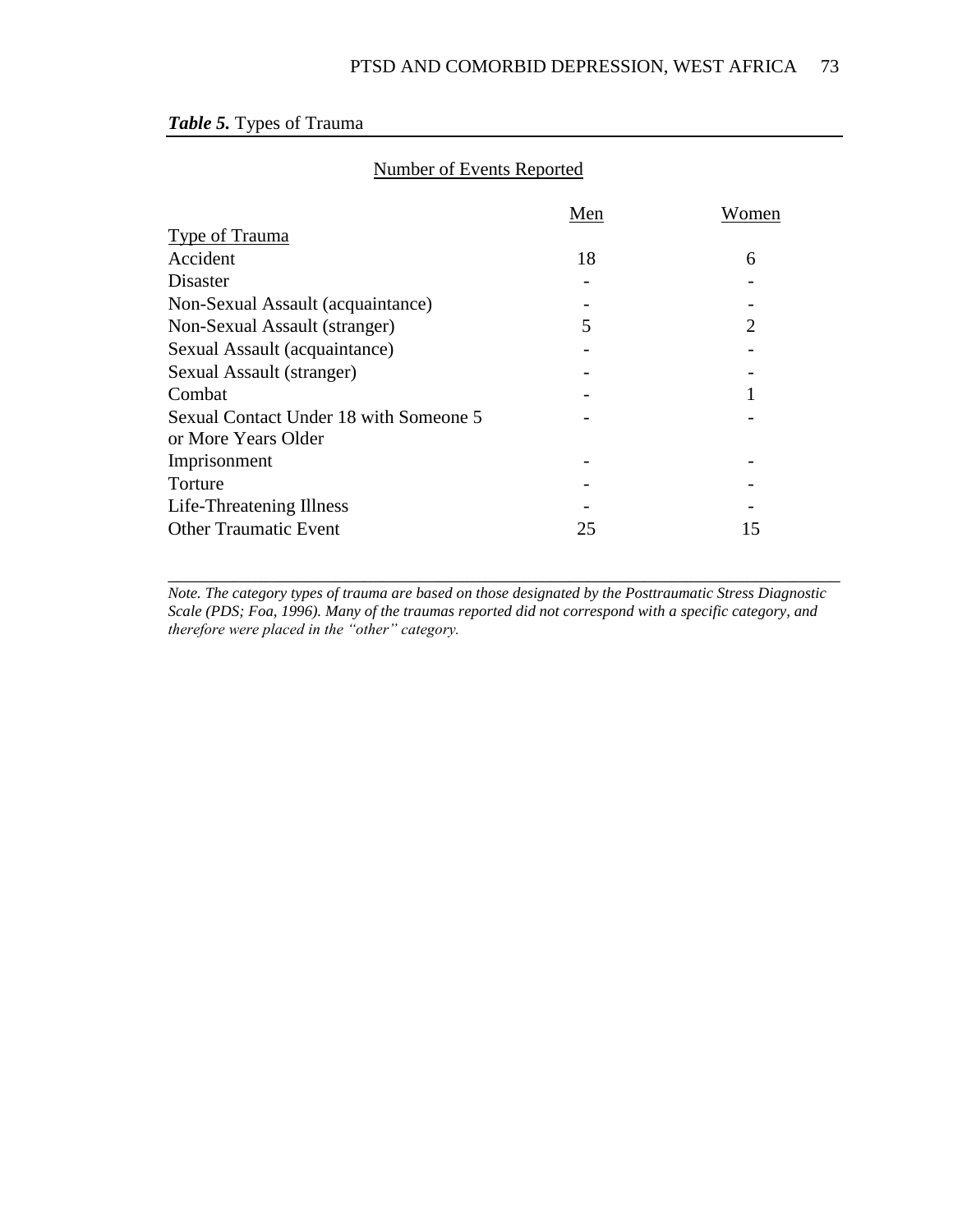## *Table 5.* Types of Trauma

|                                        | Men | Women |
|----------------------------------------|-----|-------|
| <b>Type of Trauma</b>                  |     |       |
| Accident                               | 18  | 6     |
| Disaster                               |     |       |
| Non-Sexual Assault (acquaintance)      |     |       |
| Non-Sexual Assault (stranger)          | 5   | 2     |
| Sexual Assault (acquaintance)          |     |       |
| Sexual Assault (stranger)              |     |       |
| Combat                                 |     |       |
| Sexual Contact Under 18 with Someone 5 |     |       |
| or More Years Older                    |     |       |
| Imprisonment                           |     |       |
| Torture                                |     |       |
| Life-Threatening Illness               |     |       |
| <b>Other Traumatic Event</b>           | 25  | 15    |

## Number of Events Reported

*Note. The category types of trauma are based on those designated by the Posttraumatic Stress Diagnostic Scale (PDS; Foa, 1996). Many of the traumas reported did not correspond with a specific category, and therefore were placed in the "other" category.* 

\_\_\_\_\_\_\_\_\_\_\_\_\_\_\_\_\_\_\_\_\_\_\_\_\_\_\_\_\_\_\_\_\_\_\_\_\_\_\_\_\_\_\_\_\_\_\_\_\_\_\_\_\_\_\_\_\_\_\_\_\_\_\_\_\_\_\_\_\_\_\_\_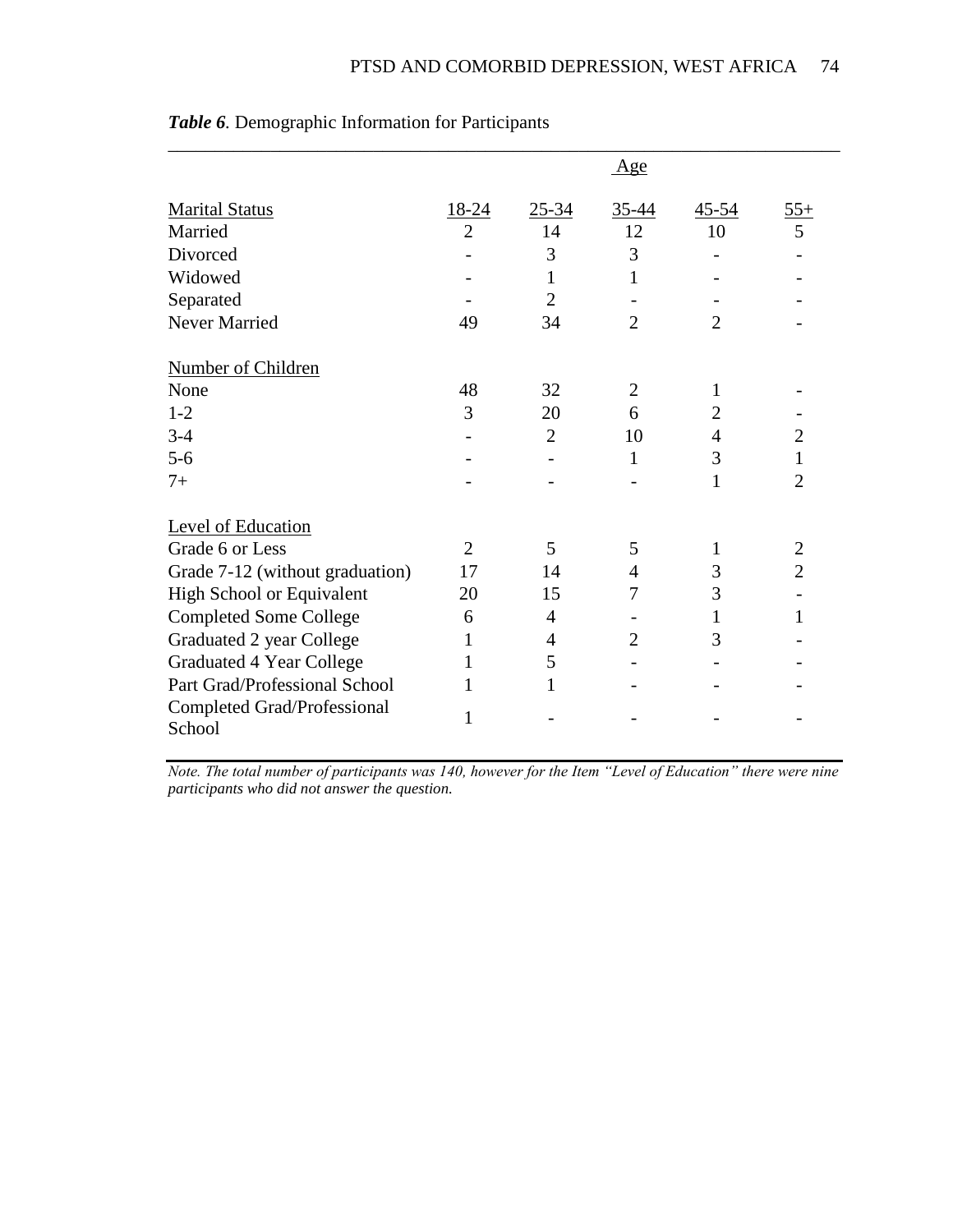|                                       |                |                | <u>Age</u>     |                |                |
|---------------------------------------|----------------|----------------|----------------|----------------|----------------|
| <b>Marital Status</b>                 | 18-24          | $25 - 34$      | $35 - 44$      | $45 - 54$      | $55+$          |
| Married                               | $\overline{2}$ | 14             | 12             | 10             | 5              |
| Divorced                              |                | 3              | 3              |                |                |
| Widowed                               |                | 1              | 1              |                |                |
| Separated                             |                | $\overline{2}$ |                |                |                |
| Never Married                         | 49             | 34             | $\overline{2}$ | $\overline{2}$ |                |
| Number of Children                    |                |                |                |                |                |
| None                                  | 48             | 32             | $\overline{2}$ | 1              |                |
| $1 - 2$                               | 3              | 20             | 6              | $\overline{2}$ |                |
| $3-4$                                 |                | $\overline{2}$ | 10             | $\overline{4}$ | $\overline{2}$ |
| $5-6$                                 |                |                | 1              | 3              | $\mathbf{1}$   |
| $7+$                                  |                |                |                | 1              | $\overline{2}$ |
| Level of Education                    |                |                |                |                |                |
| Grade 6 or Less                       | 2              | 5              | 5              | 1              | $\overline{2}$ |
| Grade 7-12 (without graduation)       | 17             | 14             | $\overline{4}$ | 3              | $\overline{2}$ |
| <b>High School or Equivalent</b>      | 20             | 15             | 7              | 3              |                |
| <b>Completed Some College</b>         | 6              | 4              |                | 1              | $\mathbf{1}$   |
| Graduated 2 year College              | 1              | 4              | $\overline{2}$ | 3              |                |
| <b>Graduated 4 Year College</b>       | 1              | 5              |                |                |                |
| Part Grad/Professional School         | 1              | $\mathbf{1}$   |                |                |                |
| Completed Grad/Professional<br>School | 1              |                |                |                |                |

|  | Table 6. Demographic Information for Participants |  |  |  |
|--|---------------------------------------------------|--|--|--|
|--|---------------------------------------------------|--|--|--|

*Note. The total number of participants was 140, however for the Item "Level of Education" there were nine participants who did not answer the question.*